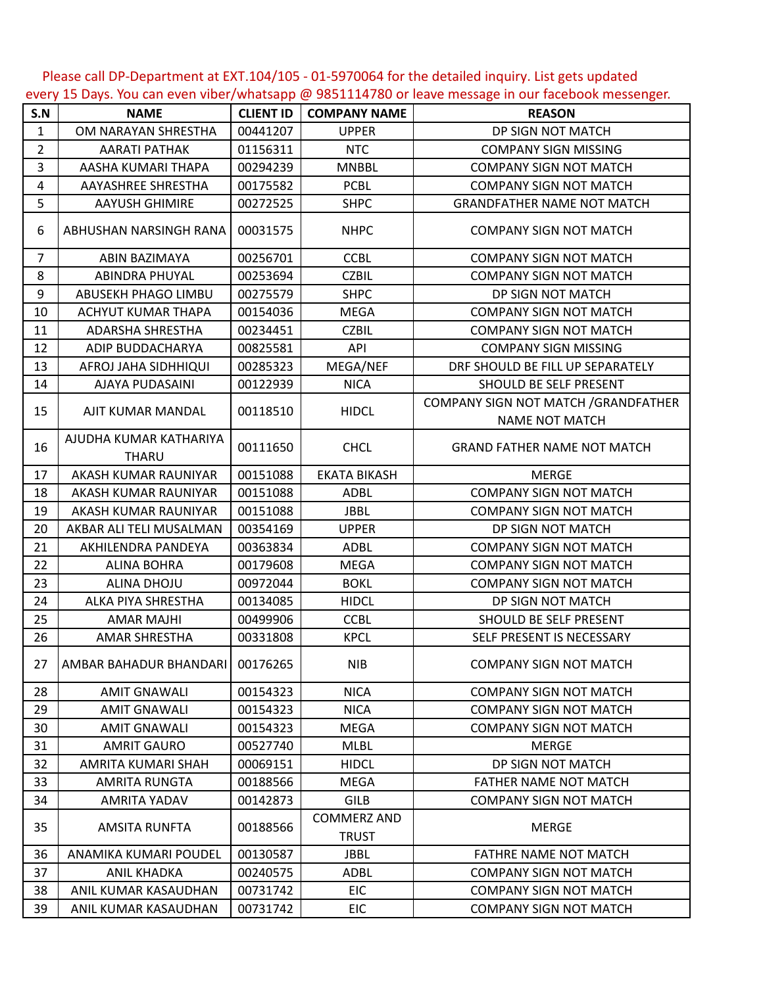Please call DP-Department at EXT.104/105 - 01-5970064 for the detailed inquiry. List gets updated every 15 Days. You can even viber/whatsapp @ 9851114780 or leave message in our facebook messenger.

| S.N            | <b>NAME</b>                            | <b>CLIENT ID</b> | <b>COMPANY NAME</b>                | <b>REASON</b>                                                 |
|----------------|----------------------------------------|------------------|------------------------------------|---------------------------------------------------------------|
| $\mathbf{1}$   | OM NARAYAN SHRESTHA                    | 00441207         | <b>UPPER</b>                       | DP SIGN NOT MATCH                                             |
| $\overline{2}$ | <b>AARATI PATHAK</b>                   | 01156311         | <b>NTC</b>                         | <b>COMPANY SIGN MISSING</b>                                   |
| 3              | AASHA KUMARI THAPA                     | 00294239         | <b>MNBBL</b>                       | <b>COMPANY SIGN NOT MATCH</b>                                 |
| 4              | AAYASHREE SHRESTHA                     | 00175582         | <b>PCBL</b>                        | <b>COMPANY SIGN NOT MATCH</b>                                 |
| 5              | <b>AAYUSH GHIMIRE</b>                  | 00272525         | <b>SHPC</b>                        | <b>GRANDFATHER NAME NOT MATCH</b>                             |
| 6              | ABHUSHAN NARSINGH RANA                 | 00031575         | <b>NHPC</b>                        | <b>COMPANY SIGN NOT MATCH</b>                                 |
| $\overline{7}$ | <b>ABIN BAZIMAYA</b>                   | 00256701         | <b>CCBL</b>                        | <b>COMPANY SIGN NOT MATCH</b>                                 |
| 8              | <b>ABINDRA PHUYAL</b>                  | 00253694         | <b>CZBIL</b>                       | <b>COMPANY SIGN NOT MATCH</b>                                 |
| 9              | ABUSEKH PHAGO LIMBU                    | 00275579         | <b>SHPC</b>                        | DP SIGN NOT MATCH                                             |
| 10             | ACHYUT KUMAR THAPA                     | 00154036         | <b>MEGA</b>                        | <b>COMPANY SIGN NOT MATCH</b>                                 |
| 11             | <b>ADARSHA SHRESTHA</b>                | 00234451         | <b>CZBIL</b>                       | <b>COMPANY SIGN NOT MATCH</b>                                 |
| 12             | ADIP BUDDACHARYA                       | 00825581         | API                                | <b>COMPANY SIGN MISSING</b>                                   |
| 13             | AFROJ JAHA SIDHHIQUI                   | 00285323         | MEGA/NEF                           | DRF SHOULD BE FILL UP SEPARATELY                              |
| 14             | AJAYA PUDASAINI                        | 00122939         | <b>NICA</b>                        | SHOULD BE SELF PRESENT                                        |
| 15             | AJIT KUMAR MANDAL                      | 00118510         | <b>HIDCL</b>                       | COMPANY SIGN NOT MATCH / GRANDFATHER<br><b>NAME NOT MATCH</b> |
| 16             | AJUDHA KUMAR KATHARIYA<br><b>THARU</b> | 00111650         | <b>CHCL</b>                        | <b>GRAND FATHER NAME NOT MATCH</b>                            |
| 17             | AKASH KUMAR RAUNIYAR                   | 00151088         | <b>EKATA BIKASH</b>                | <b>MERGE</b>                                                  |
| 18             | AKASH KUMAR RAUNIYAR                   | 00151088         | <b>ADBL</b>                        | <b>COMPANY SIGN NOT MATCH</b>                                 |
| 19             | AKASH KUMAR RAUNIYAR                   | 00151088         | <b>JBBL</b>                        | <b>COMPANY SIGN NOT MATCH</b>                                 |
| 20             | AKBAR ALI TELI MUSALMAN                | 00354169         | <b>UPPER</b>                       | DP SIGN NOT MATCH                                             |
| 21             | AKHILENDRA PANDEYA                     | 00363834         | <b>ADBL</b>                        | <b>COMPANY SIGN NOT MATCH</b>                                 |
| 22             | <b>ALINA BOHRA</b>                     | 00179608         | <b>MEGA</b>                        | <b>COMPANY SIGN NOT MATCH</b>                                 |
| 23             | ALINA DHOJU                            | 00972044         | <b>BOKL</b>                        | <b>COMPANY SIGN NOT MATCH</b>                                 |
| 24             | ALKA PIYA SHRESTHA                     | 00134085         | <b>HIDCL</b>                       | DP SIGN NOT MATCH                                             |
| 25             | <b>AMAR MAJHI</b>                      | 00499906         | <b>CCBL</b>                        | SHOULD BE SELF PRESENT                                        |
| 26             | <b>AMAR SHRESTHA</b>                   | 00331808         | <b>KPCL</b>                        | SELF PRESENT IS NECESSARY                                     |
| 27             | AMBAR BAHADUR BHANDARI 00176265        |                  | <b>NIB</b>                         | <b>COMPANY SIGN NOT MATCH</b>                                 |
| 28             | <b>AMIT GNAWALI</b>                    | 00154323         | <b>NICA</b>                        | <b>COMPANY SIGN NOT MATCH</b>                                 |
| 29             | <b>AMIT GNAWALI</b>                    | 00154323         | <b>NICA</b>                        | <b>COMPANY SIGN NOT MATCH</b>                                 |
| 30             | <b>AMIT GNAWALI</b>                    | 00154323         | <b>MEGA</b>                        | <b>COMPANY SIGN NOT MATCH</b>                                 |
| 31             | <b>AMRIT GAURO</b>                     | 00527740         | <b>MLBL</b>                        | <b>MERGE</b>                                                  |
| 32             | AMRITA KUMARI SHAH                     | 00069151         | <b>HIDCL</b>                       | DP SIGN NOT MATCH                                             |
| 33             | AMRITA RUNGTA                          | 00188566         | MEGA                               | FATHER NAME NOT MATCH                                         |
| 34             | AMRITA YADAV                           | 00142873         | <b>GILB</b>                        | <b>COMPANY SIGN NOT MATCH</b>                                 |
| 35             | AMSITA RUNFTA                          | 00188566         | <b>COMMERZ AND</b><br><b>TRUST</b> | <b>MERGE</b>                                                  |
| 36             | ANAMIKA KUMARI POUDEL                  | 00130587         | <b>JBBL</b>                        | FATHRE NAME NOT MATCH                                         |
| 37             | <b>ANIL KHADKA</b>                     | 00240575         | <b>ADBL</b>                        | <b>COMPANY SIGN NOT MATCH</b>                                 |
| 38             | ANIL KUMAR KASAUDHAN                   | 00731742         | <b>EIC</b>                         | <b>COMPANY SIGN NOT MATCH</b>                                 |
| 39             | ANIL KUMAR KASAUDHAN                   | 00731742         | <b>EIC</b>                         | <b>COMPANY SIGN NOT MATCH</b>                                 |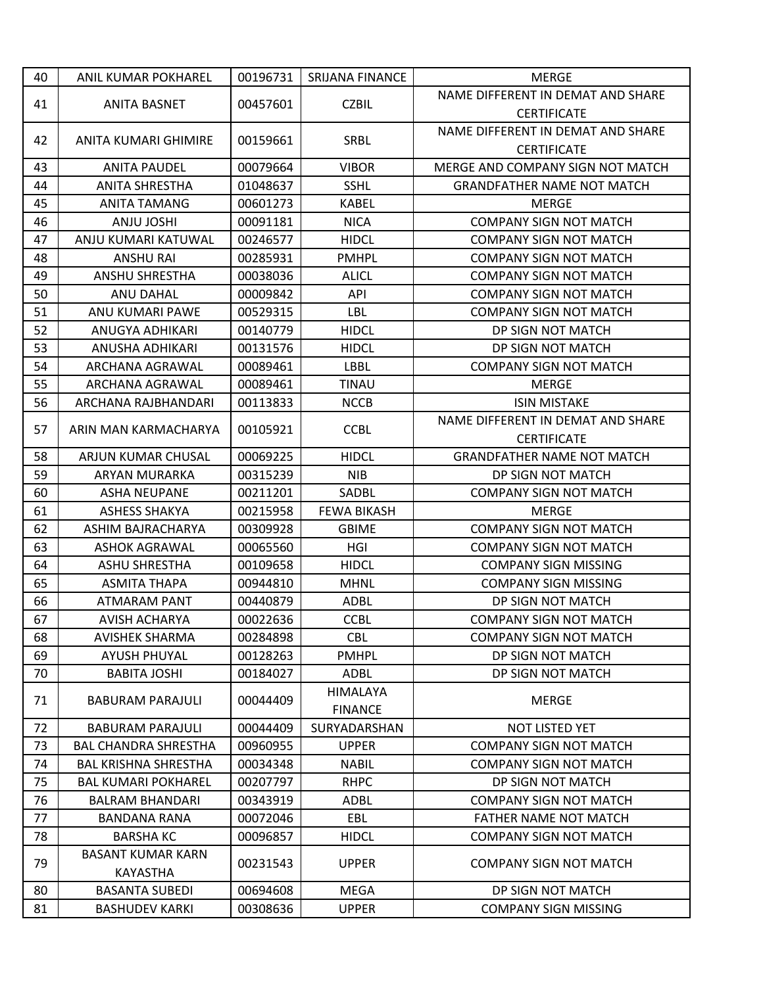| 40 | ANIL KUMAR POKHAREL         | 00196731 | <b>SRIJANA FINANCE</b> | <b>MERGE</b>                      |
|----|-----------------------------|----------|------------------------|-----------------------------------|
|    |                             |          |                        | NAME DIFFERENT IN DEMAT AND SHARE |
| 41 | <b>ANITA BASNET</b>         | 00457601 | <b>CZBIL</b>           | <b>CERTIFICATE</b>                |
|    |                             |          |                        | NAME DIFFERENT IN DEMAT AND SHARE |
| 42 | ANITA KUMARI GHIMIRE        | 00159661 | <b>SRBL</b>            | <b>CERTIFICATE</b>                |
| 43 | <b>ANITA PAUDEL</b>         | 00079664 | <b>VIBOR</b>           | MERGE AND COMPANY SIGN NOT MATCH  |
| 44 | <b>ANITA SHRESTHA</b>       | 01048637 | <b>SSHL</b>            | <b>GRANDFATHER NAME NOT MATCH</b> |
| 45 | ANITA TAMANG                | 00601273 | <b>KABEL</b>           | <b>MERGE</b>                      |
| 46 | <b>ANJU JOSHI</b>           | 00091181 | <b>NICA</b>            | <b>COMPANY SIGN NOT MATCH</b>     |
| 47 | ANJU KUMARI KATUWAL         | 00246577 | <b>HIDCL</b>           | <b>COMPANY SIGN NOT MATCH</b>     |
| 48 | <b>ANSHU RAI</b>            | 00285931 | <b>PMHPL</b>           | <b>COMPANY SIGN NOT MATCH</b>     |
| 49 | <b>ANSHU SHRESTHA</b>       | 00038036 | <b>ALICL</b>           | <b>COMPANY SIGN NOT MATCH</b>     |
| 50 | ANU DAHAL                   | 00009842 | API                    | <b>COMPANY SIGN NOT MATCH</b>     |
| 51 | ANU KUMARI PAWE             | 00529315 | LBL                    | <b>COMPANY SIGN NOT MATCH</b>     |
| 52 | ANUGYA ADHIKARI             | 00140779 | <b>HIDCL</b>           | DP SIGN NOT MATCH                 |
| 53 | ANUSHA ADHIKARI             | 00131576 | <b>HIDCL</b>           | DP SIGN NOT MATCH                 |
| 54 | ARCHANA AGRAWAL             | 00089461 | LBBL                   | <b>COMPANY SIGN NOT MATCH</b>     |
| 55 | ARCHANA AGRAWAL             | 00089461 | TINAU                  | <b>MERGE</b>                      |
| 56 | ARCHANA RAJBHANDARI         | 00113833 | <b>NCCB</b>            | <b>ISIN MISTAKE</b>               |
|    |                             |          |                        | NAME DIFFERENT IN DEMAT AND SHARE |
| 57 | ARIN MAN KARMACHARYA        | 00105921 | <b>CCBL</b>            | <b>CERTIFICATE</b>                |
| 58 | ARJUN KUMAR CHUSAL          | 00069225 | <b>HIDCL</b>           | <b>GRANDFATHER NAME NOT MATCH</b> |
| 59 | <b>ARYAN MURARKA</b>        | 00315239 | <b>NIB</b>             | DP SIGN NOT MATCH                 |
| 60 | <b>ASHA NEUPANE</b>         | 00211201 | SADBL                  | <b>COMPANY SIGN NOT MATCH</b>     |
| 61 | <b>ASHESS SHAKYA</b>        | 00215958 | <b>FEWA BIKASH</b>     | <b>MERGE</b>                      |
| 62 | ASHIM BAJRACHARYA           | 00309928 | <b>GBIME</b>           | <b>COMPANY SIGN NOT MATCH</b>     |
| 63 | <b>ASHOK AGRAWAL</b>        | 00065560 | HGI                    | <b>COMPANY SIGN NOT MATCH</b>     |
| 64 | <b>ASHU SHRESTHA</b>        | 00109658 | <b>HIDCL</b>           | <b>COMPANY SIGN MISSING</b>       |
| 65 | ASMITA THAPA                | 00944810 | <b>MHNL</b>            | <b>COMPANY SIGN MISSING</b>       |
| 66 | <b>ATMARAM PANT</b>         | 00440879 | <b>ADBL</b>            | DP SIGN NOT MATCH                 |
| 67 | <b>AVISH ACHARYA</b>        | 00022636 | <b>CCBL</b>            | <b>COMPANY SIGN NOT MATCH</b>     |
| 68 | <b>AVISHEK SHARMA</b>       | 00284898 | <b>CBL</b>             | <b>COMPANY SIGN NOT MATCH</b>     |
| 69 | <b>AYUSH PHUYAL</b>         | 00128263 | <b>PMHPL</b>           | DP SIGN NOT MATCH                 |
| 70 | <b>BABITA JOSHI</b>         | 00184027 | <b>ADBL</b>            | DP SIGN NOT MATCH                 |
| 71 | <b>BABURAM PARAJULI</b>     | 00044409 | HIMALAYA               | <b>MERGE</b>                      |
|    |                             |          | <b>FINANCE</b>         |                                   |
| 72 | <b>BABURAM PARAJULI</b>     | 00044409 | SURYADARSHAN           | <b>NOT LISTED YET</b>             |
| 73 | <b>BAL CHANDRA SHRESTHA</b> | 00960955 | <b>UPPER</b>           | <b>COMPANY SIGN NOT MATCH</b>     |
| 74 | <b>BAL KRISHNA SHRESTHA</b> | 00034348 | <b>NABIL</b>           | <b>COMPANY SIGN NOT MATCH</b>     |
| 75 | <b>BAL KUMARI POKHAREL</b>  | 00207797 | <b>RHPC</b>            | DP SIGN NOT MATCH                 |
| 76 | <b>BALRAM BHANDARI</b>      | 00343919 | <b>ADBL</b>            | <b>COMPANY SIGN NOT MATCH</b>     |
| 77 | <b>BANDANA RANA</b>         | 00072046 | EBL                    | <b>FATHER NAME NOT MATCH</b>      |
| 78 | <b>BARSHA KC</b>            | 00096857 | <b>HIDCL</b>           | <b>COMPANY SIGN NOT MATCH</b>     |
| 79 | <b>BASANT KUMAR KARN</b>    |          | <b>UPPER</b>           | <b>COMPANY SIGN NOT MATCH</b>     |
|    | <b>KAYASTHA</b>             | 00231543 |                        |                                   |
| 80 | <b>BASANTA SUBEDI</b>       | 00694608 | <b>MEGA</b>            | DP SIGN NOT MATCH                 |
| 81 | <b>BASHUDEV KARKI</b>       | 00308636 | <b>UPPER</b>           | <b>COMPANY SIGN MISSING</b>       |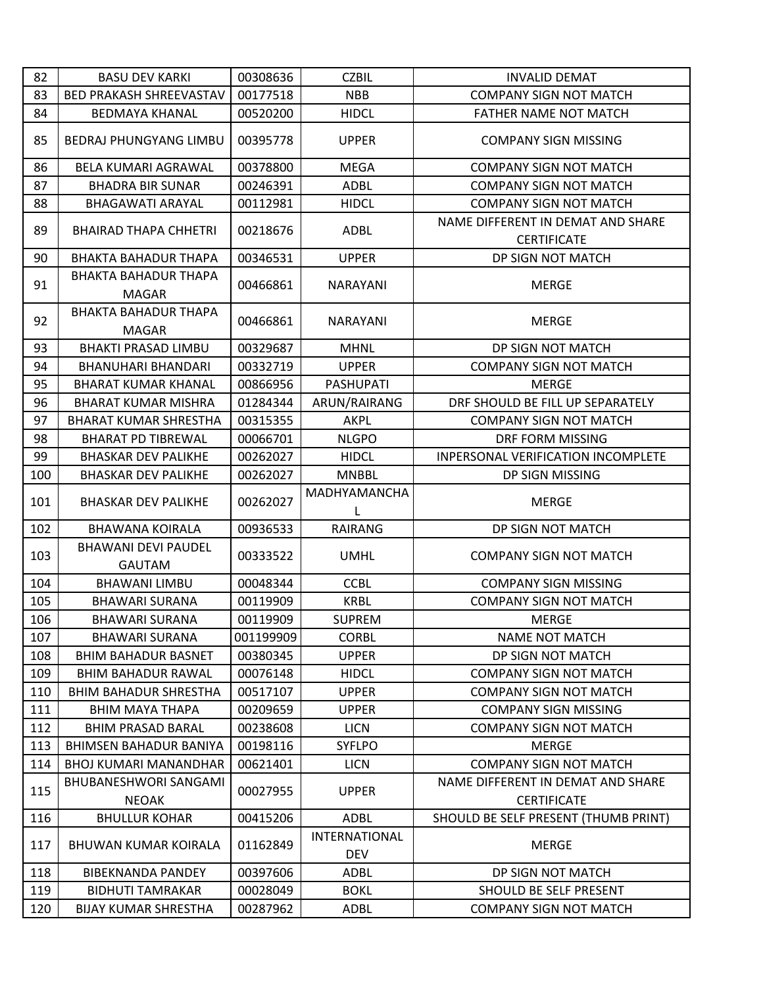| 82  | <b>BASU DEV KARKI</b>                       | 00308636  | <b>CZBIL</b>                       | <b>INVALID DEMAT</b>                                    |
|-----|---------------------------------------------|-----------|------------------------------------|---------------------------------------------------------|
| 83  | <b>BED PRAKASH SHREEVASTAV</b>              | 00177518  | <b>NBB</b>                         | <b>COMPANY SIGN NOT MATCH</b>                           |
| 84  | <b>BEDMAYA KHANAL</b>                       | 00520200  | <b>HIDCL</b>                       | FATHER NAME NOT MATCH                                   |
| 85  | <b>BEDRAJ PHUNGYANG LIMBU</b>               | 00395778  | <b>UPPER</b>                       | <b>COMPANY SIGN MISSING</b>                             |
| 86  | <b>BELA KUMARI AGRAWAL</b>                  | 00378800  | <b>MEGA</b>                        | <b>COMPANY SIGN NOT MATCH</b>                           |
| 87  | <b>BHADRA BIR SUNAR</b>                     | 00246391  | ADBL                               | <b>COMPANY SIGN NOT MATCH</b>                           |
| 88  | <b>BHAGAWATI ARAYAL</b>                     | 00112981  | <b>HIDCL</b>                       | <b>COMPANY SIGN NOT MATCH</b>                           |
| 89  | <b>BHAIRAD THAPA CHHETRI</b>                | 00218676  | ADBL                               | NAME DIFFERENT IN DEMAT AND SHARE<br><b>CERTIFICATE</b> |
| 90  | <b>BHAKTA BAHADUR THAPA</b>                 | 00346531  | <b>UPPER</b>                       | DP SIGN NOT MATCH                                       |
| 91  | <b>BHAKTA BAHADUR THAPA</b><br><b>MAGAR</b> | 00466861  | <b>NARAYANI</b>                    | <b>MERGE</b>                                            |
| 92  | <b>BHAKTA BAHADUR THAPA</b><br><b>MAGAR</b> | 00466861  | NARAYANI                           | <b>MERGE</b>                                            |
| 93  | <b>BHAKTI PRASAD LIMBU</b>                  | 00329687  | <b>MHNL</b>                        | DP SIGN NOT MATCH                                       |
| 94  | BHANUHARI BHANDARI                          | 00332719  | <b>UPPER</b>                       | <b>COMPANY SIGN NOT MATCH</b>                           |
| 95  | BHARAT KUMAR KHANAL                         | 00866956  | <b>PASHUPATI</b>                   | <b>MERGE</b>                                            |
| 96  | <b>BHARAT KUMAR MISHRA</b>                  | 01284344  | ARUN/RAIRANG                       | DRF SHOULD BE FILL UP SEPARATELY                        |
| 97  | <b>BHARAT KUMAR SHRESTHA</b>                | 00315355  | <b>AKPL</b>                        | <b>COMPANY SIGN NOT MATCH</b>                           |
| 98  | <b>BHARAT PD TIBREWAL</b>                   | 00066701  | <b>NLGPO</b>                       | DRF FORM MISSING                                        |
| 99  | <b>BHASKAR DEV PALIKHE</b>                  | 00262027  | <b>HIDCL</b>                       | INPERSONAL VERIFICATION INCOMPLETE                      |
| 100 | <b>BHASKAR DEV PALIKHE</b>                  | 00262027  | <b>MNBBL</b>                       | DP SIGN MISSING                                         |
| 101 | <b>BHASKAR DEV PALIKHE</b>                  | 00262027  | MADHYAMANCHA<br>L                  | <b>MERGE</b>                                            |
| 102 | <b>BHAWANA KOIRALA</b>                      | 00936533  | <b>RAIRANG</b>                     | DP SIGN NOT MATCH                                       |
| 103 | <b>BHAWANI DEVI PAUDEL</b><br><b>GAUTAM</b> | 00333522  | <b>UMHL</b>                        | <b>COMPANY SIGN NOT MATCH</b>                           |
| 104 | <b>BHAWANI LIMBU</b>                        | 00048344  | <b>CCBL</b>                        | <b>COMPANY SIGN MISSING</b>                             |
| 105 | <b>BHAWARI SURANA</b>                       | 00119909  | <b>KRBL</b>                        | <b>COMPANY SIGN NOT MATCH</b>                           |
| 106 | <b>BHAWARI SURANA</b>                       | 00119909  | <b>SUPREM</b>                      | <b>MERGE</b>                                            |
| 107 | <b>BHAWARI SURANA</b>                       | 001199909 | <b>CORBL</b>                       | NAME NOT MATCH                                          |
| 108 | <b>BHIM BAHADUR BASNET</b>                  | 00380345  | <b>UPPER</b>                       | DP SIGN NOT MATCH                                       |
| 109 | <b>BHIM BAHADUR RAWAL</b>                   | 00076148  | <b>HIDCL</b>                       | <b>COMPANY SIGN NOT MATCH</b>                           |
| 110 | <b>BHIM BAHADUR SHRESTHA</b>                | 00517107  | <b>UPPER</b>                       | <b>COMPANY SIGN NOT MATCH</b>                           |
| 111 | <b>BHIM MAYA THAPA</b>                      | 00209659  | <b>UPPER</b>                       | <b>COMPANY SIGN MISSING</b>                             |
| 112 | <b>BHIM PRASAD BARAL</b>                    | 00238608  | <b>LICN</b>                        | <b>COMPANY SIGN NOT MATCH</b>                           |
| 113 | <b>BHIMSEN BAHADUR BANIYA</b>               | 00198116  | <b>SYFLPO</b>                      | <b>MERGE</b>                                            |
| 114 | <b>BHOJ KUMARI MANANDHAR</b>                | 00621401  | <b>LICN</b>                        | <b>COMPANY SIGN NOT MATCH</b>                           |
| 115 | BHUBANESHWORI SANGAMI<br><b>NEOAK</b>       | 00027955  | <b>UPPER</b>                       | NAME DIFFERENT IN DEMAT AND SHARE<br><b>CERTIFICATE</b> |
| 116 | <b>BHULLUR KOHAR</b>                        | 00415206  | ADBL                               | SHOULD BE SELF PRESENT (THUMB PRINT)                    |
| 117 | <b>BHUWAN KUMAR KOIRALA</b>                 | 01162849  | <b>INTERNATIONAL</b><br><b>DEV</b> | <b>MERGE</b>                                            |
| 118 | <b>BIBEKNANDA PANDEY</b>                    | 00397606  | <b>ADBL</b>                        | DP SIGN NOT MATCH                                       |
| 119 | <b>BIDHUTI TAMRAKAR</b>                     | 00028049  | <b>BOKL</b>                        | SHOULD BE SELF PRESENT                                  |
| 120 | <b>BIJAY KUMAR SHRESTHA</b>                 | 00287962  | ADBL                               | <b>COMPANY SIGN NOT MATCH</b>                           |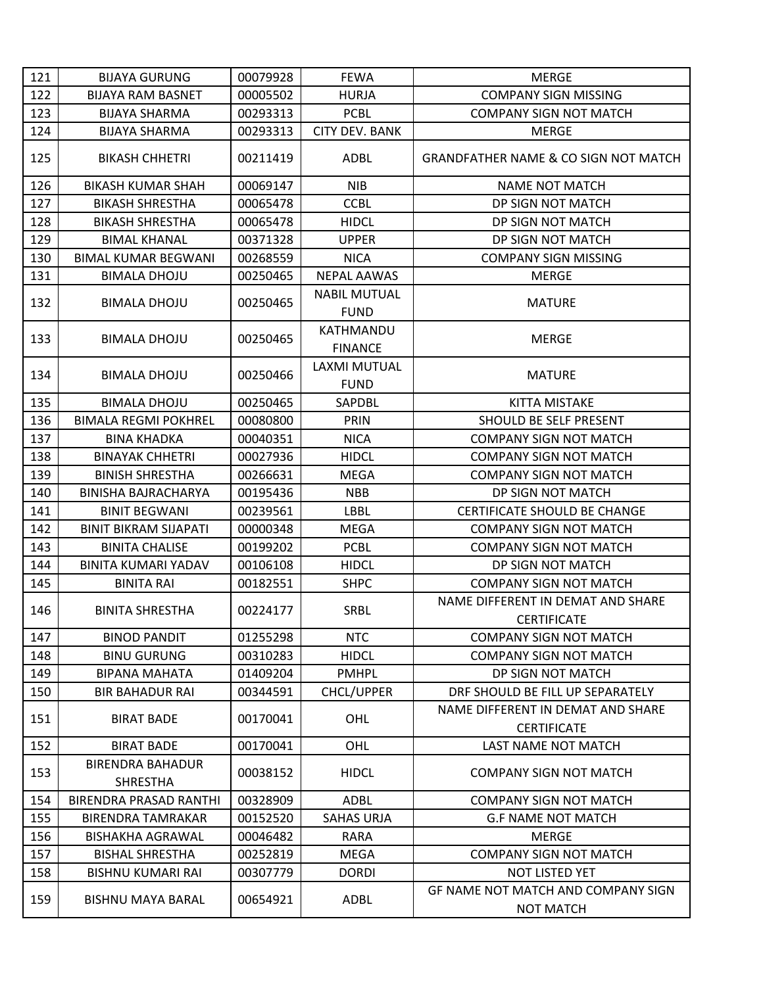| 121 | <b>BIJAYA GURUNG</b>                       | 00079928 | <b>FEWA</b>                        | <b>MERGE</b>                                            |
|-----|--------------------------------------------|----------|------------------------------------|---------------------------------------------------------|
| 122 | <b>BIJAYA RAM BASNET</b>                   | 00005502 | <b>HURJA</b>                       | <b>COMPANY SIGN MISSING</b>                             |
| 123 | <b>BIJAYA SHARMA</b>                       | 00293313 | <b>PCBL</b>                        | <b>COMPANY SIGN NOT MATCH</b>                           |
| 124 | <b>BIJAYA SHARMA</b>                       | 00293313 | <b>CITY DEV. BANK</b>              | <b>MERGE</b>                                            |
| 125 | <b>BIKASH CHHETRI</b>                      | 00211419 | ADBL                               | <b>GRANDFATHER NAME &amp; CO SIGN NOT MATCH</b>         |
| 126 | <b>BIKASH KUMAR SHAH</b>                   | 00069147 | <b>NIB</b>                         | <b>NAME NOT MATCH</b>                                   |
| 127 | <b>BIKASH SHRESTHA</b>                     | 00065478 | <b>CCBL</b>                        | DP SIGN NOT MATCH                                       |
| 128 | <b>BIKASH SHRESTHA</b>                     | 00065478 | <b>HIDCL</b>                       | DP SIGN NOT MATCH                                       |
| 129 | <b>BIMAL KHANAL</b>                        | 00371328 | <b>UPPER</b>                       | DP SIGN NOT MATCH                                       |
| 130 | <b>BIMAL KUMAR BEGWANI</b>                 | 00268559 | <b>NICA</b>                        | <b>COMPANY SIGN MISSING</b>                             |
| 131 | <b>BIMALA DHOJU</b>                        | 00250465 | <b>NEPAL AAWAS</b>                 | <b>MERGE</b>                                            |
| 132 | <b>BIMALA DHOJU</b>                        | 00250465 | <b>NABIL MUTUAL</b><br><b>FUND</b> | <b>MATURE</b>                                           |
| 133 | <b>BIMALA DHOJU</b>                        | 00250465 | KATHMANDU<br><b>FINANCE</b>        | <b>MERGE</b>                                            |
| 134 | <b>BIMALA DHOJU</b>                        | 00250466 | LAXMI MUTUAL<br><b>FUND</b>        | <b>MATURE</b>                                           |
| 135 | <b>BIMALA DHOJU</b>                        | 00250465 | SAPDBL                             | <b>KITTA MISTAKE</b>                                    |
| 136 | <b>BIMALA REGMI POKHREL</b>                | 00080800 | PRIN                               | <b>SHOULD BE SELF PRESENT</b>                           |
| 137 | <b>BINA KHADKA</b>                         | 00040351 | <b>NICA</b>                        | <b>COMPANY SIGN NOT MATCH</b>                           |
| 138 | <b>BINAYAK CHHETRI</b>                     | 00027936 | <b>HIDCL</b>                       | <b>COMPANY SIGN NOT MATCH</b>                           |
| 139 | <b>BINISH SHRESTHA</b>                     | 00266631 | <b>MEGA</b>                        | <b>COMPANY SIGN NOT MATCH</b>                           |
| 140 | <b>BINISHA BAJRACHARYA</b>                 | 00195436 | <b>NBB</b>                         | DP SIGN NOT MATCH                                       |
| 141 | <b>BINIT BEGWANI</b>                       | 00239561 | <b>LBBL</b>                        | CERTIFICATE SHOULD BE CHANGE                            |
| 142 | <b>BINIT BIKRAM SIJAPATI</b>               | 00000348 | <b>MEGA</b>                        | <b>COMPANY SIGN NOT MATCH</b>                           |
| 143 | <b>BINITA CHALISE</b>                      | 00199202 | <b>PCBL</b>                        | <b>COMPANY SIGN NOT MATCH</b>                           |
| 144 | <b>BINITA KUMARI YADAV</b>                 | 00106108 | <b>HIDCL</b>                       | DP SIGN NOT MATCH                                       |
| 145 | <b>BINITA RAI</b>                          | 00182551 | <b>SHPC</b>                        | <b>COMPANY SIGN NOT MATCH</b>                           |
| 146 | <b>BINITA SHRESTHA</b>                     | 00224177 | SRBL                               | NAME DIFFERENT IN DEMAT AND SHARE<br><b>CERTIFICATE</b> |
| 147 | <b>BINOD PANDIT</b>                        | 01255298 | <b>NTC</b>                         | <b>COMPANY SIGN NOT MATCH</b>                           |
| 148 | <b>BINU GURUNG</b>                         | 00310283 | <b>HIDCL</b>                       | <b>COMPANY SIGN NOT MATCH</b>                           |
| 149 | <b>BIPANA MAHATA</b>                       | 01409204 | <b>PMHPL</b>                       | DP SIGN NOT MATCH                                       |
| 150 | <b>BIR BAHADUR RAI</b>                     | 00344591 | <b>CHCL/UPPER</b>                  | DRF SHOULD BE FILL UP SEPARATELY                        |
| 151 | <b>BIRAT BADE</b>                          | 00170041 | OHL                                | NAME DIFFERENT IN DEMAT AND SHARE<br><b>CERTIFICATE</b> |
| 152 | <b>BIRAT BADE</b>                          | 00170041 | OHL                                | <b>LAST NAME NOT MATCH</b>                              |
| 153 | <b>BIRENDRA BAHADUR</b><br><b>SHRESTHA</b> | 00038152 | <b>HIDCL</b>                       | <b>COMPANY SIGN NOT MATCH</b>                           |
| 154 | BIRENDRA PRASAD RANTHI                     | 00328909 | ADBL                               | <b>COMPANY SIGN NOT MATCH</b>                           |
| 155 | <b>BIRENDRA TAMRAKAR</b>                   | 00152520 | <b>SAHAS URJA</b>                  | <b>G.F NAME NOT MATCH</b>                               |
| 156 | <b>BISHAKHA AGRAWAL</b>                    | 00046482 | <b>RARA</b>                        | <b>MERGE</b>                                            |
| 157 | <b>BISHAL SHRESTHA</b>                     | 00252819 | <b>MEGA</b>                        | <b>COMPANY SIGN NOT MATCH</b>                           |
| 158 | <b>BISHNU KUMARI RAI</b>                   | 00307779 | <b>DORDI</b>                       | <b>NOT LISTED YET</b>                                   |
| 159 | <b>BISHNU MAYA BARAL</b>                   | 00654921 | <b>ADBL</b>                        | GF NAME NOT MATCH AND COMPANY SIGN<br><b>NOT MATCH</b>  |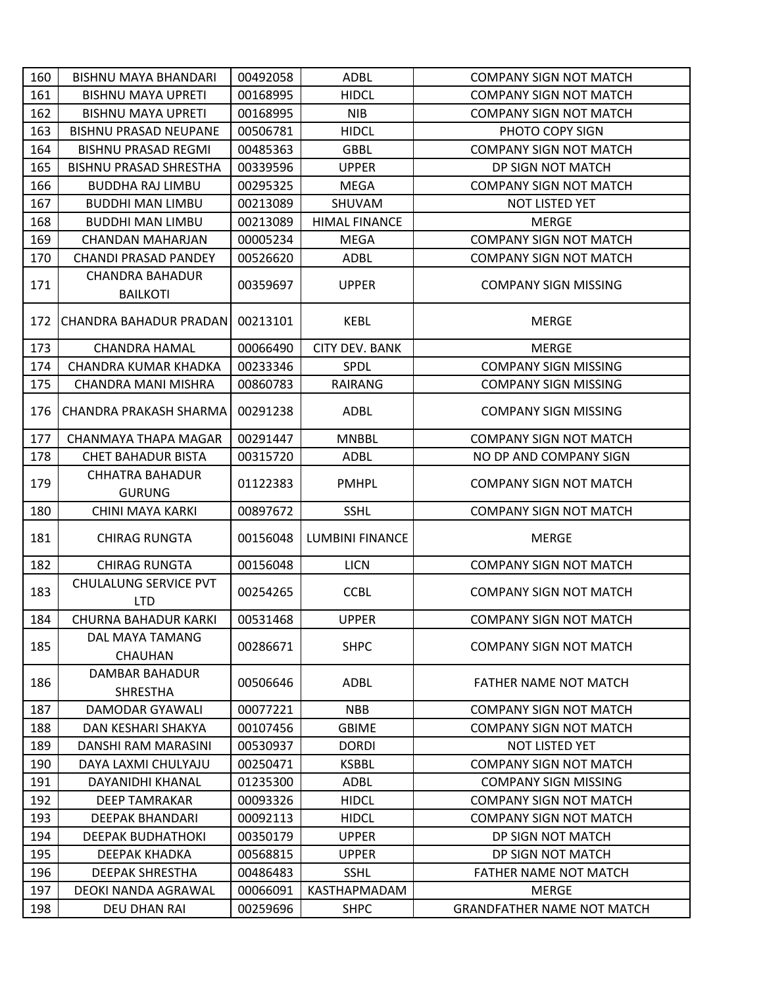| 160 | <b>BISHNU MAYA BHANDARI</b>                | 00492058 | ADBL                   | <b>COMPANY SIGN NOT MATCH</b> |
|-----|--------------------------------------------|----------|------------------------|-------------------------------|
| 161 | <b>BISHNU MAYA UPRETI</b>                  | 00168995 | <b>HIDCL</b>           | <b>COMPANY SIGN NOT MATCH</b> |
| 162 | <b>BISHNU MAYA UPRETI</b>                  | 00168995 | <b>NIB</b>             | <b>COMPANY SIGN NOT MATCH</b> |
| 163 | <b>BISHNU PRASAD NEUPANE</b>               | 00506781 | <b>HIDCL</b>           | PHOTO COPY SIGN               |
| 164 | <b>BISHNU PRASAD REGMI</b>                 | 00485363 | <b>GBBL</b>            | <b>COMPANY SIGN NOT MATCH</b> |
| 165 | <b>BISHNU PRASAD SHRESTHA</b>              | 00339596 | <b>UPPER</b>           | DP SIGN NOT MATCH             |
| 166 | <b>BUDDHA RAJ LIMBU</b>                    | 00295325 | <b>MEGA</b>            | <b>COMPANY SIGN NOT MATCH</b> |
| 167 | <b>BUDDHI MAN LIMBU</b>                    | 00213089 | SHUVAM                 | NOT LISTED YET                |
| 168 | <b>BUDDHI MAN LIMBU</b>                    | 00213089 | <b>HIMAL FINANCE</b>   | <b>MERGE</b>                  |
| 169 | CHANDAN MAHARJAN                           | 00005234 | <b>MEGA</b>            | <b>COMPANY SIGN NOT MATCH</b> |
| 170 | <b>CHANDI PRASAD PANDEY</b>                | 00526620 | ADBL                   | <b>COMPANY SIGN NOT MATCH</b> |
| 171 | CHANDRA BAHADUR<br><b>BAILKOTI</b>         | 00359697 | <b>UPPER</b>           | <b>COMPANY SIGN MISSING</b>   |
| 172 | CHANDRA BAHADUR PRADAN                     | 00213101 | <b>KEBL</b>            | <b>MERGE</b>                  |
| 173 | <b>CHANDRA HAMAL</b>                       | 00066490 | <b>CITY DEV. BANK</b>  | <b>MERGE</b>                  |
| 174 | CHANDRA KUMAR KHADKA                       | 00233346 | SPDL                   | <b>COMPANY SIGN MISSING</b>   |
| 175 | CHANDRA MANI MISHRA                        | 00860783 | <b>RAIRANG</b>         | <b>COMPANY SIGN MISSING</b>   |
| 176 | CHANDRA PRAKASH SHARMA                     | 00291238 | ADBL                   | <b>COMPANY SIGN MISSING</b>   |
| 177 | CHANMAYA THAPA MAGAR                       | 00291447 | <b>MNBBL</b>           | <b>COMPANY SIGN NOT MATCH</b> |
| 178 | CHET BAHADUR BISTA                         | 00315720 | ADBL                   | NO DP AND COMPANY SIGN        |
| 179 | <b>CHHATRA BAHADUR</b><br><b>GURUNG</b>    | 01122383 | <b>PMHPL</b>           | <b>COMPANY SIGN NOT MATCH</b> |
|     |                                            |          |                        |                               |
| 180 | CHINI MAYA KARKI                           | 00897672 | <b>SSHL</b>            | <b>COMPANY SIGN NOT MATCH</b> |
| 181 | <b>CHIRAG RUNGTA</b>                       | 00156048 | <b>LUMBINI FINANCE</b> | <b>MERGE</b>                  |
| 182 | <b>CHIRAG RUNGTA</b>                       | 00156048 | <b>LICN</b>            | <b>COMPANY SIGN NOT MATCH</b> |
| 183 | <b>CHULALUNG SERVICE PVT</b><br><b>LTD</b> | 00254265 | <b>CCBL</b>            | <b>COMPANY SIGN NOT MATCH</b> |
| 184 | CHURNA BAHADUR KARKI                       | 00531468 | <b>UPPER</b>           | <b>COMPANY SIGN NOT MATCH</b> |
| 185 | DAL MAYA TAMANG<br><b>CHAUHAN</b>          | 00286671 | <b>SHPC</b>            | <b>COMPANY SIGN NOT MATCH</b> |
| 186 | DAMBAR BAHADUR<br><b>SHRESTHA</b>          | 00506646 | ADBL                   | <b>FATHER NAME NOT MATCH</b>  |
| 187 | DAMODAR GYAWALI                            | 00077221 | <b>NBB</b>             | <b>COMPANY SIGN NOT MATCH</b> |
| 188 | DAN KESHARI SHAKYA                         | 00107456 | <b>GBIME</b>           | <b>COMPANY SIGN NOT MATCH</b> |
| 189 | DANSHI RAM MARASINI                        | 00530937 | <b>DORDI</b>           | <b>NOT LISTED YET</b>         |
| 190 | DAYA LAXMI CHULYAJU                        | 00250471 | <b>KSBBL</b>           | <b>COMPANY SIGN NOT MATCH</b> |
| 191 | DAYANIDHI KHANAL                           | 01235300 | <b>ADBL</b>            | <b>COMPANY SIGN MISSING</b>   |
| 192 | <b>DEEP TAMRAKAR</b>                       | 00093326 | <b>HIDCL</b>           | <b>COMPANY SIGN NOT MATCH</b> |
| 193 | <b>DEEPAK BHANDARI</b>                     | 00092113 | <b>HIDCL</b>           | <b>COMPANY SIGN NOT MATCH</b> |
| 194 | <b>DEEPAK BUDHATHOKI</b>                   | 00350179 | <b>UPPER</b>           | DP SIGN NOT MATCH             |
| 195 | DEEPAK KHADKA                              | 00568815 | <b>UPPER</b>           | DP SIGN NOT MATCH             |
| 196 | <b>DEEPAK SHRESTHA</b>                     | 00486483 | <b>SSHL</b>            | FATHER NAME NOT MATCH         |
| 197 | DEOKI NANDA AGRAWAL                        | 00066091 | KASTHAPMADAM           | <b>MERGE</b>                  |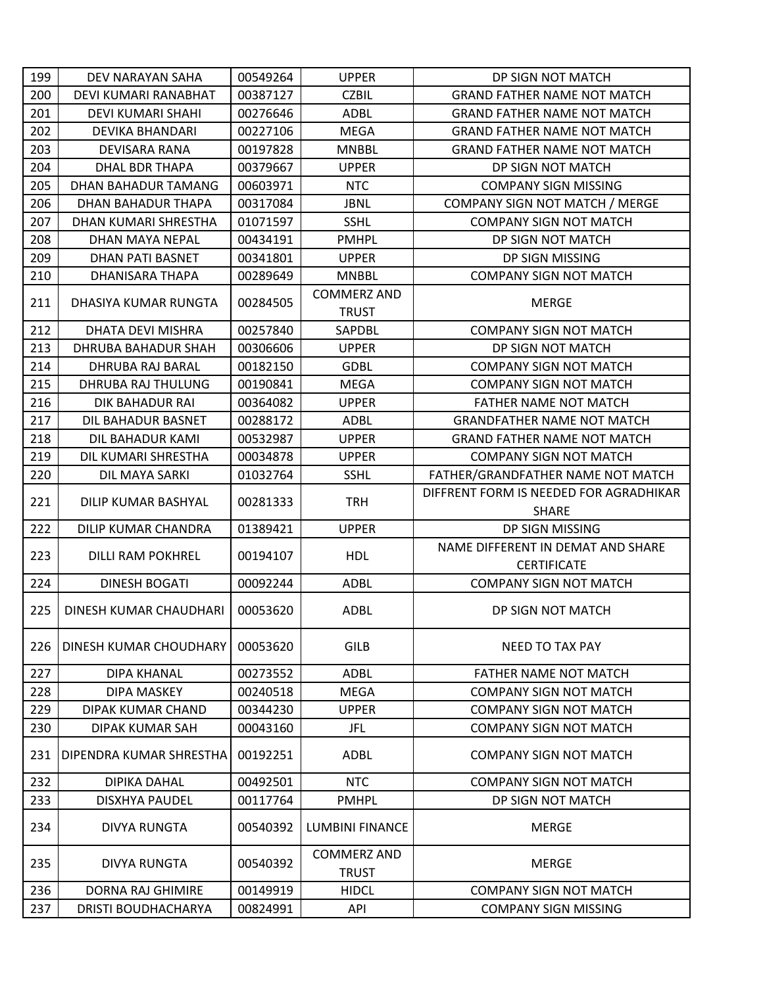| 199 | DEV NARAYAN SAHA            | 00549264 | <b>UPPER</b>                       | DP SIGN NOT MATCH                      |
|-----|-----------------------------|----------|------------------------------------|----------------------------------------|
| 200 | DEVI KUMARI RANABHAT        | 00387127 | <b>CZBIL</b>                       | <b>GRAND FATHER NAME NOT MATCH</b>     |
| 201 | DEVI KUMARI SHAHI           | 00276646 | <b>ADBL</b>                        | <b>GRAND FATHER NAME NOT MATCH</b>     |
| 202 | <b>DEVIKA BHANDARI</b>      | 00227106 | <b>MEGA</b>                        | <b>GRAND FATHER NAME NOT MATCH</b>     |
| 203 | DEVISARA RANA               | 00197828 | <b>MNBBL</b>                       | <b>GRAND FATHER NAME NOT MATCH</b>     |
| 204 | <b>DHAL BDR THAPA</b>       | 00379667 | <b>UPPER</b>                       | DP SIGN NOT MATCH                      |
| 205 | DHAN BAHADUR TAMANG         | 00603971 | <b>NTC</b>                         | <b>COMPANY SIGN MISSING</b>            |
| 206 | DHAN BAHADUR THAPA          | 00317084 | <b>JBNL</b>                        | COMPANY SIGN NOT MATCH / MERGE         |
| 207 | <b>DHAN KUMARI SHRESTHA</b> | 01071597 | <b>SSHL</b>                        | <b>COMPANY SIGN NOT MATCH</b>          |
| 208 | DHAN MAYA NEPAL             | 00434191 | <b>PMHPL</b>                       | DP SIGN NOT MATCH                      |
| 209 | <b>DHAN PATI BASNET</b>     | 00341801 | <b>UPPER</b>                       | DP SIGN MISSING                        |
| 210 | DHANISARA THAPA             | 00289649 | <b>MNBBL</b>                       | <b>COMPANY SIGN NOT MATCH</b>          |
|     |                             |          | <b>COMMERZ AND</b>                 |                                        |
| 211 | DHASIYA KUMAR RUNGTA        | 00284505 | <b>TRUST</b>                       | <b>MERGE</b>                           |
| 212 | <b>DHATA DEVI MISHRA</b>    | 00257840 | SAPDBL                             | <b>COMPANY SIGN NOT MATCH</b>          |
| 213 | DHRUBA BAHADUR SHAH         | 00306606 | <b>UPPER</b>                       | DP SIGN NOT MATCH                      |
| 214 | DHRUBA RAJ BARAL            | 00182150 | <b>GDBL</b>                        | <b>COMPANY SIGN NOT MATCH</b>          |
| 215 | DHRUBA RAJ THULUNG          | 00190841 | <b>MEGA</b>                        | <b>COMPANY SIGN NOT MATCH</b>          |
| 216 | DIK BAHADUR RAI             | 00364082 | <b>UPPER</b>                       | FATHER NAME NOT MATCH                  |
| 217 | DIL BAHADUR BASNET          | 00288172 | ADBL                               | <b>GRANDFATHER NAME NOT MATCH</b>      |
| 218 | DIL BAHADUR KAMI            | 00532987 | <b>UPPER</b>                       | <b>GRAND FATHER NAME NOT MATCH</b>     |
| 219 | DIL KUMARI SHRESTHA         | 00034878 | <b>UPPER</b>                       | <b>COMPANY SIGN NOT MATCH</b>          |
| 220 | DIL MAYA SARKI              | 01032764 | <b>SSHL</b>                        | FATHER/GRANDFATHER NAME NOT MATCH      |
| 221 | DILIP KUMAR BASHYAL         | 00281333 | <b>TRH</b>                         | DIFFRENT FORM IS NEEDED FOR AGRADHIKAR |
|     |                             |          |                                    | <b>SHARE</b>                           |
| 222 | DILIP KUMAR CHANDRA         | 01389421 | <b>UPPER</b>                       | DP SIGN MISSING                        |
| 223 | <b>DILLI RAM POKHREL</b>    | 00194107 | <b>HDL</b>                         | NAME DIFFERENT IN DEMAT AND SHARE      |
|     |                             |          |                                    | <b>CERTIFICATE</b>                     |
| 224 | <b>DINESH BOGATI</b>        | 00092244 | <b>ADBL</b>                        | <b>COMPANY SIGN NOT MATCH</b>          |
| 225 | DINESH KUMAR CHAUDHARI      | 00053620 | <b>ADBL</b>                        | DP SIGN NOT MATCH                      |
|     |                             |          |                                    |                                        |
| 226 | DINESH KUMAR CHOUDHARY      | 00053620 | <b>GILB</b>                        | <b>NEED TO TAX PAY</b>                 |
|     |                             |          |                                    |                                        |
| 227 | <b>DIPA KHANAL</b>          | 00273552 | <b>ADBL</b>                        | <b>FATHER NAME NOT MATCH</b>           |
| 228 | DIPA MASKEY                 | 00240518 | <b>MEGA</b>                        | <b>COMPANY SIGN NOT MATCH</b>          |
| 229 | DIPAK KUMAR CHAND           | 00344230 | <b>UPPER</b>                       | <b>COMPANY SIGN NOT MATCH</b>          |
| 230 | DIPAK KUMAR SAH             | 00043160 | JFL                                | <b>COMPANY SIGN NOT MATCH</b>          |
| 231 | DIPENDRA KUMAR SHRESTHA     | 00192251 | ADBL                               | <b>COMPANY SIGN NOT MATCH</b>          |
| 232 | DIPIKA DAHAL                | 00492501 | <b>NTC</b>                         | <b>COMPANY SIGN NOT MATCH</b>          |
| 233 | DISXHYA PAUDEL              | 00117764 | <b>PMHPL</b>                       | DP SIGN NOT MATCH                      |
| 234 | <b>DIVYA RUNGTA</b>         | 00540392 | <b>LUMBINI FINANCE</b>             | <b>MERGE</b>                           |
| 235 | DIVYA RUNGTA                | 00540392 | <b>COMMERZ AND</b><br><b>TRUST</b> | MERGE                                  |
| 236 | DORNA RAJ GHIMIRE           | 00149919 | <b>HIDCL</b>                       | <b>COMPANY SIGN NOT MATCH</b>          |
| 237 | DRISTI BOUDHACHARYA         | 00824991 | API                                | <b>COMPANY SIGN MISSING</b>            |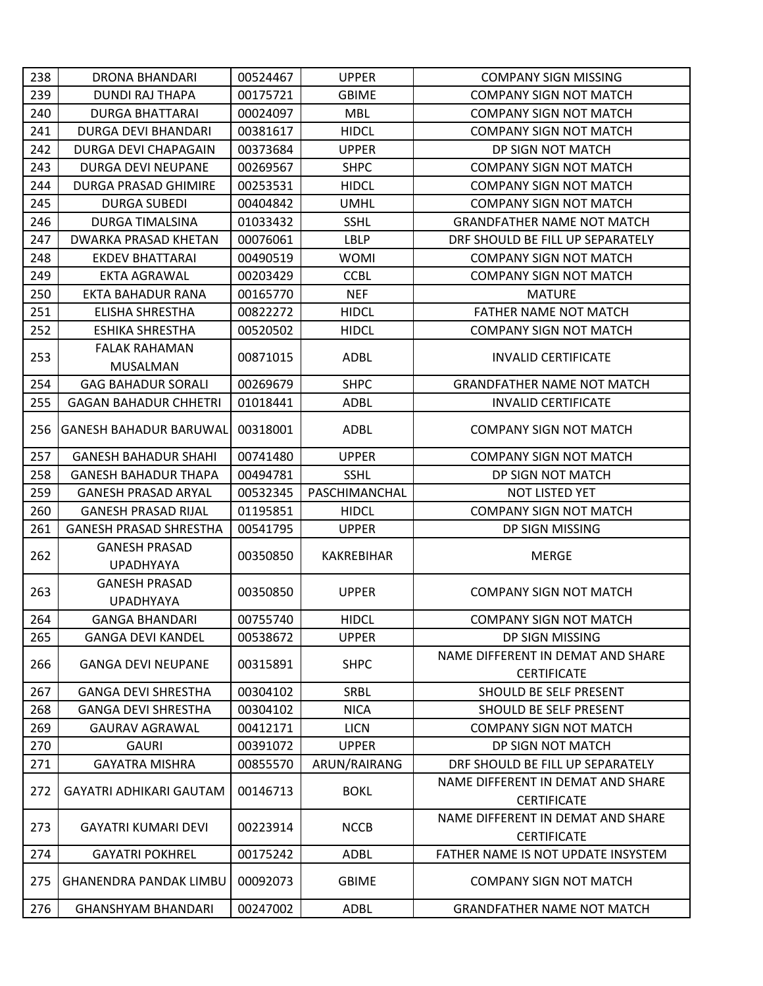| 238 | DRONA BHANDARI                | 00524467 | <b>UPPER</b>  | <b>COMPANY SIGN MISSING</b>                             |
|-----|-------------------------------|----------|---------------|---------------------------------------------------------|
| 239 | <b>DUNDI RAJ THAPA</b>        | 00175721 | <b>GBIME</b>  | <b>COMPANY SIGN NOT MATCH</b>                           |
| 240 | <b>DURGA BHATTARAI</b>        | 00024097 | <b>MBL</b>    | <b>COMPANY SIGN NOT MATCH</b>                           |
| 241 | DURGA DEVI BHANDARI           | 00381617 | <b>HIDCL</b>  | <b>COMPANY SIGN NOT MATCH</b>                           |
| 242 | DURGA DEVI CHAPAGAIN          | 00373684 | <b>UPPER</b>  | DP SIGN NOT MATCH                                       |
| 243 | DURGA DEVI NEUPANE            | 00269567 | <b>SHPC</b>   | <b>COMPANY SIGN NOT MATCH</b>                           |
| 244 | DURGA PRASAD GHIMIRE          | 00253531 | <b>HIDCL</b>  | <b>COMPANY SIGN NOT MATCH</b>                           |
| 245 | <b>DURGA SUBEDI</b>           | 00404842 | <b>UMHL</b>   | <b>COMPANY SIGN NOT MATCH</b>                           |
| 246 | DURGA TIMALSINA               | 01033432 | <b>SSHL</b>   | <b>GRANDFATHER NAME NOT MATCH</b>                       |
| 247 | DWARKA PRASAD KHETAN          | 00076061 | <b>LBLP</b>   | DRF SHOULD BE FILL UP SEPARATELY                        |
| 248 | <b>EKDEV BHATTARAI</b>        | 00490519 | <b>WOMI</b>   | <b>COMPANY SIGN NOT MATCH</b>                           |
| 249 | EKTA AGRAWAL                  | 00203429 | <b>CCBL</b>   | <b>COMPANY SIGN NOT MATCH</b>                           |
| 250 | EKTA BAHADUR RANA             | 00165770 | <b>NEF</b>    | <b>MATURE</b>                                           |
| 251 | <b>ELISHA SHRESTHA</b>        | 00822272 | <b>HIDCL</b>  | <b>FATHER NAME NOT MATCH</b>                            |
| 252 | ESHIKA SHRESTHA               | 00520502 | <b>HIDCL</b>  | <b>COMPANY SIGN NOT MATCH</b>                           |
|     | <b>FALAK RAHAMAN</b>          |          |               |                                                         |
| 253 | <b>MUSALMAN</b>               | 00871015 | ADBL          | <b>INVALID CERTIFICATE</b>                              |
| 254 | <b>GAG BAHADUR SORALI</b>     | 00269679 | <b>SHPC</b>   | <b>GRANDFATHER NAME NOT MATCH</b>                       |
| 255 | <b>GAGAN BAHADUR CHHETRI</b>  | 01018441 | <b>ADBL</b>   | <b>INVALID CERTIFICATE</b>                              |
| 256 | <b>GANESH BAHADUR BARUWAL</b> | 00318001 | ADBL          | <b>COMPANY SIGN NOT MATCH</b>                           |
| 257 | <b>GANESH BAHADUR SHAHI</b>   | 00741480 | <b>UPPER</b>  | <b>COMPANY SIGN NOT MATCH</b>                           |
| 258 | <b>GANESH BAHADUR THAPA</b>   | 00494781 | <b>SSHL</b>   | DP SIGN NOT MATCH                                       |
| 259 | <b>GANESH PRASAD ARYAL</b>    | 00532345 | PASCHIMANCHAL | <b>NOT LISTED YET</b>                                   |
| 260 | <b>GANESH PRASAD RIJAL</b>    | 01195851 | <b>HIDCL</b>  | <b>COMPANY SIGN NOT MATCH</b>                           |
| 261 | <b>GANESH PRASAD SHRESTHA</b> | 00541795 | <b>UPPER</b>  | DP SIGN MISSING                                         |
| 262 | <b>GANESH PRASAD</b>          | 00350850 | KAKREBIHAR    | <b>MERGE</b>                                            |
|     | <b>UPADHYAYA</b>              |          |               |                                                         |
| 263 | <b>GANESH PRASAD</b>          | 00350850 | <b>UPPER</b>  | <b>COMPANY SIGN NOT MATCH</b>                           |
|     | <b>UPADHYAYA</b>              |          |               |                                                         |
| 264 | <b>GANGA BHANDARI</b>         | 00755740 | <b>HIDCL</b>  | <b>COMPANY SIGN NOT MATCH</b>                           |
| 265 | <b>GANGA DEVI KANDEL</b>      | 00538672 | <b>UPPER</b>  | DP SIGN MISSING                                         |
| 266 | <b>GANGA DEVI NEUPANE</b>     | 00315891 | <b>SHPC</b>   | NAME DIFFERENT IN DEMAT AND SHARE<br><b>CERTIFICATE</b> |
| 267 | <b>GANGA DEVI SHRESTHA</b>    | 00304102 | SRBL          | <b>SHOULD BE SELF PRESENT</b>                           |
| 268 | <b>GANGA DEVI SHRESTHA</b>    | 00304102 | <b>NICA</b>   | SHOULD BE SELF PRESENT                                  |
| 269 | <b>GAURAV AGRAWAL</b>         | 00412171 | <b>LICN</b>   | <b>COMPANY SIGN NOT MATCH</b>                           |
| 270 | <b>GAURI</b>                  | 00391072 | <b>UPPER</b>  | DP SIGN NOT MATCH                                       |
| 271 | <b>GAYATRA MISHRA</b>         | 00855570 | ARUN/RAIRANG  | DRF SHOULD BE FILL UP SEPARATELY                        |
| 272 | GAYATRI ADHIKARI GAUTAM       | 00146713 | <b>BOKL</b>   | NAME DIFFERENT IN DEMAT AND SHARE<br><b>CERTIFICATE</b> |
| 273 | <b>GAYATRI KUMARI DEVI</b>    | 00223914 | <b>NCCB</b>   | NAME DIFFERENT IN DEMAT AND SHARE<br><b>CERTIFICATE</b> |
| 274 | <b>GAYATRI POKHREL</b>        | 00175242 | ADBL          | FATHER NAME IS NOT UPDATE INSYSTEM                      |
| 275 | <b>GHANENDRA PANDAK LIMBU</b> | 00092073 | <b>GBIME</b>  | <b>COMPANY SIGN NOT MATCH</b>                           |
| 276 | <b>GHANSHYAM BHANDARI</b>     | 00247002 | <b>ADBL</b>   | <b>GRANDFATHER NAME NOT MATCH</b>                       |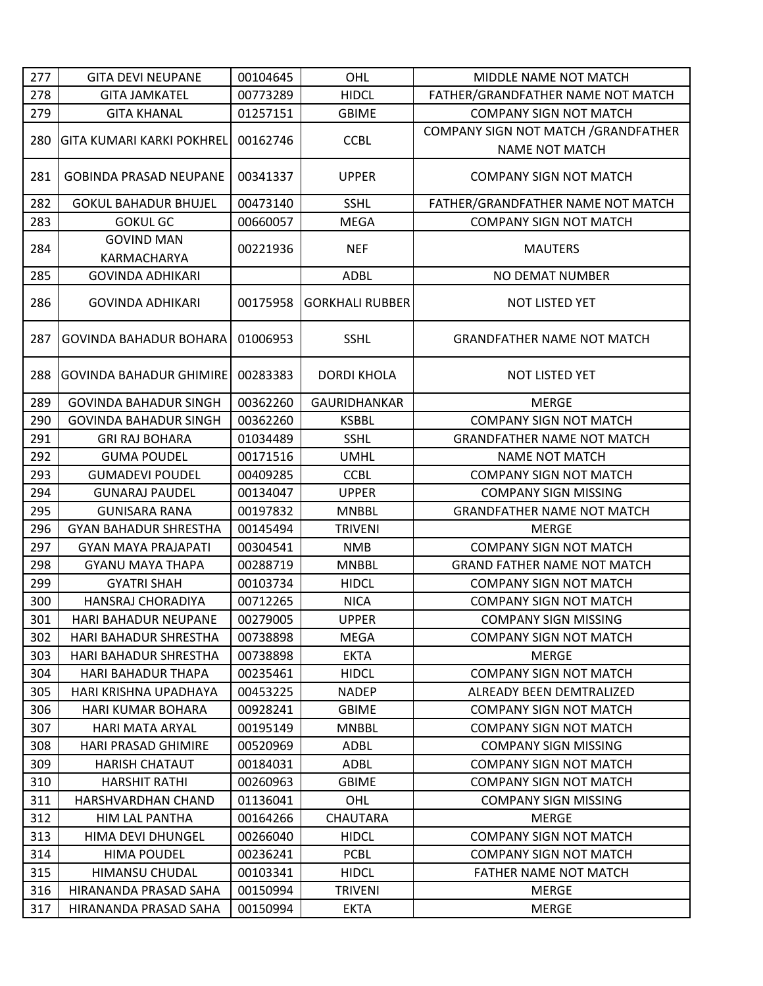| 277        | <b>GITA DEVI NEUPANE</b>                           | 00104645             | OHL                         | MIDDLE NAME NOT MATCH                         |
|------------|----------------------------------------------------|----------------------|-----------------------------|-----------------------------------------------|
| 278        | <b>GITA JAMKATEL</b>                               | 00773289             | <b>HIDCL</b>                | FATHER/GRANDFATHER NAME NOT MATCH             |
| 279        | <b>GITA KHANAL</b>                                 | 01257151             | <b>GBIME</b>                | <b>COMPANY SIGN NOT MATCH</b>                 |
| 280        | <b>GITA KUMARI KARKI POKHREL</b>                   | 00162746             | <b>CCBL</b>                 | COMPANY SIGN NOT MATCH / GRANDFATHER          |
|            |                                                    |                      |                             | <b>NAME NOT MATCH</b>                         |
| 281        | <b>GOBINDA PRASAD NEUPANE</b>                      | 00341337             | <b>UPPER</b>                | <b>COMPANY SIGN NOT MATCH</b>                 |
| 282        | <b>GOKUL BAHADUR BHUJEL</b>                        | 00473140             | <b>SSHL</b>                 | FATHER/GRANDFATHER NAME NOT MATCH             |
| 283        | <b>GOKUL GC</b>                                    | 00660057             | <b>MEGA</b>                 | <b>COMPANY SIGN NOT MATCH</b>                 |
| 284        | <b>GOVIND MAN</b><br>KARMACHARYA                   | 00221936             | <b>NEF</b>                  | <b>MAUTERS</b>                                |
| 285        | <b>GOVINDA ADHIKARI</b>                            |                      | <b>ADBL</b>                 | NO DEMAT NUMBER                               |
| 286        | <b>GOVINDA ADHIKARI</b>                            | 00175958             | <b>GORKHALI RUBBER</b>      | NOT LISTED YET                                |
| 287        | GOVINDA BAHADUR BOHARA                             | 01006953             | <b>SSHL</b>                 | <b>GRANDFATHER NAME NOT MATCH</b>             |
| 288        | <b>GOVINDA BAHADUR GHIMIRE</b>                     | 00283383             | <b>DORDI KHOLA</b>          | NOT LISTED YET                                |
| 289        | <b>GOVINDA BAHADUR SINGH</b>                       | 00362260             | <b>GAURIDHANKAR</b>         | <b>MERGE</b>                                  |
| 290        | <b>GOVINDA BAHADUR SINGH</b>                       | 00362260             | <b>KSBBL</b>                | <b>COMPANY SIGN NOT MATCH</b>                 |
| 291        | <b>GRI RAJ BOHARA</b>                              | 01034489             | <b>SSHL</b>                 | <b>GRANDFATHER NAME NOT MATCH</b>             |
| 292        | <b>GUMA POUDEL</b>                                 | 00171516             | <b>UMHL</b>                 | <b>NAME NOT MATCH</b>                         |
| 293        | <b>GUMADEVI POUDEL</b>                             | 00409285             | <b>CCBL</b>                 | <b>COMPANY SIGN NOT MATCH</b>                 |
| 294        | <b>GUNARAJ PAUDEL</b>                              | 00134047             | <b>UPPER</b>                | <b>COMPANY SIGN MISSING</b>                   |
| 295        | <b>GUNISARA RANA</b>                               | 00197832             | <b>MNBBL</b>                | <b>GRANDFATHER NAME NOT MATCH</b>             |
| 296        | <b>GYAN BAHADUR SHRESTHA</b>                       | 00145494             | <b>TRIVENI</b>              | <b>MERGE</b>                                  |
| 297        | <b>GYAN MAYA PRAJAPATI</b>                         | 00304541             | <b>NMB</b>                  | <b>COMPANY SIGN NOT MATCH</b>                 |
| 298        | <b>GYANU MAYA THAPA</b>                            | 00288719             | <b>MNBBL</b>                | <b>GRAND FATHER NAME NOT MATCH</b>            |
| 299        | <b>GYATRI SHAH</b>                                 | 00103734             | <b>HIDCL</b>                | <b>COMPANY SIGN NOT MATCH</b>                 |
| 300        | HANSRAJ CHORADIYA                                  | 00712265             | <b>NICA</b>                 | <b>COMPANY SIGN NOT MATCH</b>                 |
| 301        | HARI BAHADUR NEUPANE                               | 00279005             | <b>UPPER</b>                | <b>COMPANY SIGN MISSING</b>                   |
| 302        | HARI BAHADUR SHRESTHA                              | 00738898             | <b>MEGA</b>                 | <b>COMPANY SIGN NOT MATCH</b>                 |
| 303        | <b>HARI BAHADUR SHRESTHA</b>                       | 00738898<br>00235461 | <b>EKTA</b><br><b>HIDCL</b> | <b>MERGE</b><br><b>COMPANY SIGN NOT MATCH</b> |
| 304<br>305 | <b>HARI BAHADUR THAPA</b><br>HARI KRISHNA UPADHAYA | 00453225             | <b>NADEP</b>                | ALREADY BEEN DEMTRALIZED                      |
| 306        | HARI KUMAR BOHARA                                  | 00928241             | <b>GBIME</b>                | <b>COMPANY SIGN NOT MATCH</b>                 |
| 307        | <b>HARI MATA ARYAL</b>                             | 00195149             | <b>MNBBL</b>                | <b>COMPANY SIGN NOT MATCH</b>                 |
| 308        | HARI PRASAD GHIMIRE                                | 00520969             | ADBL                        | <b>COMPANY SIGN MISSING</b>                   |
| 309        | <b>HARISH CHATAUT</b>                              | 00184031             | <b>ADBL</b>                 | <b>COMPANY SIGN NOT MATCH</b>                 |
| 310        | <b>HARSHIT RATHI</b>                               | 00260963             | <b>GBIME</b>                | <b>COMPANY SIGN NOT MATCH</b>                 |
| 311        | HARSHVARDHAN CHAND                                 | 01136041             | OHL                         | <b>COMPANY SIGN MISSING</b>                   |
| 312        | HIM LAL PANTHA                                     | 00164266             | CHAUTARA                    | <b>MERGE</b>                                  |
| 313        | HIMA DEVI DHUNGEL                                  | 00266040             | <b>HIDCL</b>                | <b>COMPANY SIGN NOT MATCH</b>                 |
| 314        | <b>HIMA POUDEL</b>                                 | 00236241             | <b>PCBL</b>                 | <b>COMPANY SIGN NOT MATCH</b>                 |
| 315        | HIMANSU CHUDAL                                     | 00103341             | <b>HIDCL</b>                | FATHER NAME NOT MATCH                         |
| 316        | HIRANANDA PRASAD SAHA                              | 00150994             | <b>TRIVENI</b>              | <b>MERGE</b>                                  |
| 317        | HIRANANDA PRASAD SAHA                              | 00150994             | <b>EKTA</b>                 | <b>MERGE</b>                                  |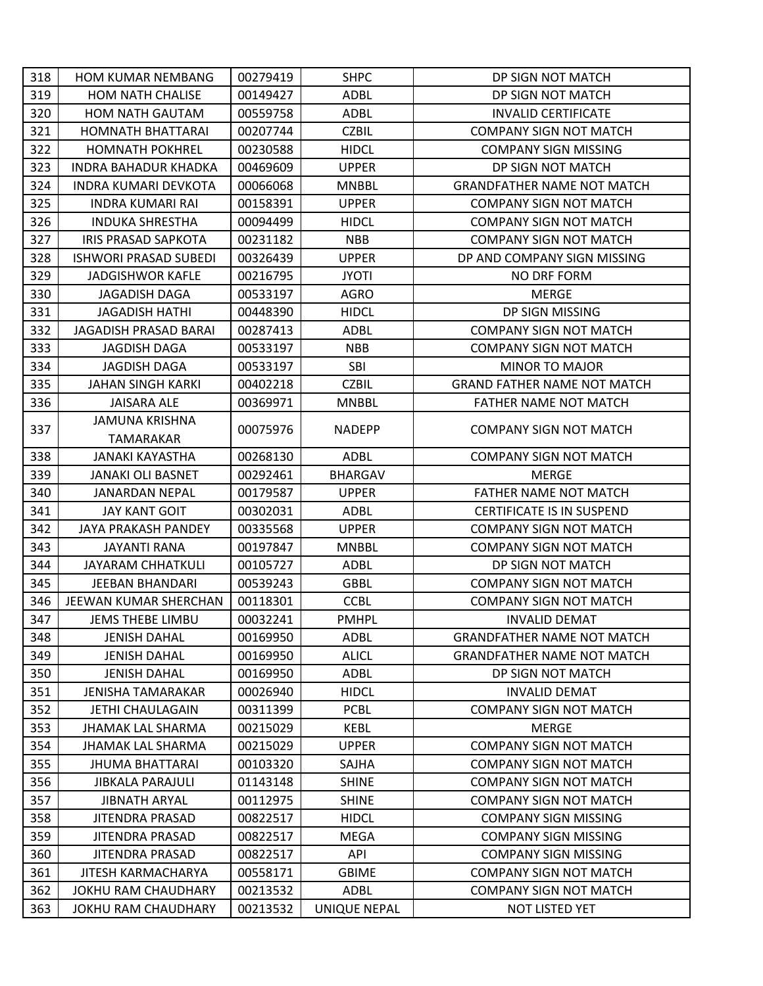| 318 | <b>HOM KUMAR NEMBANG</b>     | 00279419 | <b>SHPC</b>         | DP SIGN NOT MATCH                  |
|-----|------------------------------|----------|---------------------|------------------------------------|
| 319 | <b>HOM NATH CHALISE</b>      | 00149427 | <b>ADBL</b>         | DP SIGN NOT MATCH                  |
| 320 | <b>HOM NATH GAUTAM</b>       | 00559758 | ADBL                | <b>INVALID CERTIFICATE</b>         |
| 321 | HOMNATH BHATTARAI            | 00207744 | <b>CZBIL</b>        | <b>COMPANY SIGN NOT MATCH</b>      |
| 322 | <b>HOMNATH POKHREL</b>       | 00230588 | <b>HIDCL</b>        | <b>COMPANY SIGN MISSING</b>        |
| 323 | INDRA BAHADUR KHADKA         | 00469609 | <b>UPPER</b>        | DP SIGN NOT MATCH                  |
| 324 | <b>INDRA KUMARI DEVKOTA</b>  | 00066068 | <b>MNBBL</b>        | <b>GRANDFATHER NAME NOT MATCH</b>  |
| 325 | <b>INDRA KUMARI RAI</b>      | 00158391 | <b>UPPER</b>        | <b>COMPANY SIGN NOT MATCH</b>      |
| 326 | <b>INDUKA SHRESTHA</b>       | 00094499 | <b>HIDCL</b>        | <b>COMPANY SIGN NOT MATCH</b>      |
| 327 | IRIS PRASAD SAPKOTA          | 00231182 | <b>NBB</b>          | <b>COMPANY SIGN NOT MATCH</b>      |
| 328 | <b>ISHWORI PRASAD SUBEDI</b> | 00326439 | <b>UPPER</b>        | DP AND COMPANY SIGN MISSING        |
| 329 | <b>JADGISHWOR KAFLE</b>      | 00216795 | <b>JYOTI</b>        | NO DRF FORM                        |
| 330 | JAGADISH DAGA                | 00533197 | <b>AGRO</b>         | <b>MERGE</b>                       |
| 331 | <b>JAGADISH HATHI</b>        | 00448390 | <b>HIDCL</b>        | DP SIGN MISSING                    |
| 332 | JAGADISH PRASAD BARAI        | 00287413 | <b>ADBL</b>         | <b>COMPANY SIGN NOT MATCH</b>      |
| 333 | <b>JAGDISH DAGA</b>          | 00533197 | <b>NBB</b>          | <b>COMPANY SIGN NOT MATCH</b>      |
| 334 | <b>JAGDISH DAGA</b>          | 00533197 | <b>SBI</b>          | <b>MINOR TO MAJOR</b>              |
| 335 | <b>JAHAN SINGH KARKI</b>     | 00402218 | <b>CZBIL</b>        | <b>GRAND FATHER NAME NOT MATCH</b> |
| 336 | <b>JAISARA ALE</b>           | 00369971 | <b>MNBBL</b>        | FATHER NAME NOT MATCH              |
| 337 | <b>JAMUNA KRISHNA</b>        | 00075976 | <b>NADEPP</b>       | <b>COMPANY SIGN NOT MATCH</b>      |
|     | TAMARAKAR                    |          |                     |                                    |
| 338 | JANAKI KAYASTHA              | 00268130 | ADBL                | <b>COMPANY SIGN NOT MATCH</b>      |
| 339 | JANAKI OLI BASNET            | 00292461 | <b>BHARGAV</b>      | <b>MERGE</b>                       |
| 340 | <b>JANARDAN NEPAL</b>        | 00179587 | <b>UPPER</b>        | <b>FATHER NAME NOT MATCH</b>       |
| 341 | <b>JAY KANT GOIT</b>         | 00302031 | ADBL                | <b>CERTIFICATE IS IN SUSPEND</b>   |
| 342 | JAYA PRAKASH PANDEY          | 00335568 | <b>UPPER</b>        | <b>COMPANY SIGN NOT MATCH</b>      |
| 343 | JAYANTI RANA                 | 00197847 | <b>MNBBL</b>        | <b>COMPANY SIGN NOT MATCH</b>      |
| 344 | JAYARAM CHHATKULI            | 00105727 | ADBL                | DP SIGN NOT MATCH                  |
| 345 | JEEBAN BHANDARI              | 00539243 | <b>GBBL</b>         | <b>COMPANY SIGN NOT MATCH</b>      |
| 346 | JEEWAN KUMAR SHERCHAN        | 00118301 | <b>CCBL</b>         | <b>COMPANY SIGN NOT MATCH</b>      |
| 347 | <b>JEMS THEBE LIMBU</b>      | 00032241 | <b>PMHPL</b>        | <b>INVALID DEMAT</b>               |
| 348 | <b>JENISH DAHAL</b>          | 00169950 | <b>ADBL</b>         | <b>GRANDFATHER NAME NOT MATCH</b>  |
| 349 | <b>JENISH DAHAL</b>          | 00169950 | <b>ALICL</b>        | <b>GRANDFATHER NAME NOT MATCH</b>  |
| 350 | <b>JENISH DAHAL</b>          | 00169950 | ADBL                | DP SIGN NOT MATCH                  |
| 351 | JENISHA TAMARAKAR            | 00026940 | <b>HIDCL</b>        | <b>INVALID DEMAT</b>               |
| 352 | JETHI CHAULAGAIN             | 00311399 | <b>PCBL</b>         | <b>COMPANY SIGN NOT MATCH</b>      |
| 353 | <b>JHAMAK LAL SHARMA</b>     | 00215029 | <b>KEBL</b>         | <b>MERGE</b>                       |
| 354 | <b>JHAMAK LAL SHARMA</b>     | 00215029 | <b>UPPER</b>        | <b>COMPANY SIGN NOT MATCH</b>      |
| 355 | JHUMA BHATTARAI              | 00103320 | SAJHA               | <b>COMPANY SIGN NOT MATCH</b>      |
| 356 | <b>JIBKALA PARAJULI</b>      | 01143148 | <b>SHINE</b>        | <b>COMPANY SIGN NOT MATCH</b>      |
| 357 | JIBNATH ARYAL                | 00112975 | <b>SHINE</b>        | <b>COMPANY SIGN NOT MATCH</b>      |
| 358 | <b>JITENDRA PRASAD</b>       | 00822517 | <b>HIDCL</b>        | <b>COMPANY SIGN MISSING</b>        |
| 359 | JITENDRA PRASAD              | 00822517 | MEGA                | <b>COMPANY SIGN MISSING</b>        |
| 360 | <b>JITENDRA PRASAD</b>       | 00822517 | API                 | <b>COMPANY SIGN MISSING</b>        |
| 361 | JITESH KARMACHARYA           | 00558171 | <b>GBIME</b>        | <b>COMPANY SIGN NOT MATCH</b>      |
| 362 | JOKHU RAM CHAUDHARY          | 00213532 | <b>ADBL</b>         | <b>COMPANY SIGN NOT MATCH</b>      |
| 363 | JOKHU RAM CHAUDHARY          | 00213532 | <b>UNIQUE NEPAL</b> | NOT LISTED YET                     |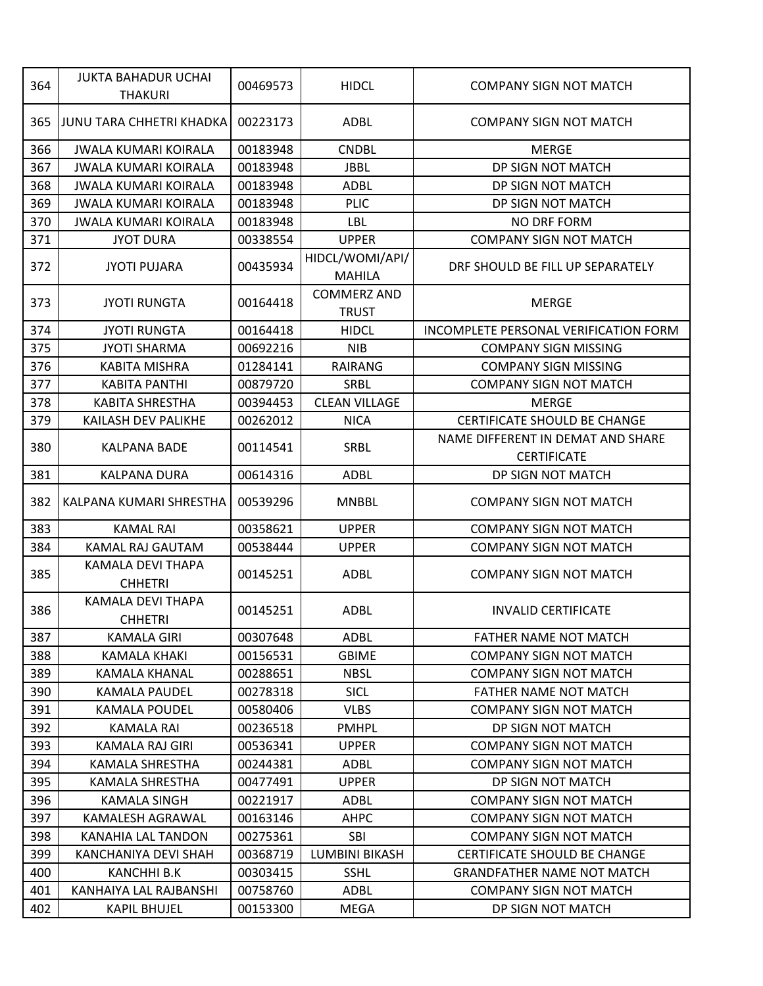| 364 | <b>JUKTA BAHADUR UCHAI</b><br><b>THAKURI</b> | 00469573 | <b>HIDCL</b>                       | <b>COMPANY SIGN NOT MATCH</b>                           |
|-----|----------------------------------------------|----------|------------------------------------|---------------------------------------------------------|
| 365 | <b>JUNU TARA CHHETRI KHADKA</b>              | 00223173 | ADBL                               | <b>COMPANY SIGN NOT MATCH</b>                           |
| 366 | <b>JWALA KUMARI KOIRALA</b>                  | 00183948 | <b>CNDBL</b>                       | <b>MERGE</b>                                            |
| 367 | <b>JWALA KUMARI KOIRALA</b>                  | 00183948 | <b>JBBL</b>                        | DP SIGN NOT MATCH                                       |
| 368 | <b>JWALA KUMARI KOIRALA</b>                  | 00183948 | <b>ADBL</b>                        | DP SIGN NOT MATCH                                       |
| 369 | <b>JWALA KUMARI KOIRALA</b>                  | 00183948 | <b>PLIC</b>                        | DP SIGN NOT MATCH                                       |
| 370 | <b>JWALA KUMARI KOIRALA</b>                  | 00183948 | LBL                                | <b>NO DRF FORM</b>                                      |
| 371 | <b>JYOT DURA</b>                             | 00338554 | <b>UPPER</b>                       | <b>COMPANY SIGN NOT MATCH</b>                           |
| 372 | <b>JYOTI PUJARA</b>                          | 00435934 | HIDCL/WOMI/API/<br><b>MAHILA</b>   | DRF SHOULD BE FILL UP SEPARATELY                        |
| 373 | <b>JYOTI RUNGTA</b>                          | 00164418 | <b>COMMERZ AND</b><br><b>TRUST</b> | <b>MERGE</b>                                            |
| 374 | <b>JYOTI RUNGTA</b>                          | 00164418 | <b>HIDCL</b>                       | INCOMPLETE PERSONAL VERIFICATION FORM                   |
| 375 | <b>JYOTI SHARMA</b>                          | 00692216 | <b>NIB</b>                         | <b>COMPANY SIGN MISSING</b>                             |
| 376 | <b>KABITA MISHRA</b>                         | 01284141 | <b>RAIRANG</b>                     | <b>COMPANY SIGN MISSING</b>                             |
| 377 | <b>KABITA PANTHI</b>                         | 00879720 | <b>SRBL</b>                        | <b>COMPANY SIGN NOT MATCH</b>                           |
| 378 | <b>KABITA SHRESTHA</b>                       | 00394453 | <b>CLEAN VILLAGE</b>               | <b>MERGE</b>                                            |
| 379 | KAILASH DEV PALIKHE                          | 00262012 | <b>NICA</b>                        | <b>CERTIFICATE SHOULD BE CHANGE</b>                     |
| 380 | KALPANA BADE                                 | 00114541 | <b>SRBL</b>                        | NAME DIFFERENT IN DEMAT AND SHARE<br><b>CERTIFICATE</b> |
| 381 | <b>KALPANA DURA</b>                          | 00614316 | <b>ADBL</b>                        | DP SIGN NOT MATCH                                       |
| 382 | KALPANA KUMARI SHRESTHA                      | 00539296 | <b>MNBBL</b>                       | <b>COMPANY SIGN NOT MATCH</b>                           |
| 383 | <b>KAMAL RAI</b>                             | 00358621 | <b>UPPER</b>                       | <b>COMPANY SIGN NOT MATCH</b>                           |
| 384 | KAMAL RAJ GAUTAM                             | 00538444 | <b>UPPER</b>                       | <b>COMPANY SIGN NOT MATCH</b>                           |
| 385 | KAMALA DEVI THAPA<br><b>CHHETRI</b>          | 00145251 | <b>ADBL</b>                        | <b>COMPANY SIGN NOT MATCH</b>                           |
| 386 | KAMALA DEVI THAPA<br><b>CHHETRI</b>          | 00145251 | <b>ADBL</b>                        | <b>INVALID CERTIFICATE</b>                              |
| 387 | <b>KAMALA GIRI</b>                           | 00307648 | ADBL                               | FATHER NAME NOT MATCH                                   |
| 388 | KAMALA KHAKI                                 | 00156531 | <b>GBIME</b>                       | <b>COMPANY SIGN NOT MATCH</b>                           |
| 389 | KAMALA KHANAL                                | 00288651 | <b>NBSL</b>                        | <b>COMPANY SIGN NOT MATCH</b>                           |
| 390 | <b>KAMALA PAUDEL</b>                         | 00278318 | SICL                               | FATHER NAME NOT MATCH                                   |
| 391 | <b>KAMALA POUDEL</b>                         | 00580406 | <b>VLBS</b>                        | <b>COMPANY SIGN NOT MATCH</b>                           |
| 392 | <b>KAMALA RAI</b>                            | 00236518 | <b>PMHPL</b>                       | DP SIGN NOT MATCH                                       |
| 393 | KAMALA RAJ GIRI                              | 00536341 | <b>UPPER</b>                       | <b>COMPANY SIGN NOT MATCH</b>                           |
| 394 | KAMALA SHRESTHA                              | 00244381 | ADBL                               | <b>COMPANY SIGN NOT MATCH</b>                           |
| 395 | KAMALA SHRESTHA                              | 00477491 | <b>UPPER</b>                       | DP SIGN NOT MATCH                                       |
| 396 | KAMALA SINGH                                 | 00221917 | ADBL                               | <b>COMPANY SIGN NOT MATCH</b>                           |
| 397 | KAMALESH AGRAWAL                             | 00163146 | <b>AHPC</b>                        | <b>COMPANY SIGN NOT MATCH</b>                           |
| 398 | KANAHIA LAL TANDON                           | 00275361 | SBI                                | <b>COMPANY SIGN NOT MATCH</b>                           |
| 399 | KANCHANIYA DEVI SHAH                         | 00368719 | LUMBINI BIKASH                     | <b>CERTIFICATE SHOULD BE CHANGE</b>                     |
| 400 | KANCHHI B.K                                  | 00303415 | <b>SSHL</b>                        | <b>GRANDFATHER NAME NOT MATCH</b>                       |
| 401 | KANHAIYA LAL RAJBANSHI                       | 00758760 | ADBL                               | <b>COMPANY SIGN NOT MATCH</b>                           |
| 402 | <b>KAPIL BHUJEL</b>                          | 00153300 | <b>MEGA</b>                        | DP SIGN NOT MATCH                                       |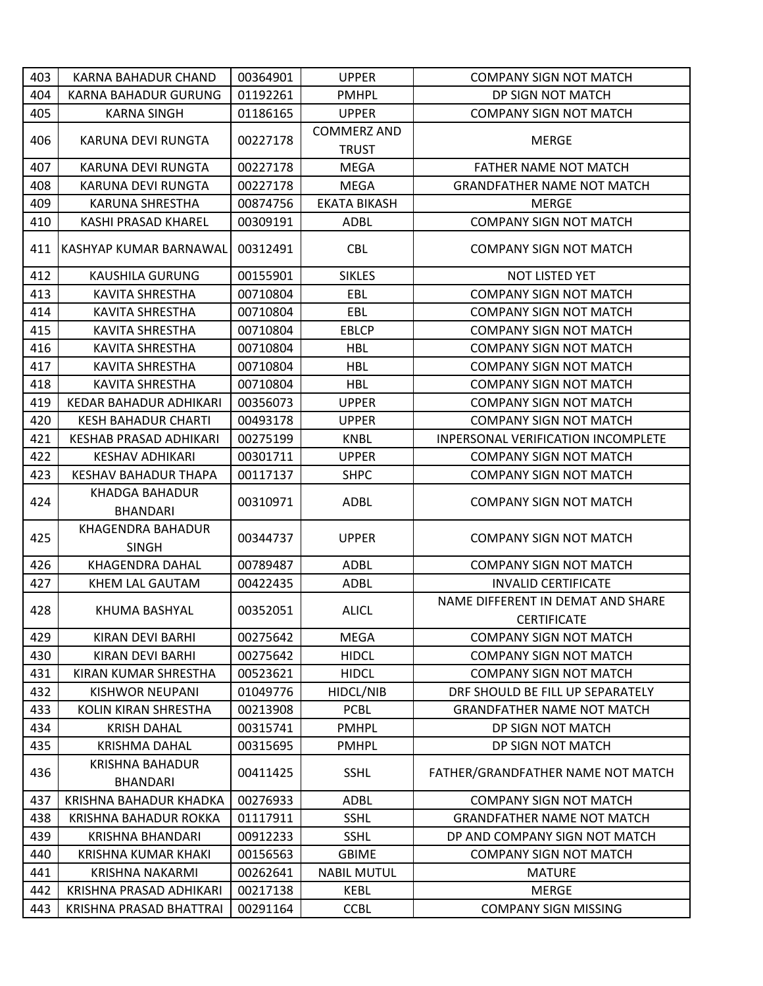| 403 | KARNA BAHADUR CHAND                       | 00364901 | <b>UPPER</b>        | <b>COMPANY SIGN NOT MATCH</b>                           |
|-----|-------------------------------------------|----------|---------------------|---------------------------------------------------------|
| 404 | <b>KARNA BAHADUR GURUNG</b>               | 01192261 | <b>PMHPL</b>        | DP SIGN NOT MATCH                                       |
| 405 | <b>KARNA SINGH</b>                        | 01186165 | <b>UPPER</b>        | <b>COMPANY SIGN NOT MATCH</b>                           |
| 406 | KARUNA DEVI RUNGTA                        | 00227178 | <b>COMMERZ AND</b>  | MERGE                                                   |
|     |                                           |          | <b>TRUST</b>        |                                                         |
| 407 | KARUNA DEVI RUNGTA                        | 00227178 | <b>MEGA</b>         | <b>FATHER NAME NOT MATCH</b>                            |
| 408 | KARUNA DEVI RUNGTA                        | 00227178 | MEGA                | <b>GRANDFATHER NAME NOT MATCH</b>                       |
| 409 | KARUNA SHRESTHA                           | 00874756 | <b>EKATA BIKASH</b> | <b>MERGE</b>                                            |
| 410 | KASHI PRASAD KHAREL                       | 00309191 | <b>ADBL</b>         | <b>COMPANY SIGN NOT MATCH</b>                           |
| 411 | <b>IKASHYAP KUMAR BARNAWAL</b>            | 00312491 | <b>CBL</b>          | <b>COMPANY SIGN NOT MATCH</b>                           |
| 412 | KAUSHILA GURUNG                           | 00155901 | <b>SIKLES</b>       | NOT LISTED YET                                          |
| 413 | KAVITA SHRESTHA                           | 00710804 | EBL                 | <b>COMPANY SIGN NOT MATCH</b>                           |
| 414 | <b>KAVITA SHRESTHA</b>                    | 00710804 | EBL                 | <b>COMPANY SIGN NOT MATCH</b>                           |
| 415 | <b>KAVITA SHRESTHA</b>                    | 00710804 | <b>EBLCP</b>        | <b>COMPANY SIGN NOT MATCH</b>                           |
| 416 | <b>KAVITA SHRESTHA</b>                    | 00710804 | <b>HBL</b>          | <b>COMPANY SIGN NOT MATCH</b>                           |
| 417 | <b>KAVITA SHRESTHA</b>                    | 00710804 | <b>HBL</b>          | <b>COMPANY SIGN NOT MATCH</b>                           |
| 418 | <b>KAVITA SHRESTHA</b>                    | 00710804 | <b>HBL</b>          | <b>COMPANY SIGN NOT MATCH</b>                           |
| 419 | KEDAR BAHADUR ADHIKARI                    | 00356073 | <b>UPPER</b>        | <b>COMPANY SIGN NOT MATCH</b>                           |
| 420 | <b>KESH BAHADUR CHARTI</b>                | 00493178 | <b>UPPER</b>        | <b>COMPANY SIGN NOT MATCH</b>                           |
| 421 | <b>KESHAB PRASAD ADHIKARI</b>             | 00275199 | <b>KNBL</b>         | INPERSONAL VERIFICATION INCOMPLETE                      |
| 422 | <b>KESHAV ADHIKARI</b>                    | 00301711 | <b>UPPER</b>        | <b>COMPANY SIGN NOT MATCH</b>                           |
| 423 | <b>KESHAV BAHADUR THAPA</b>               | 00117137 | <b>SHPC</b>         | <b>COMPANY SIGN NOT MATCH</b>                           |
|     | KHADGA BAHADUR                            |          |                     |                                                         |
| 424 | <b>BHANDARI</b>                           | 00310971 | <b>ADBL</b>         | <b>COMPANY SIGN NOT MATCH</b>                           |
| 425 | KHAGENDRA BAHADUR                         |          |                     |                                                         |
|     | <b>SINGH</b>                              | 00344737 | <b>UPPER</b>        | <b>COMPANY SIGN NOT MATCH</b>                           |
| 426 | <b>KHAGENDRA DAHAL</b>                    | 00789487 | <b>ADBL</b>         | <b>COMPANY SIGN NOT MATCH</b>                           |
| 427 | KHEM LAL GAUTAM                           | 00422435 | <b>ADBL</b>         | <b>INVALID CERTIFICATE</b>                              |
| 428 | KHUMA BASHYAL                             | 00352051 | <b>ALICL</b>        | NAME DIFFERENT IN DEMAT AND SHARE<br><b>CERTIFICATE</b> |
| 429 | KIRAN DEVI BARHI                          | 00275642 | <b>MEGA</b>         | <b>COMPANY SIGN NOT MATCH</b>                           |
| 430 | KIRAN DEVI BARHI                          | 00275642 | <b>HIDCL</b>        | <b>COMPANY SIGN NOT MATCH</b>                           |
| 431 | KIRAN KUMAR SHRESTHA                      | 00523621 | <b>HIDCL</b>        | <b>COMPANY SIGN NOT MATCH</b>                           |
| 432 | KISHWOR NEUPANI                           | 01049776 | HIDCL/NIB           | DRF SHOULD BE FILL UP SEPARATELY                        |
| 433 | KOLIN KIRAN SHRESTHA                      | 00213908 | <b>PCBL</b>         | <b>GRANDFATHER NAME NOT MATCH</b>                       |
| 434 | <b>KRISH DAHAL</b>                        | 00315741 | <b>PMHPL</b>        | DP SIGN NOT MATCH                                       |
| 435 | <b>KRISHMA DAHAL</b>                      | 00315695 | <b>PMHPL</b>        | DP SIGN NOT MATCH                                       |
| 436 | <b>KRISHNA BAHADUR</b><br><b>BHANDARI</b> | 00411425 | <b>SSHL</b>         | FATHER/GRANDFATHER NAME NOT MATCH                       |
| 437 | KRISHNA BAHADUR KHADKA                    | 00276933 | <b>ADBL</b>         | <b>COMPANY SIGN NOT MATCH</b>                           |
| 438 | KRISHNA BAHADUR ROKKA                     | 01117911 | <b>SSHL</b>         | <b>GRANDFATHER NAME NOT MATCH</b>                       |
| 439 | KRISHNA BHANDARI                          | 00912233 | <b>SSHL</b>         | DP AND COMPANY SIGN NOT MATCH                           |
| 440 | KRISHNA KUMAR KHAKI                       | 00156563 | <b>GBIME</b>        | <b>COMPANY SIGN NOT MATCH</b>                           |
| 441 | <b>KRISHNA NAKARMI</b>                    | 00262641 | <b>NABIL MUTUL</b>  | <b>MATURE</b>                                           |
| 442 | KRISHNA PRASAD ADHIKARI                   | 00217138 | KEBL                | <b>MERGE</b>                                            |
| 443 | KRISHNA PRASAD BHATTRAI                   | 00291164 | <b>CCBL</b>         | <b>COMPANY SIGN MISSING</b>                             |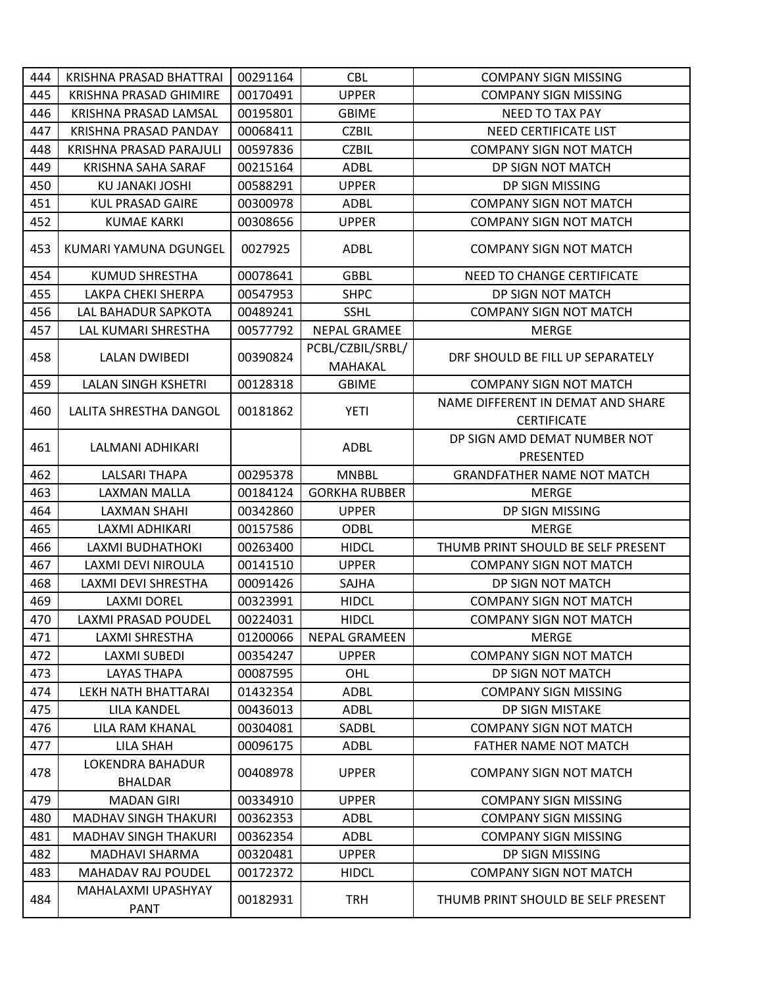| 444 | KRISHNA PRASAD BHATTRAI                   | 00291164 | <b>CBL</b>                  | <b>COMPANY SIGN MISSING</b>                             |
|-----|-------------------------------------------|----------|-----------------------------|---------------------------------------------------------|
| 445 | <b>KRISHNA PRASAD GHIMIRE</b>             | 00170491 | <b>UPPER</b>                | <b>COMPANY SIGN MISSING</b>                             |
| 446 | KRISHNA PRASAD LAMSAL                     | 00195801 | <b>GBIME</b>                | <b>NEED TO TAX PAY</b>                                  |
| 447 | KRISHNA PRASAD PANDAY                     | 00068411 | <b>CZBIL</b>                | NEED CERTIFICATE LIST                                   |
| 448 | KRISHNA PRASAD PARAJULI                   | 00597836 | <b>CZBIL</b>                | <b>COMPANY SIGN NOT MATCH</b>                           |
| 449 | KRISHNA SAHA SARAF                        | 00215164 | <b>ADBL</b>                 | DP SIGN NOT MATCH                                       |
| 450 | KU JANAKI JOSHI                           | 00588291 | <b>UPPER</b>                | DP SIGN MISSING                                         |
| 451 | <b>KUL PRASAD GAIRE</b>                   | 00300978 | ADBL                        | <b>COMPANY SIGN NOT MATCH</b>                           |
| 452 | <b>KUMAE KARKI</b>                        | 00308656 | <b>UPPER</b>                | <b>COMPANY SIGN NOT MATCH</b>                           |
| 453 | KUMARI YAMUNA DGUNGEL                     | 0027925  | <b>ADBL</b>                 | <b>COMPANY SIGN NOT MATCH</b>                           |
| 454 | <b>KUMUD SHRESTHA</b>                     | 00078641 | <b>GBBL</b>                 | NEED TO CHANGE CERTIFICATE                              |
| 455 | LAKPA CHEKI SHERPA                        | 00547953 | <b>SHPC</b>                 | DP SIGN NOT MATCH                                       |
| 456 | LAL BAHADUR SAPKOTA                       | 00489241 | <b>SSHL</b>                 | <b>COMPANY SIGN NOT MATCH</b>                           |
| 457 | LAL KUMARI SHRESTHA                       | 00577792 | <b>NEPAL GRAMEE</b>         | <b>MERGE</b>                                            |
| 458 | <b>LALAN DWIBEDI</b>                      | 00390824 | PCBL/CZBIL/SRBL/<br>MAHAKAL | DRF SHOULD BE FILL UP SEPARATELY                        |
| 459 | LALAN SINGH KSHETRI                       | 00128318 | <b>GBIME</b>                | <b>COMPANY SIGN NOT MATCH</b>                           |
| 460 | LALITA SHRESTHA DANGOL                    | 00181862 | <b>YETI</b>                 | NAME DIFFERENT IN DEMAT AND SHARE<br><b>CERTIFICATE</b> |
| 461 | LALMANI ADHIKARI                          |          | ADBL                        | DP SIGN AMD DEMAT NUMBER NOT<br>PRESENTED               |
| 462 | <b>LALSARI THAPA</b>                      | 00295378 | <b>MNBBL</b>                | <b>GRANDFATHER NAME NOT MATCH</b>                       |
| 463 | LAXMAN MALLA                              | 00184124 | <b>GORKHA RUBBER</b>        | <b>MERGE</b>                                            |
| 464 | <b>LAXMAN SHAHI</b>                       | 00342860 | <b>UPPER</b>                | DP SIGN MISSING                                         |
| 465 | LAXMI ADHIKARI                            | 00157586 | <b>ODBL</b>                 | <b>MERGE</b>                                            |
| 466 | LAXMI BUDHATHOKI                          | 00263400 | <b>HIDCL</b>                | THUMB PRINT SHOULD BE SELF PRESENT                      |
| 467 | LAXMI DEVI NIROULA                        | 00141510 | <b>UPPER</b>                | <b>COMPANY SIGN NOT MATCH</b>                           |
| 468 | LAXMI DEVI SHRESTHA                       | 00091426 | SAJHA                       | DP SIGN NOT MATCH                                       |
| 469 | <b>LAXMI DOREL</b>                        | 00323991 | <b>HIDCL</b>                | <b>COMPANY SIGN NOT MATCH</b>                           |
| 470 | LAXMI PRASAD POUDEL                       | 00224031 | <b>HIDCL</b>                | <b>COMPANY SIGN NOT MATCH</b>                           |
| 471 | LAXMI SHRESTHA                            | 01200066 | <b>NEPAL GRAMEEN</b>        | <b>MERGE</b>                                            |
| 472 | <b>LAXMI SUBEDI</b>                       | 00354247 | <b>UPPER</b>                | <b>COMPANY SIGN NOT MATCH</b>                           |
| 473 | <b>LAYAS THAPA</b>                        | 00087595 | OHL                         | DP SIGN NOT MATCH                                       |
| 474 | LEKH NATH BHATTARAI                       | 01432354 | <b>ADBL</b>                 | <b>COMPANY SIGN MISSING</b>                             |
| 475 | LILA KANDEL                               | 00436013 | ADBL                        | DP SIGN MISTAKE                                         |
| 476 | LILA RAM KHANAL                           | 00304081 | SADBL                       | <b>COMPANY SIGN NOT MATCH</b>                           |
| 477 | LILA SHAH                                 | 00096175 | ADBL                        | <b>FATHER NAME NOT MATCH</b>                            |
| 478 | <b>LOKENDRA BAHADUR</b><br><b>BHALDAR</b> | 00408978 | <b>UPPER</b>                | <b>COMPANY SIGN NOT MATCH</b>                           |
| 479 | <b>MADAN GIRI</b>                         | 00334910 | <b>UPPER</b>                | <b>COMPANY SIGN MISSING</b>                             |
| 480 | <b>MADHAV SINGH THAKURI</b>               | 00362353 | <b>ADBL</b>                 | <b>COMPANY SIGN MISSING</b>                             |
| 481 | <b>MADHAV SINGH THAKURI</b>               | 00362354 | ADBL                        | <b>COMPANY SIGN MISSING</b>                             |
| 482 | MADHAVI SHARMA                            | 00320481 | <b>UPPER</b>                | DP SIGN MISSING                                         |
| 483 | MAHADAV RAJ POUDEL                        | 00172372 | <b>HIDCL</b>                | <b>COMPANY SIGN NOT MATCH</b>                           |
| 484 | MAHALAXMI UPASHYAY<br><b>PANT</b>         | 00182931 | <b>TRH</b>                  | THUMB PRINT SHOULD BE SELF PRESENT                      |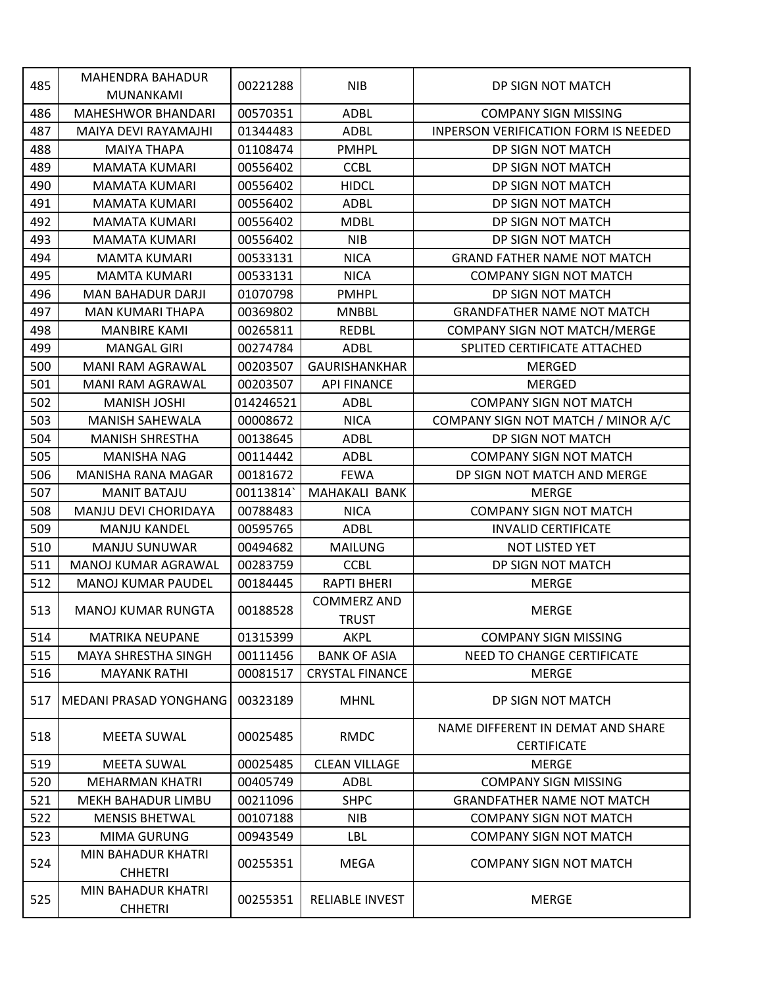| 485 | <b>MAHENDRA BAHADUR</b>              | 00221288  | <b>NIB</b>             | DP SIGN NOT MATCH                           |
|-----|--------------------------------------|-----------|------------------------|---------------------------------------------|
|     | <b>MUNANKAMI</b>                     |           |                        |                                             |
| 486 | <b>MAHESHWOR BHANDARI</b>            | 00570351  | <b>ADBL</b>            | <b>COMPANY SIGN MISSING</b>                 |
| 487 | MAIYA DEVI RAYAMAJHI                 | 01344483  | <b>ADBL</b>            | <b>INPERSON VERIFICATION FORM IS NEEDED</b> |
| 488 | <b>MAIYA THAPA</b>                   | 01108474  | <b>PMHPL</b>           | DP SIGN NOT MATCH                           |
| 489 | <b>MAMATA KUMARI</b>                 | 00556402  | <b>CCBL</b>            | DP SIGN NOT MATCH                           |
| 490 | <b>MAMATA KUMARI</b>                 | 00556402  | <b>HIDCL</b>           | DP SIGN NOT MATCH                           |
| 491 | <b>MAMATA KUMARI</b>                 | 00556402  | <b>ADBL</b>            | DP SIGN NOT MATCH                           |
| 492 | <b>MAMATA KUMARI</b>                 | 00556402  | <b>MDBL</b>            | DP SIGN NOT MATCH                           |
| 493 | MAMATA KUMARI                        | 00556402  | <b>NIB</b>             | DP SIGN NOT MATCH                           |
| 494 | <b>MAMTA KUMARI</b>                  | 00533131  | <b>NICA</b>            | <b>GRAND FATHER NAME NOT MATCH</b>          |
| 495 | <b>MAMTA KUMARI</b>                  | 00533131  | <b>NICA</b>            | <b>COMPANY SIGN NOT MATCH</b>               |
| 496 | <b>MAN BAHADUR DARJI</b>             | 01070798  | <b>PMHPL</b>           | DP SIGN NOT MATCH                           |
| 497 | <b>MAN KUMARI THAPA</b>              | 00369802  | <b>MNBBL</b>           | <b>GRANDFATHER NAME NOT MATCH</b>           |
| 498 | <b>MANBIRE KAMI</b>                  | 00265811  | <b>REDBL</b>           | COMPANY SIGN NOT MATCH/MERGE                |
| 499 | <b>MANGAL GIRI</b>                   | 00274784  | ADBL                   | SPLITED CERTIFICATE ATTACHED                |
| 500 | <b>MANI RAM AGRAWAL</b>              | 00203507  | <b>GAURISHANKHAR</b>   | <b>MERGED</b>                               |
| 501 | <b>MANI RAM AGRAWAL</b>              | 00203507  | <b>API FINANCE</b>     | <b>MERGED</b>                               |
| 502 | <b>MANISH JOSHI</b>                  | 014246521 | <b>ADBL</b>            | <b>COMPANY SIGN NOT MATCH</b>               |
| 503 | <b>MANISH SAHEWALA</b>               | 00008672  | <b>NICA</b>            | COMPANY SIGN NOT MATCH / MINOR A/C          |
| 504 | <b>MANISH SHRESTHA</b>               | 00138645  | ADBL                   | DP SIGN NOT MATCH                           |
| 505 | <b>MANISHA NAG</b>                   | 00114442  | <b>ADBL</b>            | <b>COMPANY SIGN NOT MATCH</b>               |
| 506 | <b>MANISHA RANA MAGAR</b>            | 00181672  | <b>FEWA</b>            | DP SIGN NOT MATCH AND MERGE                 |
| 507 | <b>MANIT BATAJU</b>                  | 00113814  | <b>MAHAKALI BANK</b>   | <b>MERGE</b>                                |
| 508 | MANJU DEVI CHORIDAYA                 | 00788483  | <b>NICA</b>            | <b>COMPANY SIGN NOT MATCH</b>               |
| 509 | <b>MANJU KANDEL</b>                  | 00595765  | ADBL                   | <b>INVALID CERTIFICATE</b>                  |
| 510 | MANJU SUNUWAR                        | 00494682  | <b>MAILUNG</b>         | NOT LISTED YET                              |
| 511 | MANOJ KUMAR AGRAWAL                  | 00283759  | <b>CCBL</b>            | DP SIGN NOT MATCH                           |
| 512 | <b>MANOJ KUMAR PAUDEL</b>            | 00184445  | <b>RAPTI BHERI</b>     | <b>MERGE</b>                                |
|     |                                      |           | <b>COMMERZ AND</b>     |                                             |
| 513 | <b>MANOJ KUMAR RUNGTA</b>            | 00188528  | <b>TRUST</b>           | <b>MERGE</b>                                |
| 514 | <b>MATRIKA NEUPANE</b>               | 01315399  | AKPL                   | <b>COMPANY SIGN MISSING</b>                 |
| 515 | <b>MAYA SHRESTHA SINGH</b>           | 00111456  | <b>BANK OF ASIA</b>    | NEED TO CHANGE CERTIFICATE                  |
| 516 | <b>MAYANK RATHI</b>                  | 00081517  | <b>CRYSTAL FINANCE</b> | <b>MERGE</b>                                |
| 517 | <b>MEDANI PRASAD YONGHANG</b>        | 00323189  | <b>MHNL</b>            | DP SIGN NOT MATCH                           |
| 518 | <b>MEETA SUWAL</b>                   | 00025485  | <b>RMDC</b>            | NAME DIFFERENT IN DEMAT AND SHARE           |
|     |                                      |           |                        | <b>CERTIFICATE</b>                          |
| 519 | <b>MEETA SUWAL</b>                   | 00025485  | <b>CLEAN VILLAGE</b>   | <b>MERGE</b>                                |
| 520 | <b>MEHARMAN KHATRI</b>               | 00405749  | <b>ADBL</b>            | <b>COMPANY SIGN MISSING</b>                 |
| 521 | MEKH BAHADUR LIMBU                   | 00211096  | <b>SHPC</b>            | <b>GRANDFATHER NAME NOT MATCH</b>           |
| 522 | <b>MENSIS BHETWAL</b>                | 00107188  | <b>NIB</b>             | <b>COMPANY SIGN NOT MATCH</b>               |
| 523 | MIMA GURUNG                          | 00943549  | LBL                    | <b>COMPANY SIGN NOT MATCH</b>               |
| 524 | MIN BAHADUR KHATRI<br><b>CHHETRI</b> | 00255351  | MEGA                   | <b>COMPANY SIGN NOT MATCH</b>               |
| 525 | MIN BAHADUR KHATRI<br><b>CHHETRI</b> | 00255351  | <b>RELIABLE INVEST</b> | <b>MERGE</b>                                |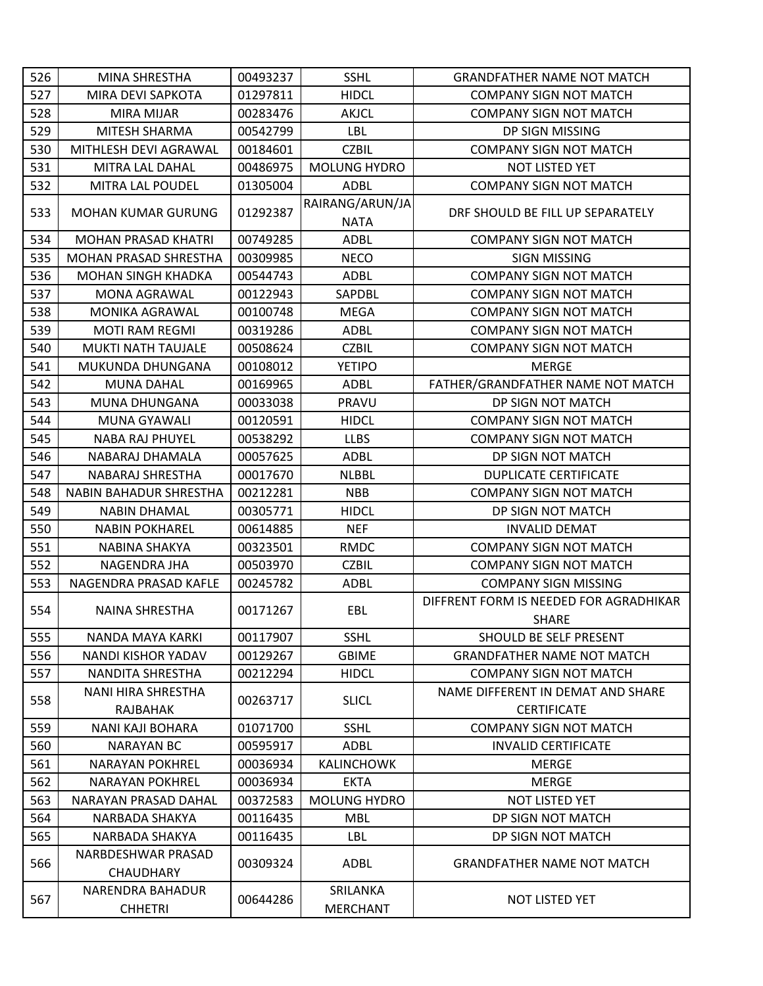| 526 | <b>MINA SHRESTHA</b>                   | 00493237 | <b>SSHL</b>                    | <b>GRANDFATHER NAME NOT MATCH</b>                       |
|-----|----------------------------------------|----------|--------------------------------|---------------------------------------------------------|
| 527 | MIRA DEVI SAPKOTA                      | 01297811 | <b>HIDCL</b>                   | <b>COMPANY SIGN NOT MATCH</b>                           |
| 528 | <b>MIRA MIJAR</b>                      | 00283476 | <b>AKJCL</b>                   | <b>COMPANY SIGN NOT MATCH</b>                           |
| 529 | MITESH SHARMA                          | 00542799 | LBL                            | DP SIGN MISSING                                         |
| 530 | MITHLESH DEVI AGRAWAL                  | 00184601 | <b>CZBIL</b>                   | <b>COMPANY SIGN NOT MATCH</b>                           |
| 531 | MITRA LAL DAHAL                        | 00486975 | <b>MOLUNG HYDRO</b>            | NOT LISTED YET                                          |
| 532 | MITRA LAL POUDEL                       | 01305004 | ADBL                           | <b>COMPANY SIGN NOT MATCH</b>                           |
| 533 | <b>MOHAN KUMAR GURUNG</b>              | 01292387 | RAIRANG/ARUN/JA<br><b>NATA</b> | DRF SHOULD BE FILL UP SEPARATELY                        |
| 534 | <b>MOHAN PRASAD KHATRI</b>             | 00749285 | <b>ADBL</b>                    | <b>COMPANY SIGN NOT MATCH</b>                           |
| 535 | <b>MOHAN PRASAD SHRESTHA</b>           | 00309985 | <b>NECO</b>                    | <b>SIGN MISSING</b>                                     |
| 536 | <b>MOHAN SINGH KHADKA</b>              | 00544743 | ADBL                           | <b>COMPANY SIGN NOT MATCH</b>                           |
| 537 | MONA AGRAWAL                           | 00122943 | SAPDBL                         | <b>COMPANY SIGN NOT MATCH</b>                           |
| 538 | <b>MONIKA AGRAWAL</b>                  | 00100748 | <b>MEGA</b>                    | <b>COMPANY SIGN NOT MATCH</b>                           |
| 539 | <b>MOTI RAM REGMI</b>                  | 00319286 | <b>ADBL</b>                    | <b>COMPANY SIGN NOT MATCH</b>                           |
| 540 | <b>MUKTI NATH TAUJALE</b>              | 00508624 | <b>CZBIL</b>                   | <b>COMPANY SIGN NOT MATCH</b>                           |
| 541 | MUKUNDA DHUNGANA                       | 00108012 | <b>YETIPO</b>                  | <b>MERGE</b>                                            |
| 542 | <b>MUNA DAHAL</b>                      | 00169965 | <b>ADBL</b>                    | FATHER/GRANDFATHER NAME NOT MATCH                       |
| 543 | MUNA DHUNGANA                          | 00033038 | PRAVU                          | DP SIGN NOT MATCH                                       |
| 544 | <b>MUNA GYAWALI</b>                    | 00120591 | <b>HIDCL</b>                   | <b>COMPANY SIGN NOT MATCH</b>                           |
| 545 | <b>NABA RAJ PHUYEL</b>                 | 00538292 | <b>LLBS</b>                    | <b>COMPANY SIGN NOT MATCH</b>                           |
| 546 | NABARAJ DHAMALA                        | 00057625 | <b>ADBL</b>                    | DP SIGN NOT MATCH                                       |
| 547 | NABARAJ SHRESTHA                       | 00017670 | <b>NLBBL</b>                   | <b>DUPLICATE CERTIFICATE</b>                            |
| 548 | NABIN BAHADUR SHRESTHA                 | 00212281 | <b>NBB</b>                     | <b>COMPANY SIGN NOT MATCH</b>                           |
| 549 | <b>NABIN DHAMAL</b>                    | 00305771 | <b>HIDCL</b>                   | DP SIGN NOT MATCH                                       |
| 550 | <b>NABIN POKHAREL</b>                  | 00614885 | <b>NEF</b>                     | <b>INVALID DEMAT</b>                                    |
| 551 | <b>NABINA SHAKYA</b>                   | 00323501 | <b>RMDC</b>                    | <b>COMPANY SIGN NOT MATCH</b>                           |
| 552 | NAGENDRA JHA                           | 00503970 | <b>CZBIL</b>                   | <b>COMPANY SIGN NOT MATCH</b>                           |
| 553 | NAGENDRA PRASAD KAFLE                  | 00245782 | <b>ADBL</b>                    | <b>COMPANY SIGN MISSING</b>                             |
| 554 | <b>NAINA SHRESTHA</b>                  | 00171267 | EBL                            | DIFFRENT FORM IS NEEDED FOR AGRADHIKAR<br><b>SHARE</b>  |
| 555 | NANDA MAYA KARKI                       | 00117907 | <b>SSHL</b>                    | SHOULD BE SELF PRESENT                                  |
| 556 | NANDI KISHOR YADAV                     | 00129267 | <b>GBIME</b>                   | <b>GRANDFATHER NAME NOT MATCH</b>                       |
| 557 | NANDITA SHRESTHA                       | 00212294 | <b>HIDCL</b>                   | <b>COMPANY SIGN NOT MATCH</b>                           |
| 558 | NANI HIRA SHRESTHA<br>RAJBAHAK         | 00263717 | <b>SLICL</b>                   | NAME DIFFERENT IN DEMAT AND SHARE<br><b>CERTIFICATE</b> |
| 559 | <b>NANI KAJI BOHARA</b>                | 01071700 | <b>SSHL</b>                    | <b>COMPANY SIGN NOT MATCH</b>                           |
| 560 | <b>NARAYAN BC</b>                      | 00595917 | ADBL                           | <b>INVALID CERTIFICATE</b>                              |
| 561 | <b>NARAYAN POKHREL</b>                 | 00036934 | <b>KALINCHOWK</b>              | <b>MERGE</b>                                            |
| 562 | <b>NARAYAN POKHREL</b>                 | 00036934 | <b>EKTA</b>                    | <b>MERGE</b>                                            |
| 563 | NARAYAN PRASAD DAHAL                   | 00372583 | MOLUNG HYDRO                   | <b>NOT LISTED YET</b>                                   |
| 564 | NARBADA SHAKYA                         | 00116435 | <b>MBL</b>                     | DP SIGN NOT MATCH                                       |
| 565 | NARBADA SHAKYA                         | 00116435 | <b>LBL</b>                     | DP SIGN NOT MATCH                                       |
| 566 | NARBDESHWAR PRASAD<br><b>CHAUDHARY</b> | 00309324 | ADBL                           | <b>GRANDFATHER NAME NOT MATCH</b>                       |
| 567 | NARENDRA BAHADUR<br><b>CHHETRI</b>     | 00644286 | SRILANKA<br><b>MERCHANT</b>    | <b>NOT LISTED YET</b>                                   |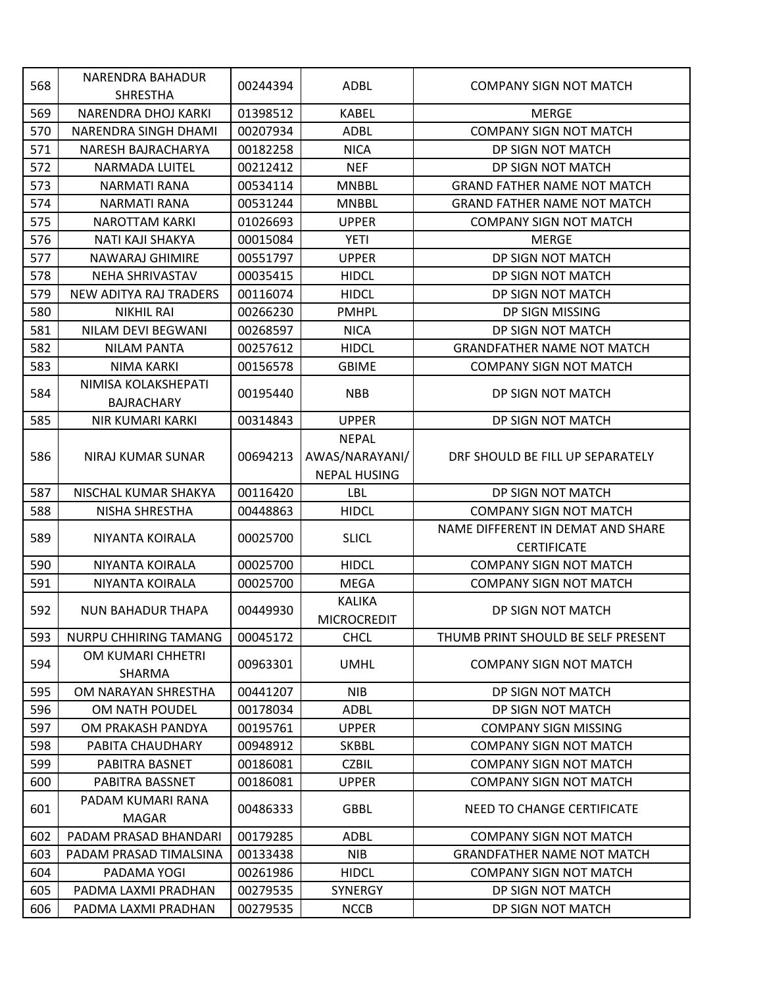| 568        | NARENDRA BAHADUR<br><b>SHRESTHA</b> | 00244394             | ADBL                | <b>COMPANY SIGN NOT MATCH</b>      |
|------------|-------------------------------------|----------------------|---------------------|------------------------------------|
| 569        | NARENDRA DHOJ KARKI                 | 01398512             | <b>KABEL</b>        | <b>MERGE</b>                       |
| 570        | NARENDRA SINGH DHAMI                | 00207934             | <b>ADBL</b>         | <b>COMPANY SIGN NOT MATCH</b>      |
| 571        | NARESH BAJRACHARYA                  | 00182258             | <b>NICA</b>         | DP SIGN NOT MATCH                  |
| 572        | <b>NARMADA LUITEL</b>               | 00212412             | <b>NEF</b>          | DP SIGN NOT MATCH                  |
| 573        | <b>NARMATI RANA</b>                 | 00534114             | <b>MNBBL</b>        | <b>GRAND FATHER NAME NOT MATCH</b> |
| 574        | NARMATI RANA                        | 00531244             | <b>MNBBL</b>        | <b>GRAND FATHER NAME NOT MATCH</b> |
| 575        | <b>NAROTTAM KARKI</b>               | 01026693             | <b>UPPER</b>        | <b>COMPANY SIGN NOT MATCH</b>      |
| 576        | NATI KAJI SHAKYA                    | 00015084             | YETI                | <b>MERGE</b>                       |
| 577        | <b>NAWARAJ GHIMIRE</b>              | 00551797             | <b>UPPER</b>        | DP SIGN NOT MATCH                  |
| 578        | <b>NEHA SHRIVASTAV</b>              | 00035415             | <b>HIDCL</b>        | DP SIGN NOT MATCH                  |
| 579        | <b>NEW ADITYA RAJ TRADERS</b>       | 00116074             | <b>HIDCL</b>        | DP SIGN NOT MATCH                  |
| 580        | <b>NIKHIL RAI</b>                   | 00266230             | <b>PMHPL</b>        | DP SIGN MISSING                    |
| 581        | NILAM DEVI BEGWANI                  | 00268597             | <b>NICA</b>         | DP SIGN NOT MATCH                  |
| 582        | <b>NILAM PANTA</b>                  | 00257612             | <b>HIDCL</b>        | <b>GRANDFATHER NAME NOT MATCH</b>  |
| 583        | <b>NIMA KARKI</b>                   | 00156578             | <b>GBIME</b>        | <b>COMPANY SIGN NOT MATCH</b>      |
|            | NIMISA KOLAKSHEPATI                 |                      |                     |                                    |
| 584        | <b>BAJRACHARY</b>                   | 00195440             | <b>NBB</b>          | DP SIGN NOT MATCH                  |
| 585        | <b>NIR KUMARI KARKI</b>             | 00314843             | <b>UPPER</b>        | DP SIGN NOT MATCH                  |
|            |                                     |                      | <b>NEPAL</b>        |                                    |
| 586        | NIRAJ KUMAR SUNAR                   | 00694213             | AWAS/NARAYANI/      | DRF SHOULD BE FILL UP SEPARATELY   |
|            |                                     |                      | <b>NEPAL HUSING</b> |                                    |
| 587        | NISCHAL KUMAR SHAKYA                | 00116420             | LBL                 | DP SIGN NOT MATCH                  |
| 588        | NISHA SHRESTHA                      | 00448863             | <b>HIDCL</b>        | <b>COMPANY SIGN NOT MATCH</b>      |
|            |                                     |                      |                     | NAME DIFFERENT IN DEMAT AND SHARE  |
| 589        | NIYANTA KOIRALA                     | 00025700             | <b>SLICL</b>        | <b>CERTIFICATE</b>                 |
| 590        | <b>NIYANTA KOIRALA</b>              | 00025700             | <b>HIDCL</b>        | <b>COMPANY SIGN NOT MATCH</b>      |
| 591        | NIYANTA KOIRALA                     | 00025700             | <b>MEGA</b>         | <b>COMPANY SIGN NOT MATCH</b>      |
|            |                                     |                      | <b>KALIKA</b>       |                                    |
| 592        | <b>NUN BAHADUR THAPA</b>            | 00449930             | <b>MICROCREDIT</b>  | DP SIGN NOT MATCH                  |
| 593        | <b>NURPU CHHIRING TAMANG</b>        | 00045172             | <b>CHCL</b>         | THUMB PRINT SHOULD BE SELF PRESENT |
| 594        | OM KUMARI CHHETRI                   | 00963301             | <b>UMHL</b>         | <b>COMPANY SIGN NOT MATCH</b>      |
| 595        | SHARMA<br>OM NARAYAN SHRESTHA       | 00441207             | <b>NIB</b>          | DP SIGN NOT MATCH                  |
| 596        | OM NATH POUDEL                      | 00178034             | <b>ADBL</b>         | DP SIGN NOT MATCH                  |
|            | OM PRAKASH PANDYA                   |                      |                     | <b>COMPANY SIGN MISSING</b>        |
| 597<br>598 | PABITA CHAUDHARY                    | 00195761<br>00948912 | <b>UPPER</b>        |                                    |
|            |                                     |                      | <b>SKBBL</b>        | <b>COMPANY SIGN NOT MATCH</b>      |
| 599        | PABITRA BASNET                      | 00186081             | <b>CZBIL</b>        | <b>COMPANY SIGN NOT MATCH</b>      |
| 600        | PABITRA BASSNET                     | 00186081             | <b>UPPER</b>        | <b>COMPANY SIGN NOT MATCH</b>      |
| 601        | PADAM KUMARI RANA<br><b>MAGAR</b>   | 00486333             | <b>GBBL</b>         | NEED TO CHANGE CERTIFICATE         |
| 602        | PADAM PRASAD BHANDARI               | 00179285             | <b>ADBL</b>         | <b>COMPANY SIGN NOT MATCH</b>      |
| 603        | PADAM PRASAD TIMALSINA              | 00133438             | <b>NIB</b>          | <b>GRANDFATHER NAME NOT MATCH</b>  |
| 604        | PADAMA YOGI                         | 00261986             | <b>HIDCL</b>        | <b>COMPANY SIGN NOT MATCH</b>      |
| 605        | PADMA LAXMI PRADHAN                 | 00279535             | <b>SYNERGY</b>      | DP SIGN NOT MATCH                  |
| 606        | PADMA LAXMI PRADHAN                 | 00279535             | <b>NCCB</b>         | DP SIGN NOT MATCH                  |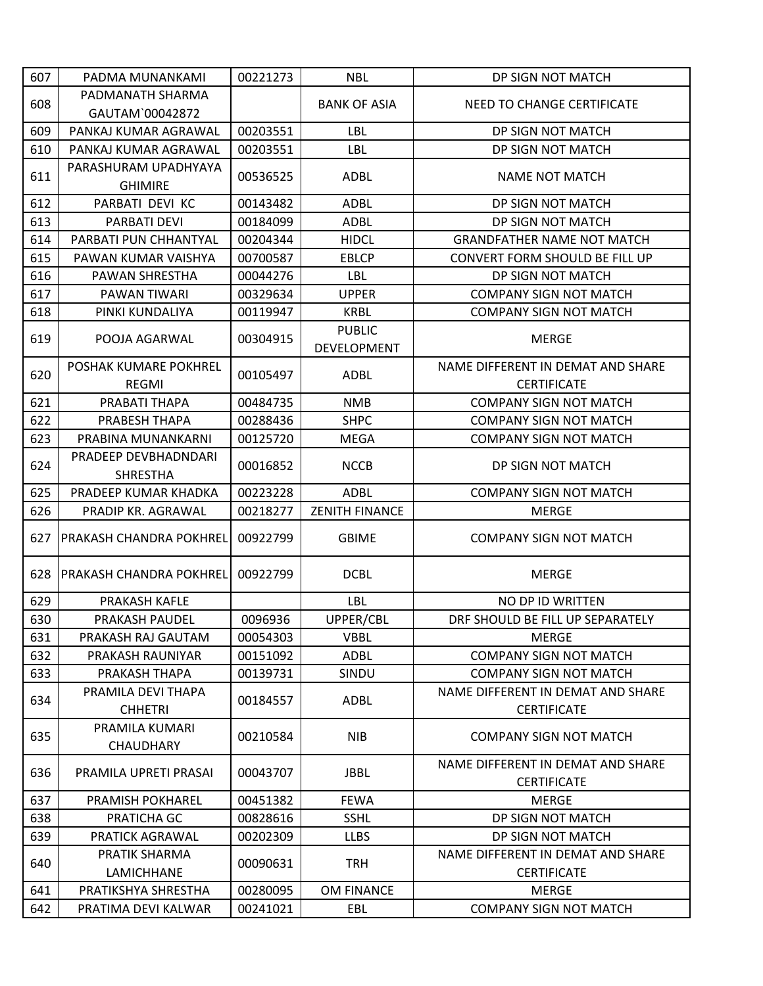| 607 | PADMA MUNANKAMI                         | 00221273 | <b>NBL</b>                   | DP SIGN NOT MATCH                                       |
|-----|-----------------------------------------|----------|------------------------------|---------------------------------------------------------|
|     | PADMANATH SHARMA                        |          |                              |                                                         |
| 608 | GAUTAM`00042872                         |          | <b>BANK OF ASIA</b>          | NEED TO CHANGE CERTIFICATE                              |
| 609 | PANKAJ KUMAR AGRAWAL                    | 00203551 | LBL                          | DP SIGN NOT MATCH                                       |
| 610 | PANKAJ KUMAR AGRAWAL                    | 00203551 | <b>LBL</b>                   | DP SIGN NOT MATCH                                       |
| 611 | PARASHURAM UPADHYAYA<br><b>GHIMIRE</b>  | 00536525 | <b>ADBL</b>                  | <b>NAME NOT MATCH</b>                                   |
| 612 | PARBATI DEVI KC                         | 00143482 | <b>ADBL</b>                  | DP SIGN NOT MATCH                                       |
| 613 | PARBATI DEVI                            | 00184099 | <b>ADBL</b>                  | DP SIGN NOT MATCH                                       |
| 614 | PARBATI PUN CHHANTYAL                   | 00204344 | <b>HIDCL</b>                 | <b>GRANDFATHER NAME NOT MATCH</b>                       |
| 615 | PAWAN KUMAR VAISHYA                     | 00700587 | <b>EBLCP</b>                 | CONVERT FORM SHOULD BE FILL UP                          |
| 616 | PAWAN SHRESTHA                          | 00044276 | <b>LBL</b>                   | DP SIGN NOT MATCH                                       |
| 617 | PAWAN TIWARI                            | 00329634 | <b>UPPER</b>                 | <b>COMPANY SIGN NOT MATCH</b>                           |
| 618 | PINKI KUNDALIYA                         | 00119947 | <b>KRBL</b>                  | <b>COMPANY SIGN NOT MATCH</b>                           |
| 619 | POOJA AGARWAL                           | 00304915 | <b>PUBLIC</b><br>DEVELOPMENT | <b>MERGE</b>                                            |
| 620 | POSHAK KUMARE POKHREL<br><b>REGMI</b>   | 00105497 | <b>ADBL</b>                  | NAME DIFFERENT IN DEMAT AND SHARE<br><b>CERTIFICATE</b> |
| 621 | PRABATI THAPA                           | 00484735 | <b>NMB</b>                   | <b>COMPANY SIGN NOT MATCH</b>                           |
| 622 | PRABESH THAPA                           | 00288436 | <b>SHPC</b>                  | <b>COMPANY SIGN NOT MATCH</b>                           |
| 623 | PRABINA MUNANKARNI                      | 00125720 | <b>MEGA</b>                  | <b>COMPANY SIGN NOT MATCH</b>                           |
| 624 | PRADEEP DEVBHADNDARI<br><b>SHRESTHA</b> | 00016852 | <b>NCCB</b>                  | DP SIGN NOT MATCH                                       |
| 625 | PRADEEP KUMAR KHADKA                    | 00223228 | <b>ADBL</b>                  | <b>COMPANY SIGN NOT MATCH</b>                           |
| 626 | PRADIP KR. AGRAWAL                      | 00218277 | <b>ZENITH FINANCE</b>        | <b>MERGE</b>                                            |
| 627 | <b>PRAKASH CHANDRA POKHREL</b>          | 00922799 | <b>GBIME</b>                 | <b>COMPANY SIGN NOT MATCH</b>                           |
| 628 | <b>IPRAKASH CHANDRA POKHREL</b>         | 00922799 | <b>DCBL</b>                  | <b>MERGE</b>                                            |
| 629 | PRAKASH KAFLE                           |          | LBL                          | <b>NO DP ID WRITTEN</b>                                 |
| 630 | <b>PRAKASH PAUDEL</b>                   | 0096936  | UPPER/CBL                    | DRF SHOULD BE FILL UP SEPARATELY                        |
| 631 | PRAKASH RAJ GAUTAM                      | 00054303 | <b>VBBL</b>                  | <b>MERGE</b>                                            |
| 632 | PRAKASH RAUNIYAR                        | 00151092 | <b>ADBL</b>                  | <b>COMPANY SIGN NOT MATCH</b>                           |
| 633 | PRAKASH THAPA                           | 00139731 | SINDU                        | <b>COMPANY SIGN NOT MATCH</b>                           |
| 634 | PRAMILA DEVI THAPA<br><b>CHHETRI</b>    | 00184557 | ADBL                         | NAME DIFFERENT IN DEMAT AND SHARE<br><b>CERTIFICATE</b> |
| 635 | PRAMILA KUMARI<br><b>CHAUDHARY</b>      | 00210584 | <b>NIB</b>                   | <b>COMPANY SIGN NOT MATCH</b>                           |
| 636 | PRAMILA UPRETI PRASAI                   | 00043707 | <b>JBBL</b>                  | NAME DIFFERENT IN DEMAT AND SHARE<br><b>CERTIFICATE</b> |
| 637 | <b>PRAMISH POKHAREL</b>                 | 00451382 | <b>FEWA</b>                  | <b>MERGE</b>                                            |
| 638 | PRATICHA GC                             | 00828616 | <b>SSHL</b>                  | DP SIGN NOT MATCH                                       |
| 639 | PRATICK AGRAWAL                         | 00202309 | <b>LLBS</b>                  | DP SIGN NOT MATCH                                       |
| 640 | PRATIK SHARMA<br>LAMICHHANE             | 00090631 | <b>TRH</b>                   | NAME DIFFERENT IN DEMAT AND SHARE<br><b>CERTIFICATE</b> |
| 641 | PRATIKSHYA SHRESTHA                     | 00280095 | OM FINANCE                   | <b>MERGE</b>                                            |
| 642 | PRATIMA DEVI KALWAR                     | 00241021 | EBL                          | <b>COMPANY SIGN NOT MATCH</b>                           |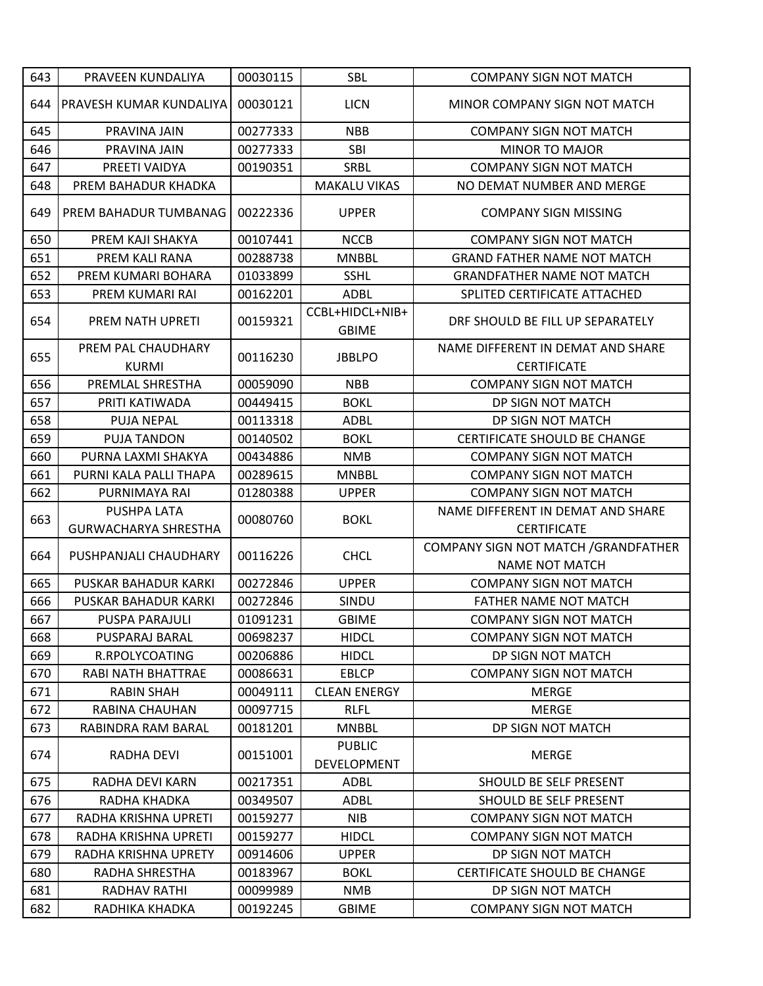| 643 | PRAVEEN KUNDALIYA                  | 00030115 | <b>SBL</b>                          | <b>COMPANY SIGN NOT MATCH</b>                                 |
|-----|------------------------------------|----------|-------------------------------------|---------------------------------------------------------------|
| 644 | <b>IPRAVESH KUMAR KUNDALIYA</b>    | 00030121 | <b>LICN</b>                         | MINOR COMPANY SIGN NOT MATCH                                  |
| 645 | PRAVINA JAIN                       | 00277333 | <b>NBB</b>                          | <b>COMPANY SIGN NOT MATCH</b>                                 |
| 646 | PRAVINA JAIN                       | 00277333 | SBI                                 | <b>MINOR TO MAJOR</b>                                         |
| 647 | PREETI VAIDYA                      | 00190351 | SRBL                                | <b>COMPANY SIGN NOT MATCH</b>                                 |
| 648 | PREM BAHADUR KHADKA                |          | <b>MAKALU VIKAS</b>                 | NO DEMAT NUMBER AND MERGE                                     |
| 649 | PREM BAHADUR TUMBANAG              | 00222336 | <b>UPPER</b>                        | <b>COMPANY SIGN MISSING</b>                                   |
| 650 | PREM KAJI SHAKYA                   | 00107441 | <b>NCCB</b>                         | <b>COMPANY SIGN NOT MATCH</b>                                 |
| 651 | PREM KALI RANA                     | 00288738 | <b>MNBBL</b>                        | <b>GRAND FATHER NAME NOT MATCH</b>                            |
| 652 | PREM KUMARI BOHARA                 | 01033899 | <b>SSHL</b>                         | <b>GRANDFATHER NAME NOT MATCH</b>                             |
| 653 | PREM KUMARI RAI                    | 00162201 | <b>ADBL</b>                         | SPLITED CERTIFICATE ATTACHED                                  |
| 654 | PREM NATH UPRETI                   | 00159321 | CCBL+HIDCL+NIB+<br><b>GBIME</b>     | DRF SHOULD BE FILL UP SEPARATELY                              |
| 655 | PREM PAL CHAUDHARY<br><b>KURMI</b> | 00116230 | <b>JBBLPO</b>                       | NAME DIFFERENT IN DEMAT AND SHARE<br><b>CERTIFICATE</b>       |
| 656 | PREMLAL SHRESTHA                   | 00059090 | <b>NBB</b>                          | <b>COMPANY SIGN NOT MATCH</b>                                 |
| 657 | PRITI KATIWADA                     | 00449415 | <b>BOKL</b>                         | DP SIGN NOT MATCH                                             |
| 658 | <b>PUJA NEPAL</b>                  | 00113318 | <b>ADBL</b>                         | DP SIGN NOT MATCH                                             |
| 659 | <b>PUJA TANDON</b>                 | 00140502 | <b>BOKL</b>                         | CERTIFICATE SHOULD BE CHANGE                                  |
| 660 | PURNA LAXMI SHAKYA                 | 00434886 | <b>NMB</b>                          | <b>COMPANY SIGN NOT MATCH</b>                                 |
| 661 | PURNI KALA PALLI THAPA             | 00289615 | <b>MNBBL</b>                        | <b>COMPANY SIGN NOT MATCH</b>                                 |
| 662 | PURNIMAYA RAI                      | 01280388 | <b>UPPER</b>                        | <b>COMPANY SIGN NOT MATCH</b>                                 |
|     | PUSHPA LATA                        |          |                                     | NAME DIFFERENT IN DEMAT AND SHARE                             |
| 663 | <b>GURWACHARYA SHRESTHA</b>        | 00080760 | <b>BOKL</b>                         | <b>CERTIFICATE</b>                                            |
| 664 | PUSHPANJALI CHAUDHARY              | 00116226 | <b>CHCL</b>                         | COMPANY SIGN NOT MATCH / GRANDFATHER<br><b>NAME NOT MATCH</b> |
| 665 | <b>PUSKAR BAHADUR KARKI</b>        | 00272846 | <b>UPPER</b>                        | <b>COMPANY SIGN NOT MATCH</b>                                 |
| 666 | PUSKAR BAHADUR KARKI               | 00272846 | SINDU                               | <b>FATHER NAME NOT MATCH</b>                                  |
| 667 | <b>PUSPA PARAJULI</b>              | 01091231 | <b>GBIME</b>                        | <b>COMPANY SIGN NOT MATCH</b>                                 |
| 668 | PUSPARAJ BARAL                     | 00698237 | <b>HIDCL</b>                        | <b>COMPANY SIGN NOT MATCH</b>                                 |
| 669 | R.RPOLYCOATING                     | 00206886 | <b>HIDCL</b>                        | DP SIGN NOT MATCH                                             |
| 670 | RABI NATH BHATTRAE                 | 00086631 | <b>EBLCP</b>                        | <b>COMPANY SIGN NOT MATCH</b>                                 |
| 671 | <b>RABIN SHAH</b>                  | 00049111 | <b>CLEAN ENERGY</b>                 | <b>MERGE</b>                                                  |
| 672 | RABINA CHAUHAN                     | 00097715 | <b>RLFL</b>                         | <b>MERGE</b>                                                  |
| 673 | RABINDRA RAM BARAL                 | 00181201 | <b>MNBBL</b>                        | DP SIGN NOT MATCH                                             |
| 674 | RADHA DEVI                         | 00151001 | <b>PUBLIC</b><br><b>DEVELOPMENT</b> | <b>MERGE</b>                                                  |
| 675 | RADHA DEVI KARN                    | 00217351 | <b>ADBL</b>                         | SHOULD BE SELF PRESENT                                        |
| 676 | RADHA KHADKA                       | 00349507 | ADBL                                | SHOULD BE SELF PRESENT                                        |
| 677 | RADHA KRISHNA UPRETI               | 00159277 | <b>NIB</b>                          | <b>COMPANY SIGN NOT MATCH</b>                                 |
| 678 | RADHA KRISHNA UPRETI               | 00159277 | <b>HIDCL</b>                        | <b>COMPANY SIGN NOT MATCH</b>                                 |
| 679 | RADHA KRISHNA UPRETY               | 00914606 | <b>UPPER</b>                        | DP SIGN NOT MATCH                                             |
| 680 | RADHA SHRESTHA                     | 00183967 | <b>BOKL</b>                         | CERTIFICATE SHOULD BE CHANGE                                  |
| 681 | RADHAV RATHI                       | 00099989 | <b>NMB</b>                          | DP SIGN NOT MATCH                                             |
| 682 | RADHIKA KHADKA                     | 00192245 | <b>GBIME</b>                        | <b>COMPANY SIGN NOT MATCH</b>                                 |
|     |                                    |          |                                     |                                                               |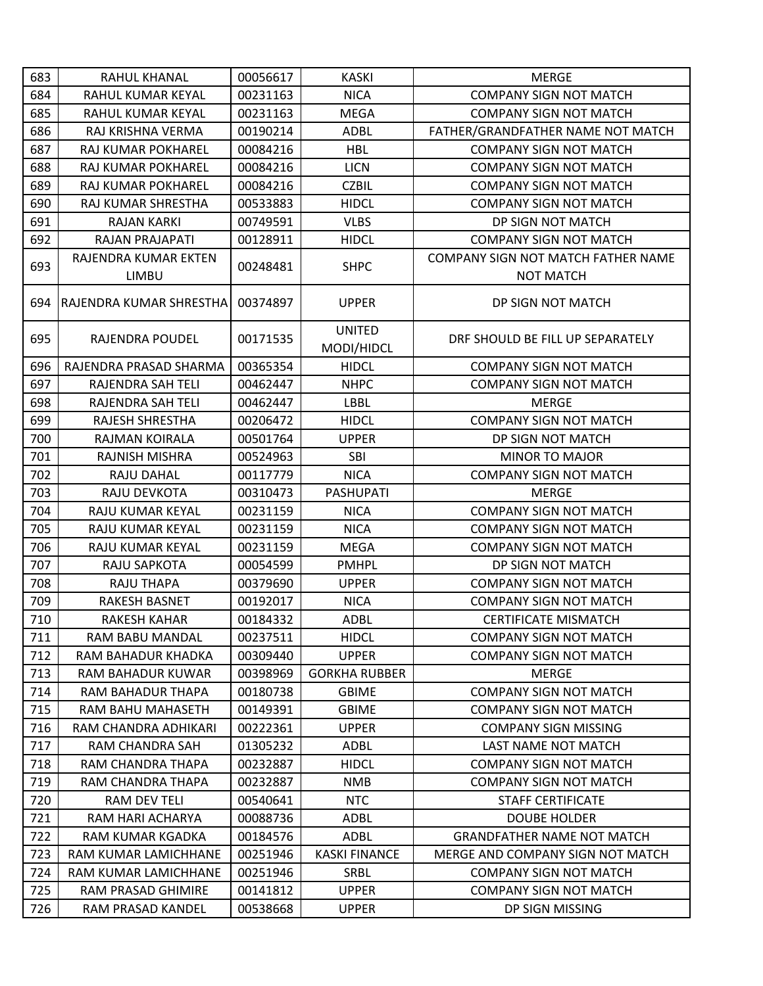| 683 | RAHUL KHANAL                   | 00056617 | <b>KASKI</b>                | <b>MERGE</b>                       |
|-----|--------------------------------|----------|-----------------------------|------------------------------------|
| 684 | RAHUL KUMAR KEYAL              | 00231163 | <b>NICA</b>                 | <b>COMPANY SIGN NOT MATCH</b>      |
| 685 | RAHUL KUMAR KEYAL              | 00231163 | <b>MEGA</b>                 | <b>COMPANY SIGN NOT MATCH</b>      |
| 686 | RAJ KRISHNA VERMA              | 00190214 | <b>ADBL</b>                 | FATHER/GRANDFATHER NAME NOT MATCH  |
| 687 | RAJ KUMAR POKHAREL             | 00084216 | <b>HBL</b>                  | <b>COMPANY SIGN NOT MATCH</b>      |
| 688 | RAJ KUMAR POKHAREL             | 00084216 | <b>LICN</b>                 | <b>COMPANY SIGN NOT MATCH</b>      |
| 689 | RAJ KUMAR POKHAREL             | 00084216 | <b>CZBIL</b>                | <b>COMPANY SIGN NOT MATCH</b>      |
| 690 | RAJ KUMAR SHRESTHA             | 00533883 | <b>HIDCL</b>                | <b>COMPANY SIGN NOT MATCH</b>      |
| 691 | <b>RAJAN KARKI</b>             | 00749591 | <b>VLBS</b>                 | DP SIGN NOT MATCH                  |
| 692 | RAJAN PRAJAPATI                | 00128911 | <b>HIDCL</b>                | <b>COMPANY SIGN NOT MATCH</b>      |
| 693 | RAJENDRA KUMAR EKTEN           | 00248481 | <b>SHPC</b>                 | COMPANY SIGN NOT MATCH FATHER NAME |
|     | <b>LIMBU</b>                   |          |                             | <b>NOT MATCH</b>                   |
| 694 | <b>RAJENDRA KUMAR SHRESTHA</b> | 00374897 | <b>UPPER</b>                | DP SIGN NOT MATCH                  |
| 695 | RAJENDRA POUDEL                | 00171535 | <b>UNITED</b><br>MODI/HIDCL | DRF SHOULD BE FILL UP SEPARATELY   |
| 696 | RAJENDRA PRASAD SHARMA         | 00365354 | <b>HIDCL</b>                | <b>COMPANY SIGN NOT MATCH</b>      |
| 697 | RAJENDRA SAH TELI              | 00462447 | <b>NHPC</b>                 | <b>COMPANY SIGN NOT MATCH</b>      |
| 698 | RAJENDRA SAH TELI              | 00462447 | <b>LBBL</b>                 | <b>MERGE</b>                       |
| 699 | RAJESH SHRESTHA                | 00206472 | <b>HIDCL</b>                | <b>COMPANY SIGN NOT MATCH</b>      |
| 700 | RAJMAN KOIRALA                 | 00501764 | <b>UPPER</b>                | DP SIGN NOT MATCH                  |
| 701 | RAJNISH MISHRA                 | 00524963 | SBI                         | <b>MINOR TO MAJOR</b>              |
| 702 | RAJU DAHAL                     | 00117779 | <b>NICA</b>                 | <b>COMPANY SIGN NOT MATCH</b>      |
| 703 | RAJU DEVKOTA                   | 00310473 | <b>PASHUPATI</b>            | <b>MERGE</b>                       |
| 704 | RAJU KUMAR KEYAL               | 00231159 | <b>NICA</b>                 | <b>COMPANY SIGN NOT MATCH</b>      |
| 705 | RAJU KUMAR KEYAL               | 00231159 | <b>NICA</b>                 | <b>COMPANY SIGN NOT MATCH</b>      |
| 706 | RAJU KUMAR KEYAL               | 00231159 | <b>MEGA</b>                 | <b>COMPANY SIGN NOT MATCH</b>      |
| 707 | RAJU SAPKOTA                   | 00054599 | <b>PMHPL</b>                | DP SIGN NOT MATCH                  |
| 708 | <b>RAJU THAPA</b>              | 00379690 | <b>UPPER</b>                | <b>COMPANY SIGN NOT MATCH</b>      |
| 709 | <b>RAKESH BASNET</b>           | 00192017 | <b>NICA</b>                 | <b>COMPANY SIGN NOT MATCH</b>      |
| 710 | RAKESH KAHAR                   | 00184332 | <b>ADBL</b>                 | <b>CERTIFICATE MISMATCH</b>        |
| 711 | RAM BABU MANDAL                | 00237511 | <b>HIDCL</b>                | <b>COMPANY SIGN NOT MATCH</b>      |
| 712 | RAM BAHADUR KHADKA             | 00309440 | <b>UPPER</b>                | <b>COMPANY SIGN NOT MATCH</b>      |
| 713 | RAM BAHADUR KUWAR              | 00398969 | <b>GORKHA RUBBER</b>        | <b>MERGE</b>                       |
| 714 | RAM BAHADUR THAPA              | 00180738 | <b>GBIME</b>                | <b>COMPANY SIGN NOT MATCH</b>      |
| 715 | RAM BAHU MAHASETH              | 00149391 | <b>GBIME</b>                | <b>COMPANY SIGN NOT MATCH</b>      |
| 716 | RAM CHANDRA ADHIKARI           | 00222361 | <b>UPPER</b>                | <b>COMPANY SIGN MISSING</b>        |
| 717 | RAM CHANDRA SAH                | 01305232 | ADBL                        | LAST NAME NOT MATCH                |
| 718 | RAM CHANDRA THAPA              | 00232887 | <b>HIDCL</b>                | <b>COMPANY SIGN NOT MATCH</b>      |
| 719 | RAM CHANDRA THAPA              | 00232887 | <b>NMB</b>                  | <b>COMPANY SIGN NOT MATCH</b>      |
| 720 | RAM DEV TELI                   | 00540641 | <b>NTC</b>                  | <b>STAFF CERTIFICATE</b>           |
| 721 | RAM HARI ACHARYA               | 00088736 | <b>ADBL</b>                 | <b>DOUBE HOLDER</b>                |
| 722 | RAM KUMAR KGADKA               | 00184576 | ADBL                        | <b>GRANDFATHER NAME NOT MATCH</b>  |
| 723 | RAM KUMAR LAMICHHANE           | 00251946 | <b>KASKI FINANCE</b>        | MERGE AND COMPANY SIGN NOT MATCH   |
| 724 | RAM KUMAR LAMICHHANE           | 00251946 | SRBL                        | <b>COMPANY SIGN NOT MATCH</b>      |
| 725 | RAM PRASAD GHIMIRE             | 00141812 | <b>UPPER</b>                | <b>COMPANY SIGN NOT MATCH</b>      |
| 726 | RAM PRASAD KANDEL              | 00538668 | <b>UPPER</b>                | DP SIGN MISSING                    |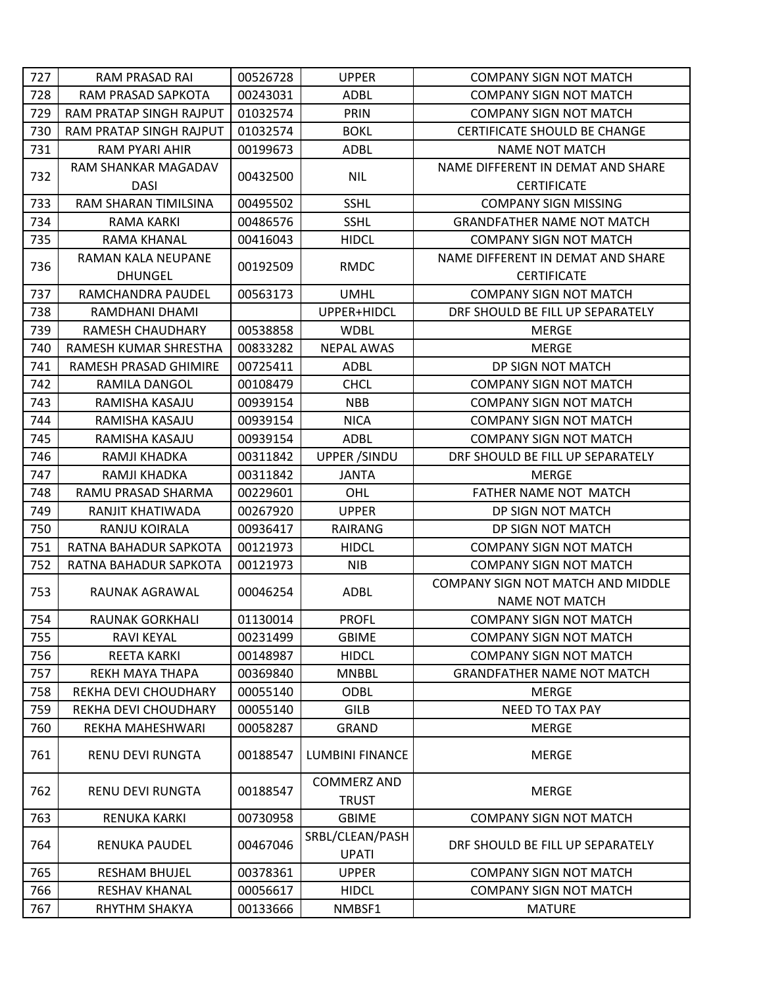| 727 | <b>RAM PRASAD RAI</b>   | 00526728 | <b>UPPER</b>                       | <b>COMPANY SIGN NOT MATCH</b>     |
|-----|-------------------------|----------|------------------------------------|-----------------------------------|
| 728 | RAM PRASAD SAPKOTA      | 00243031 | <b>ADBL</b>                        | <b>COMPANY SIGN NOT MATCH</b>     |
| 729 | RAM PRATAP SINGH RAJPUT | 01032574 | PRIN                               | <b>COMPANY SIGN NOT MATCH</b>     |
| 730 | RAM PRATAP SINGH RAJPUT | 01032574 | <b>BOKL</b>                        | CERTIFICATE SHOULD BE CHANGE      |
| 731 | RAM PYARI AHIR          | 00199673 | <b>ADBL</b>                        | <b>NAME NOT MATCH</b>             |
|     | RAM SHANKAR MAGADAV     |          |                                    | NAME DIFFERENT IN DEMAT AND SHARE |
| 732 | <b>DASI</b>             | 00432500 | <b>NIL</b>                         | <b>CERTIFICATE</b>                |
| 733 | RAM SHARAN TIMILSINA    | 00495502 | <b>SSHL</b>                        | <b>COMPANY SIGN MISSING</b>       |
| 734 | <b>RAMA KARKI</b>       | 00486576 | <b>SSHL</b>                        | <b>GRANDFATHER NAME NOT MATCH</b> |
| 735 | RAMA KHANAL             | 00416043 | <b>HIDCL</b>                       | <b>COMPANY SIGN NOT MATCH</b>     |
| 736 | RAMAN KALA NEUPANE      | 00192509 | <b>RMDC</b>                        | NAME DIFFERENT IN DEMAT AND SHARE |
|     | <b>DHUNGEL</b>          |          |                                    | <b>CERTIFICATE</b>                |
| 737 | RAMCHANDRA PAUDEL       | 00563173 | <b>UMHL</b>                        | <b>COMPANY SIGN NOT MATCH</b>     |
| 738 | RAMDHANI DHAMI          |          | UPPER+HIDCL                        | DRF SHOULD BE FILL UP SEPARATELY  |
| 739 | RAMESH CHAUDHARY        | 00538858 | <b>WDBL</b>                        | <b>MERGE</b>                      |
| 740 | RAMESH KUMAR SHRESTHA   | 00833282 | <b>NEPAL AWAS</b>                  | <b>MERGE</b>                      |
| 741 | RAMESH PRASAD GHIMIRE   | 00725411 | <b>ADBL</b>                        | DP SIGN NOT MATCH                 |
| 742 | RAMILA DANGOL           | 00108479 | <b>CHCL</b>                        | <b>COMPANY SIGN NOT MATCH</b>     |
| 743 | RAMISHA KASAJU          | 00939154 | <b>NBB</b>                         | <b>COMPANY SIGN NOT MATCH</b>     |
| 744 | RAMISHA KASAJU          | 00939154 | <b>NICA</b>                        | <b>COMPANY SIGN NOT MATCH</b>     |
| 745 | RAMISHA KASAJU          | 00939154 | <b>ADBL</b>                        | <b>COMPANY SIGN NOT MATCH</b>     |
| 746 | RAMJI KHADKA            | 00311842 | <b>UPPER /SINDU</b>                | DRF SHOULD BE FILL UP SEPARATELY  |
| 747 | RAMJI KHADKA            | 00311842 | <b>JANTA</b>                       | <b>MERGE</b>                      |
| 748 | RAMU PRASAD SHARMA      | 00229601 | OHL                                | FATHER NAME NOT MATCH             |
| 749 | RANJIT KHATIWADA        | 00267920 | <b>UPPER</b>                       | DP SIGN NOT MATCH                 |
| 750 | RANJU KOIRALA           | 00936417 | RAIRANG                            | DP SIGN NOT MATCH                 |
| 751 | RATNA BAHADUR SAPKOTA   | 00121973 | <b>HIDCL</b>                       | <b>COMPANY SIGN NOT MATCH</b>     |
| 752 | RATNA BAHADUR SAPKOTA   | 00121973 | <b>NIB</b>                         | <b>COMPANY SIGN NOT MATCH</b>     |
| 753 | RAUNAK AGRAWAL          | 00046254 | <b>ADBL</b>                        | COMPANY SIGN NOT MATCH AND MIDDLE |
|     |                         |          |                                    | <b>NAME NOT MATCH</b>             |
| 754 | RAUNAK GORKHALI         | 01130014 | <b>PROFL</b>                       | <b>COMPANY SIGN NOT MATCH</b>     |
| 755 | <b>RAVI KEYAL</b>       | 00231499 | <b>GBIME</b>                       | <b>COMPANY SIGN NOT MATCH</b>     |
| 756 | <b>REETA KARKI</b>      | 00148987 | <b>HIDCL</b>                       | <b>COMPANY SIGN NOT MATCH</b>     |
| 757 | <b>REKH MAYA THAPA</b>  | 00369840 | <b>MNBBL</b>                       | <b>GRANDFATHER NAME NOT MATCH</b> |
| 758 | REKHA DEVI CHOUDHARY    | 00055140 | <b>ODBL</b>                        | <b>MERGE</b>                      |
| 759 | REKHA DEVI CHOUDHARY    | 00055140 | <b>GILB</b>                        | <b>NEED TO TAX PAY</b>            |
| 760 | REKHA MAHESHWARI        | 00058287 | <b>GRAND</b>                       | <b>MERGE</b>                      |
| 761 | RENU DEVI RUNGTA        | 00188547 | <b>LUMBINI FINANCE</b>             | <b>MERGE</b>                      |
| 762 | <b>RENU DEVI RUNGTA</b> | 00188547 | <b>COMMERZ AND</b><br><b>TRUST</b> | MERGE                             |
| 763 | RENUKA KARKI            | 00730958 | <b>GBIME</b>                       | <b>COMPANY SIGN NOT MATCH</b>     |
| 764 | RENUKA PAUDEL           | 00467046 | SRBL/CLEAN/PASH<br><b>UPATI</b>    | DRF SHOULD BE FILL UP SEPARATELY  |
| 765 | <b>RESHAM BHUJEL</b>    | 00378361 | <b>UPPER</b>                       | <b>COMPANY SIGN NOT MATCH</b>     |
| 766 | <b>RESHAV KHANAL</b>    | 00056617 | <b>HIDCL</b>                       | <b>COMPANY SIGN NOT MATCH</b>     |
| 767 | RHYTHM SHAKYA           | 00133666 | NMBSF1                             | <b>MATURE</b>                     |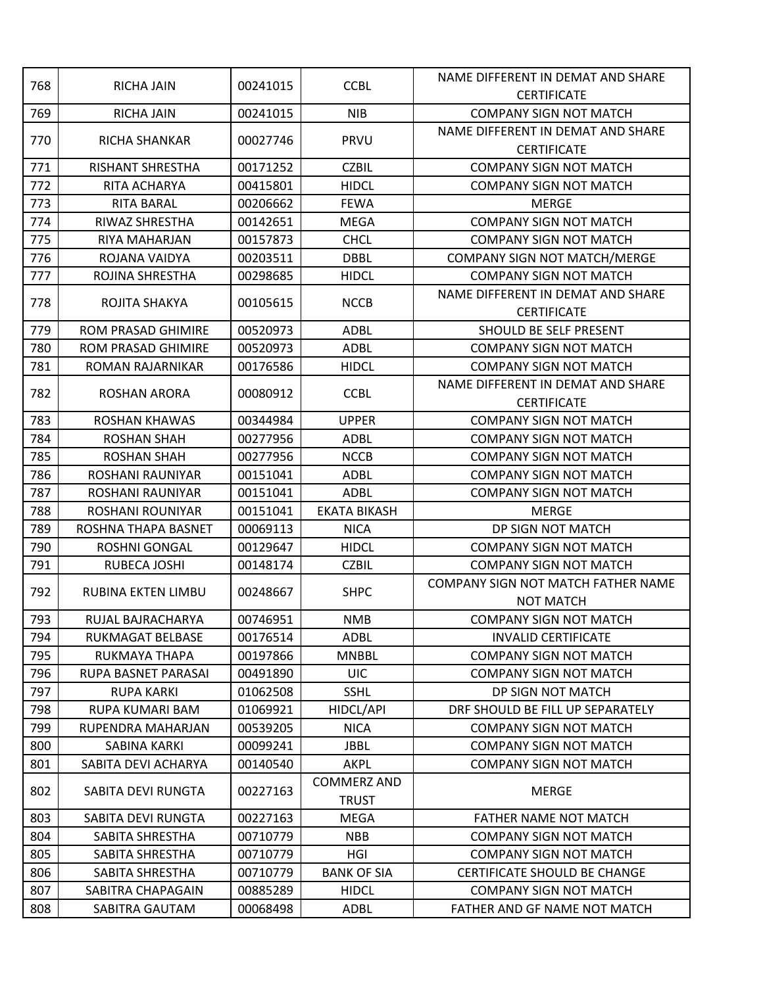|     |                           |          |                     | NAME DIFFERENT IN DEMAT AND SHARE  |
|-----|---------------------------|----------|---------------------|------------------------------------|
| 768 | <b>RICHA JAIN</b>         | 00241015 | <b>CCBL</b>         | <b>CERTIFICATE</b>                 |
| 769 | <b>RICHA JAIN</b>         | 00241015 | <b>NIB</b>          | <b>COMPANY SIGN NOT MATCH</b>      |
|     |                           |          | PRVU                | NAME DIFFERENT IN DEMAT AND SHARE  |
| 770 | RICHA SHANKAR             | 00027746 |                     | <b>CERTIFICATE</b>                 |
| 771 | <b>RISHANT SHRESTHA</b>   | 00171252 | <b>CZBIL</b>        | <b>COMPANY SIGN NOT MATCH</b>      |
| 772 | RITA ACHARYA              | 00415801 | <b>HIDCL</b>        | <b>COMPANY SIGN NOT MATCH</b>      |
| 773 | <b>RITA BARAL</b>         | 00206662 | <b>FEWA</b>         | <b>MERGE</b>                       |
| 774 | RIWAZ SHRESTHA            | 00142651 | <b>MEGA</b>         | <b>COMPANY SIGN NOT MATCH</b>      |
| 775 | RIYA MAHARJAN             | 00157873 | <b>CHCL</b>         | <b>COMPANY SIGN NOT MATCH</b>      |
| 776 | ROJANA VAIDYA             | 00203511 | <b>DBBL</b>         | COMPANY SIGN NOT MATCH/MERGE       |
| 777 | ROJINA SHRESTHA           | 00298685 | <b>HIDCL</b>        | <b>COMPANY SIGN NOT MATCH</b>      |
| 778 | ROJITA SHAKYA             | 00105615 | <b>NCCB</b>         | NAME DIFFERENT IN DEMAT AND SHARE  |
|     |                           |          |                     | <b>CERTIFICATE</b>                 |
| 779 | ROM PRASAD GHIMIRE        | 00520973 | <b>ADBL</b>         | <b>SHOULD BE SELF PRESENT</b>      |
| 780 | ROM PRASAD GHIMIRE        | 00520973 | ADBL                | <b>COMPANY SIGN NOT MATCH</b>      |
| 781 | ROMAN RAJARNIKAR          | 00176586 | <b>HIDCL</b>        | <b>COMPANY SIGN NOT MATCH</b>      |
| 782 | <b>ROSHAN ARORA</b>       | 00080912 | <b>CCBL</b>         | NAME DIFFERENT IN DEMAT AND SHARE  |
|     |                           |          |                     | <b>CERTIFICATE</b>                 |
| 783 | <b>ROSHAN KHAWAS</b>      | 00344984 | <b>UPPER</b>        | <b>COMPANY SIGN NOT MATCH</b>      |
| 784 | <b>ROSHAN SHAH</b>        | 00277956 | ADBL                | <b>COMPANY SIGN NOT MATCH</b>      |
| 785 | <b>ROSHAN SHAH</b>        | 00277956 | <b>NCCB</b>         | <b>COMPANY SIGN NOT MATCH</b>      |
| 786 | ROSHANI RAUNIYAR          | 00151041 | <b>ADBL</b>         | <b>COMPANY SIGN NOT MATCH</b>      |
| 787 | ROSHANI RAUNIYAR          | 00151041 | <b>ADBL</b>         | <b>COMPANY SIGN NOT MATCH</b>      |
| 788 | ROSHANI ROUNIYAR          | 00151041 | <b>EKATA BIKASH</b> | <b>MERGE</b>                       |
| 789 | ROSHNA THAPA BASNET       | 00069113 | <b>NICA</b>         | DP SIGN NOT MATCH                  |
| 790 | ROSHNI GONGAL             | 00129647 | <b>HIDCL</b>        | <b>COMPANY SIGN NOT MATCH</b>      |
| 791 | RUBECA JOSHI              | 00148174 | <b>CZBIL</b>        | <b>COMPANY SIGN NOT MATCH</b>      |
| 792 | <b>RUBINA EKTEN LIMBU</b> | 00248667 | <b>SHPC</b>         | COMPANY SIGN NOT MATCH FATHER NAME |
|     |                           |          |                     | <b>NOT MATCH</b>                   |
| 793 | RUJAL BAJRACHARYA         | 00746951 | <b>NMB</b>          | <b>COMPANY SIGN NOT MATCH</b>      |
| 794 | RUKMAGAT BELBASE          | 00176514 | <b>ADBL</b>         | <b>INVALID CERTIFICATE</b>         |
| 795 | RUKMAYA THAPA             | 00197866 | <b>MNBBL</b>        | <b>COMPANY SIGN NOT MATCH</b>      |
| 796 | RUPA BASNET PARASAI       | 00491890 | <b>UIC</b>          | <b>COMPANY SIGN NOT MATCH</b>      |
| 797 | <b>RUPA KARKI</b>         | 01062508 | <b>SSHL</b>         | DP SIGN NOT MATCH                  |
| 798 | RUPA KUMARI BAM           | 01069921 | HIDCL/API           | DRF SHOULD BE FILL UP SEPARATELY   |
| 799 | RUPENDRA MAHARJAN         | 00539205 | <b>NICA</b>         | <b>COMPANY SIGN NOT MATCH</b>      |
| 800 | SABINA KARKI              | 00099241 | <b>JBBL</b>         | <b>COMPANY SIGN NOT MATCH</b>      |
| 801 | SABITA DEVI ACHARYA       | 00140540 | AKPL                | <b>COMPANY SIGN NOT MATCH</b>      |
| 802 | SABITA DEVI RUNGTA        | 00227163 | <b>COMMERZ AND</b>  | <b>MERGE</b>                       |
|     |                           |          | <b>TRUST</b>        |                                    |
| 803 | SABITA DEVI RUNGTA        | 00227163 | MEGA                | FATHER NAME NOT MATCH              |
| 804 | SABITA SHRESTHA           | 00710779 | <b>NBB</b>          | <b>COMPANY SIGN NOT MATCH</b>      |
| 805 | SABITA SHRESTHA           | 00710779 | HGI                 | <b>COMPANY SIGN NOT MATCH</b>      |
| 806 | SABITA SHRESTHA           | 00710779 | <b>BANK OF SIA</b>  | CERTIFICATE SHOULD BE CHANGE       |
| 807 | SABITRA CHAPAGAIN         | 00885289 | <b>HIDCL</b>        | <b>COMPANY SIGN NOT MATCH</b>      |
| 808 | SABITRA GAUTAM            | 00068498 | ADBL                | FATHER AND GF NAME NOT MATCH       |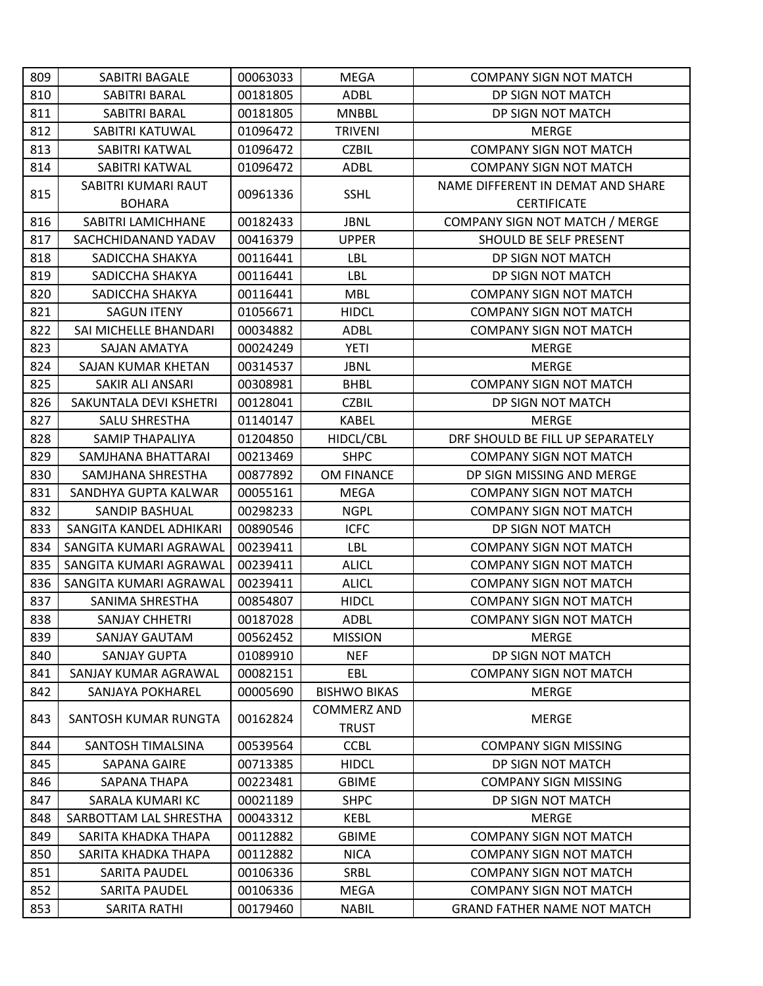| 809 | SABITRI BAGALE          | 00063033 | <b>MEGA</b>         | <b>COMPANY SIGN NOT MATCH</b>      |
|-----|-------------------------|----------|---------------------|------------------------------------|
| 810 | SABITRI BARAL           | 00181805 | <b>ADBL</b>         | DP SIGN NOT MATCH                  |
| 811 | SABITRI BARAL           | 00181805 | <b>MNBBL</b>        | DP SIGN NOT MATCH                  |
| 812 | SABITRI KATUWAL         | 01096472 | <b>TRIVENI</b>      | <b>MERGE</b>                       |
| 813 | SABITRI KATWAL          | 01096472 | <b>CZBIL</b>        | <b>COMPANY SIGN NOT MATCH</b>      |
| 814 | SABITRI KATWAL          | 01096472 | <b>ADBL</b>         | <b>COMPANY SIGN NOT MATCH</b>      |
| 815 | SABITRI KUMARI RAUT     | 00961336 | <b>SSHL</b>         | NAME DIFFERENT IN DEMAT AND SHARE  |
|     | <b>BOHARA</b>           |          |                     | <b>CERTIFICATE</b>                 |
| 816 | SABITRI LAMICHHANE      | 00182433 | <b>JBNL</b>         | COMPANY SIGN NOT MATCH / MERGE     |
| 817 | SACHCHIDANAND YADAV     | 00416379 | <b>UPPER</b>        | SHOULD BE SELF PRESENT             |
| 818 | SADICCHA SHAKYA         | 00116441 | LBL                 | DP SIGN NOT MATCH                  |
| 819 | SADICCHA SHAKYA         | 00116441 | LBL                 | DP SIGN NOT MATCH                  |
| 820 | SADICCHA SHAKYA         | 00116441 | <b>MBL</b>          | <b>COMPANY SIGN NOT MATCH</b>      |
| 821 | <b>SAGUN ITENY</b>      | 01056671 | <b>HIDCL</b>        | <b>COMPANY SIGN NOT MATCH</b>      |
| 822 | SAI MICHELLE BHANDARI   | 00034882 | ADBL                | <b>COMPANY SIGN NOT MATCH</b>      |
| 823 | SAJAN AMATYA            | 00024249 | <b>YETI</b>         | <b>MERGE</b>                       |
| 824 | SAJAN KUMAR KHETAN      | 00314537 | <b>JBNL</b>         | <b>MERGE</b>                       |
| 825 | SAKIR ALI ANSARI        | 00308981 | <b>BHBL</b>         | <b>COMPANY SIGN NOT MATCH</b>      |
| 826 | SAKUNTALA DEVI KSHETRI  | 00128041 | <b>CZBIL</b>        | DP SIGN NOT MATCH                  |
| 827 | <b>SALU SHRESTHA</b>    | 01140147 | KABEL               | <b>MERGE</b>                       |
| 828 | SAMIP THAPALIYA         | 01204850 | HIDCL/CBL           | DRF SHOULD BE FILL UP SEPARATELY   |
| 829 | SAMJHANA BHATTARAI      | 00213469 | <b>SHPC</b>         | <b>COMPANY SIGN NOT MATCH</b>      |
| 830 | SAMJHANA SHRESTHA       | 00877892 | OM FINANCE          | DP SIGN MISSING AND MERGE          |
| 831 | SANDHYA GUPTA KALWAR    | 00055161 | <b>MEGA</b>         | <b>COMPANY SIGN NOT MATCH</b>      |
| 832 | <b>SANDIP BASHUAL</b>   | 00298233 | <b>NGPL</b>         | <b>COMPANY SIGN NOT MATCH</b>      |
| 833 | SANGITA KANDEL ADHIKARI | 00890546 | <b>ICFC</b>         | DP SIGN NOT MATCH                  |
| 834 | SANGITA KUMARI AGRAWAL  | 00239411 | LBL                 | <b>COMPANY SIGN NOT MATCH</b>      |
| 835 | SANGITA KUMARI AGRAWAL  | 00239411 | <b>ALICL</b>        | <b>COMPANY SIGN NOT MATCH</b>      |
| 836 | SANGITA KUMARI AGRAWAL  | 00239411 | <b>ALICL</b>        | <b>COMPANY SIGN NOT MATCH</b>      |
| 837 | SANIMA SHRESTHA         | 00854807 | <b>HIDCL</b>        | <b>COMPANY SIGN NOT MATCH</b>      |
| 838 | <b>SANJAY CHHETRI</b>   | 00187028 | <b>ADBL</b>         | <b>COMPANY SIGN NOT MATCH</b>      |
| 839 | <b>SANJAY GAUTAM</b>    | 00562452 | <b>MISSION</b>      | <b>MERGE</b>                       |
| 840 | SANJAY GUPTA            | 01089910 | <b>NEF</b>          | DP SIGN NOT MATCH                  |
| 841 | SANJAY KUMAR AGRAWAL    | 00082151 | EBL                 | <b>COMPANY SIGN NOT MATCH</b>      |
| 842 | SANJAYA POKHAREL        | 00005690 | <b>BISHWO BIKAS</b> | <b>MERGE</b>                       |
| 843 | SANTOSH KUMAR RUNGTA    | 00162824 | <b>COMMERZ AND</b>  | <b>MERGE</b>                       |
|     |                         |          | <b>TRUST</b>        |                                    |
| 844 | SANTOSH TIMALSINA       | 00539564 | <b>CCBL</b>         | <b>COMPANY SIGN MISSING</b>        |
| 845 | <b>SAPANA GAIRE</b>     | 00713385 | <b>HIDCL</b>        | DP SIGN NOT MATCH                  |
| 846 | SAPANA THAPA            | 00223481 | <b>GBIME</b>        | <b>COMPANY SIGN MISSING</b>        |
| 847 | SARALA KUMARI KC        | 00021189 | <b>SHPC</b>         | DP SIGN NOT MATCH                  |
| 848 | SARBOTTAM LAL SHRESTHA  | 00043312 | KEBL                | <b>MERGE</b>                       |
| 849 | SARITA KHADKA THAPA     | 00112882 | <b>GBIME</b>        | <b>COMPANY SIGN NOT MATCH</b>      |
| 850 | SARITA KHADKA THAPA     | 00112882 | <b>NICA</b>         | <b>COMPANY SIGN NOT MATCH</b>      |
| 851 | SARITA PAUDEL           | 00106336 | <b>SRBL</b>         | <b>COMPANY SIGN NOT MATCH</b>      |
| 852 | SARITA PAUDEL           | 00106336 | MEGA                | <b>COMPANY SIGN NOT MATCH</b>      |
| 853 | SARITA RATHI            | 00179460 | <b>NABIL</b>        | <b>GRAND FATHER NAME NOT MATCH</b> |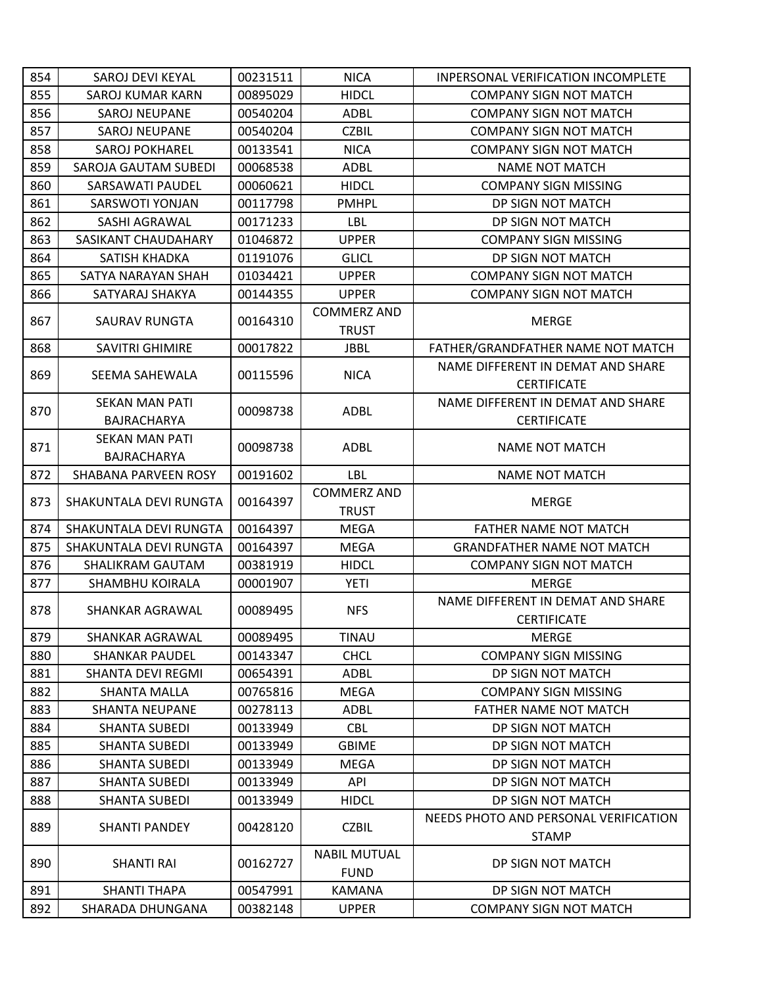| 854 | SAROJ DEVI KEYAL         | 00231511 | <b>NICA</b>                        | INPERSONAL VERIFICATION INCOMPLETE                    |
|-----|--------------------------|----------|------------------------------------|-------------------------------------------------------|
| 855 | SAROJ KUMAR KARN         | 00895029 | <b>HIDCL</b>                       | <b>COMPANY SIGN NOT MATCH</b>                         |
| 856 | <b>SAROJ NEUPANE</b>     | 00540204 | <b>ADBL</b>                        | <b>COMPANY SIGN NOT MATCH</b>                         |
| 857 | <b>SAROJ NEUPANE</b>     | 00540204 | <b>CZBIL</b>                       | <b>COMPANY SIGN NOT MATCH</b>                         |
| 858 | <b>SAROJ POKHAREL</b>    | 00133541 | <b>NICA</b>                        | <b>COMPANY SIGN NOT MATCH</b>                         |
| 859 | SAROJA GAUTAM SUBEDI     | 00068538 | ADBL                               | <b>NAME NOT MATCH</b>                                 |
| 860 | SARSAWATI PAUDEL         | 00060621 | <b>HIDCL</b>                       | <b>COMPANY SIGN MISSING</b>                           |
| 861 | SARSWOTI YONJAN          | 00117798 | <b>PMHPL</b>                       | DP SIGN NOT MATCH                                     |
| 862 | SASHI AGRAWAL            | 00171233 | LBL                                | DP SIGN NOT MATCH                                     |
| 863 | SASIKANT CHAUDAHARY      | 01046872 | <b>UPPER</b>                       | <b>COMPANY SIGN MISSING</b>                           |
| 864 | SATISH KHADKA            | 01191076 | <b>GLICL</b>                       | DP SIGN NOT MATCH                                     |
| 865 | SATYA NARAYAN SHAH       | 01034421 | <b>UPPER</b>                       | <b>COMPANY SIGN NOT MATCH</b>                         |
| 866 | SATYARAJ SHAKYA          | 00144355 | <b>UPPER</b>                       | <b>COMPANY SIGN NOT MATCH</b>                         |
|     |                          |          | <b>COMMERZ AND</b>                 |                                                       |
| 867 | <b>SAURAV RUNGTA</b>     | 00164310 | <b>TRUST</b>                       | <b>MERGE</b>                                          |
| 868 | <b>SAVITRI GHIMIRE</b>   | 00017822 | <b>JBBL</b>                        | FATHER/GRANDFATHER NAME NOT MATCH                     |
|     |                          |          |                                    | NAME DIFFERENT IN DEMAT AND SHARE                     |
| 869 | SEEMA SAHEWALA           | 00115596 | <b>NICA</b>                        | <b>CERTIFICATE</b>                                    |
|     | <b>SEKAN MAN PATI</b>    |          |                                    | NAME DIFFERENT IN DEMAT AND SHARE                     |
| 870 | <b>BAJRACHARYA</b>       | 00098738 | ADBL                               | <b>CERTIFICATE</b>                                    |
|     | <b>SEKAN MAN PATI</b>    |          |                                    |                                                       |
| 871 | BAJRACHARYA              | 00098738 | <b>ADBL</b>                        | <b>NAME NOT MATCH</b>                                 |
| 872 | SHABANA PARVEEN ROSY     | 00191602 | LBL                                | <b>NAME NOT MATCH</b>                                 |
|     |                          |          | <b>COMMERZ AND</b>                 |                                                       |
| 873 | SHAKUNTALA DEVI RUNGTA   | 00164397 | <b>TRUST</b>                       | <b>MERGE</b>                                          |
| 874 | SHAKUNTALA DEVI RUNGTA   | 00164397 | <b>MEGA</b>                        | <b>FATHER NAME NOT MATCH</b>                          |
| 875 | SHAKUNTALA DEVI RUNGTA   | 00164397 | <b>MEGA</b>                        | <b>GRANDFATHER NAME NOT MATCH</b>                     |
| 876 | SHALIKRAM GAUTAM         | 00381919 | <b>HIDCL</b>                       | <b>COMPANY SIGN NOT MATCH</b>                         |
| 877 | SHAMBHU KOIRALA          | 00001907 | <b>YETI</b>                        | <b>MERGE</b>                                          |
|     |                          |          |                                    | NAME DIFFERENT IN DEMAT AND SHARE                     |
| 878 | SHANKAR AGRAWAL          | 00089495 | <b>NFS</b>                         | <b>CERTIFICATE</b>                                    |
| 879 | SHANKAR AGRAWAL          | 00089495 | TINAU                              | <b>MERGE</b>                                          |
| 880 | <b>SHANKAR PAUDEL</b>    | 00143347 | <b>CHCL</b>                        | <b>COMPANY SIGN MISSING</b>                           |
| 881 | <b>SHANTA DEVI REGMI</b> | 00654391 | <b>ADBL</b>                        | DP SIGN NOT MATCH                                     |
| 882 | <b>SHANTA MALLA</b>      | 00765816 | <b>MEGA</b>                        | <b>COMPANY SIGN MISSING</b>                           |
| 883 | <b>SHANTA NEUPANE</b>    | 00278113 | ADBL                               | <b>FATHER NAME NOT MATCH</b>                          |
| 884 | <b>SHANTA SUBEDI</b>     | 00133949 | <b>CBL</b>                         | DP SIGN NOT MATCH                                     |
| 885 | <b>SHANTA SUBEDI</b>     | 00133949 | <b>GBIME</b>                       | DP SIGN NOT MATCH                                     |
| 886 | <b>SHANTA SUBEDI</b>     | 00133949 | <b>MEGA</b>                        | DP SIGN NOT MATCH                                     |
| 887 | <b>SHANTA SUBEDI</b>     | 00133949 | API                                | DP SIGN NOT MATCH                                     |
| 888 |                          | 00133949 | <b>HIDCL</b>                       | DP SIGN NOT MATCH                                     |
|     | <b>SHANTA SUBEDI</b>     |          |                                    |                                                       |
| 889 | <b>SHANTI PANDEY</b>     | 00428120 | <b>CZBIL</b>                       | NEEDS PHOTO AND PERSONAL VERIFICATION<br><b>STAMP</b> |
| 890 | SHANTI RAI               | 00162727 | <b>NABIL MUTUAL</b><br><b>FUND</b> | DP SIGN NOT MATCH                                     |
| 891 | <b>SHANTI THAPA</b>      | 00547991 | <b>KAMANA</b>                      | DP SIGN NOT MATCH                                     |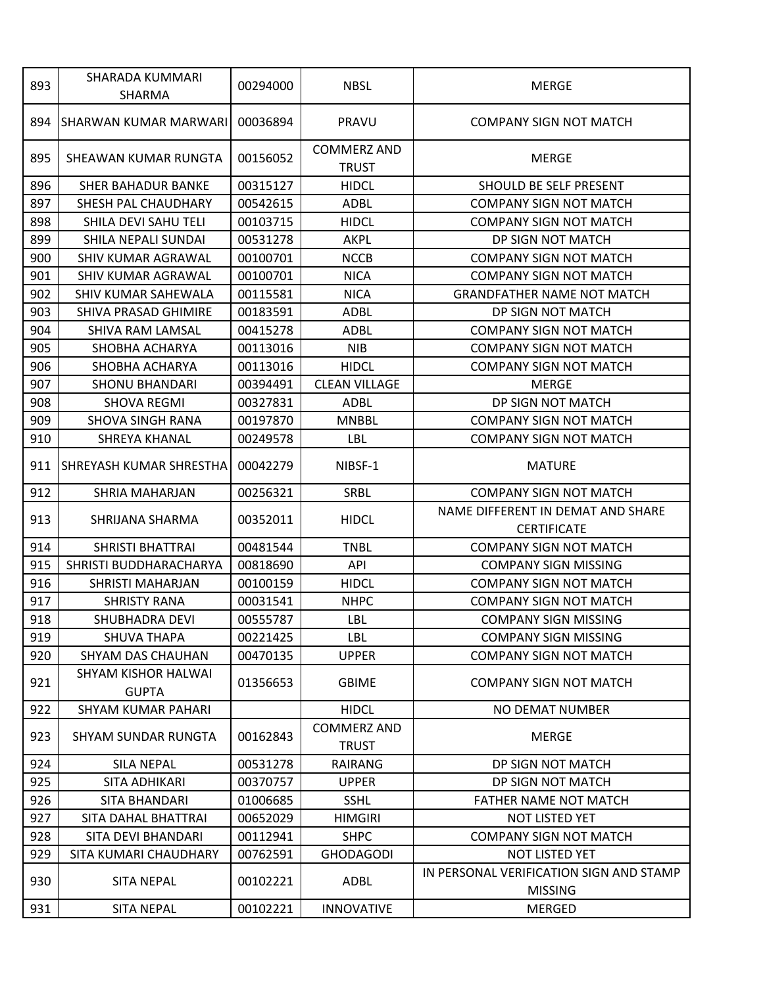| 893 | SHARADA KUMMARI<br>SHARMA                  | 00294000 | <b>NBSL</b>                        | <b>MERGE</b>                                              |
|-----|--------------------------------------------|----------|------------------------------------|-----------------------------------------------------------|
| 894 | ISHARWAN KUMAR MARWARI                     | 00036894 | <b>PRAVU</b>                       | <b>COMPANY SIGN NOT MATCH</b>                             |
| 895 | SHEAWAN KUMAR RUNGTA                       | 00156052 | <b>COMMERZ AND</b><br><b>TRUST</b> | <b>MERGE</b>                                              |
| 896 | <b>SHER BAHADUR BANKE</b>                  | 00315127 | <b>HIDCL</b>                       | SHOULD BE SELF PRESENT                                    |
| 897 | SHESH PAL CHAUDHARY                        | 00542615 | ADBL                               | <b>COMPANY SIGN NOT MATCH</b>                             |
| 898 | SHILA DEVI SAHU TELI                       | 00103715 | <b>HIDCL</b>                       | <b>COMPANY SIGN NOT MATCH</b>                             |
| 899 | SHILA NEPALI SUNDAI                        | 00531278 | <b>AKPL</b>                        | DP SIGN NOT MATCH                                         |
| 900 | SHIV KUMAR AGRAWAL                         | 00100701 | <b>NCCB</b>                        | <b>COMPANY SIGN NOT MATCH</b>                             |
| 901 | SHIV KUMAR AGRAWAL                         | 00100701 | <b>NICA</b>                        | <b>COMPANY SIGN NOT MATCH</b>                             |
| 902 | SHIV KUMAR SAHEWALA                        | 00115581 | <b>NICA</b>                        | <b>GRANDFATHER NAME NOT MATCH</b>                         |
| 903 | SHIVA PRASAD GHIMIRE                       | 00183591 | <b>ADBL</b>                        | DP SIGN NOT MATCH                                         |
| 904 | SHIVA RAM LAMSAL                           | 00415278 | <b>ADBL</b>                        | <b>COMPANY SIGN NOT MATCH</b>                             |
| 905 | SHOBHA ACHARYA                             | 00113016 | <b>NIB</b>                         | <b>COMPANY SIGN NOT MATCH</b>                             |
| 906 | SHOBHA ACHARYA                             | 00113016 | <b>HIDCL</b>                       | <b>COMPANY SIGN NOT MATCH</b>                             |
| 907 | <b>SHONU BHANDARI</b>                      | 00394491 | <b>CLEAN VILLAGE</b>               | <b>MERGE</b>                                              |
| 908 | <b>SHOVA REGMI</b>                         | 00327831 | <b>ADBL</b>                        | DP SIGN NOT MATCH                                         |
| 909 | SHOVA SINGH RANA                           | 00197870 | <b>MNBBL</b>                       | <b>COMPANY SIGN NOT MATCH</b>                             |
| 910 | SHREYA KHANAL                              | 00249578 | LBL                                | <b>COMPANY SIGN NOT MATCH</b>                             |
| 911 | <b>SHREYASH KUMAR SHRESTHA</b>             | 00042279 | NIBSF-1                            | <b>MATURE</b>                                             |
| 912 | SHRIA MAHARJAN                             | 00256321 | <b>SRBL</b>                        | <b>COMPANY SIGN NOT MATCH</b>                             |
| 913 | SHRIJANA SHARMA                            | 00352011 | <b>HIDCL</b>                       | NAME DIFFERENT IN DEMAT AND SHARE<br><b>CERTIFICATE</b>   |
| 914 | SHRISTI BHATTRAI                           | 00481544 | <b>TNBL</b>                        | <b>COMPANY SIGN NOT MATCH</b>                             |
| 915 | SHRISTI BUDDHARACHARYA                     | 00818690 | API                                | <b>COMPANY SIGN MISSING</b>                               |
| 916 | SHRISTI MAHARJAN                           | 00100159 | <b>HIDCL</b>                       | <b>COMPANY SIGN NOT MATCH</b>                             |
| 917 | <b>SHRISTY RANA</b>                        | 00031541 | <b>NHPC</b>                        | <b>COMPANY SIGN NOT MATCH</b>                             |
| 918 | <b>SHUBHADRA DEVI</b>                      | 00555787 | LBL                                | <b>COMPANY SIGN MISSING</b>                               |
| 919 | SHUVA THAPA                                | 00221425 | LBL                                | <b>COMPANY SIGN MISSING</b>                               |
| 920 | SHYAM DAS CHAUHAN                          | 00470135 | <b>UPPER</b>                       | <b>COMPANY SIGN NOT MATCH</b>                             |
| 921 | <b>SHYAM KISHOR HALWAI</b><br><b>GUPTA</b> | 01356653 | <b>GBIME</b>                       | <b>COMPANY SIGN NOT MATCH</b>                             |
| 922 | <b>SHYAM KUMAR PAHARI</b>                  |          | <b>HIDCL</b>                       | <b>NO DEMAT NUMBER</b>                                    |
| 923 | SHYAM SUNDAR RUNGTA                        | 00162843 | <b>COMMERZ AND</b><br><b>TRUST</b> | <b>MERGE</b>                                              |
| 924 | <b>SILA NEPAL</b>                          | 00531278 | RAIRANG                            | DP SIGN NOT MATCH                                         |
| 925 | SITA ADHIKARI                              | 00370757 | <b>UPPER</b>                       | DP SIGN NOT MATCH                                         |
| 926 | SITA BHANDARI                              | 01006685 | <b>SSHL</b>                        | FATHER NAME NOT MATCH                                     |
| 927 | SITA DAHAL BHATTRAI                        | 00652029 | <b>HIMGIRI</b>                     | NOT LISTED YET                                            |
| 928 | SITA DEVI BHANDARI                         | 00112941 | <b>SHPC</b>                        | <b>COMPANY SIGN NOT MATCH</b>                             |
| 929 | SITA KUMARI CHAUDHARY                      | 00762591 | <b>GHODAGODI</b>                   | <b>NOT LISTED YET</b>                                     |
| 930 | <b>SITA NEPAL</b>                          | 00102221 | ADBL                               | IN PERSONAL VERIFICATION SIGN AND STAMP<br><b>MISSING</b> |
| 931 | <b>SITA NEPAL</b>                          | 00102221 | <b>INNOVATIVE</b>                  | <b>MERGED</b>                                             |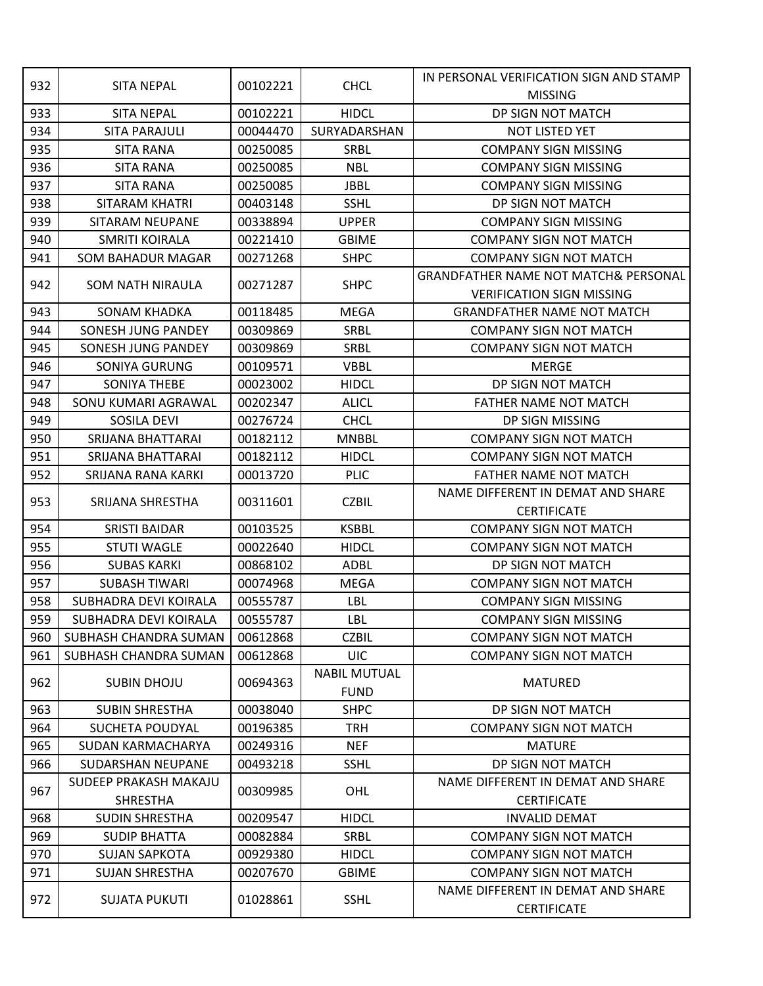|     |                          | 00102221 |                     | IN PERSONAL VERIFICATION SIGN AND STAMP         |
|-----|--------------------------|----------|---------------------|-------------------------------------------------|
| 932 | <b>SITA NEPAL</b>        |          | <b>CHCL</b>         | <b>MISSING</b>                                  |
| 933 | <b>SITA NEPAL</b>        | 00102221 | <b>HIDCL</b>        | DP SIGN NOT MATCH                               |
| 934 | <b>SITA PARAJULI</b>     | 00044470 | SURYADARSHAN        | NOT LISTED YET                                  |
| 935 | <b>SITA RANA</b>         | 00250085 | SRBL                | <b>COMPANY SIGN MISSING</b>                     |
| 936 | <b>SITA RANA</b>         | 00250085 | <b>NBL</b>          | <b>COMPANY SIGN MISSING</b>                     |
| 937 | <b>SITA RANA</b>         | 00250085 | <b>JBBL</b>         | <b>COMPANY SIGN MISSING</b>                     |
| 938 | SITARAM KHATRI           | 00403148 | <b>SSHL</b>         | DP SIGN NOT MATCH                               |
| 939 | SITARAM NEUPANE          | 00338894 | <b>UPPER</b>        | <b>COMPANY SIGN MISSING</b>                     |
| 940 | <b>SMRITI KOIRALA</b>    | 00221410 | <b>GBIME</b>        | <b>COMPANY SIGN NOT MATCH</b>                   |
| 941 | <b>SOM BAHADUR MAGAR</b> | 00271268 | <b>SHPC</b>         | <b>COMPANY SIGN NOT MATCH</b>                   |
|     |                          |          |                     | <b>GRANDFATHER NAME NOT MATCH&amp; PERSONAL</b> |
| 942 | SOM NATH NIRAULA         | 00271287 | <b>SHPC</b>         | <b>VERIFICATION SIGN MISSING</b>                |
| 943 | <b>SONAM KHADKA</b>      | 00118485 | <b>MEGA</b>         | <b>GRANDFATHER NAME NOT MATCH</b>               |
| 944 | SONESH JUNG PANDEY       | 00309869 | SRBL                | <b>COMPANY SIGN NOT MATCH</b>                   |
| 945 | SONESH JUNG PANDEY       | 00309869 | SRBL                | <b>COMPANY SIGN NOT MATCH</b>                   |
| 946 | SONIYA GURUNG            | 00109571 | <b>VBBL</b>         | <b>MERGE</b>                                    |
| 947 | SONIYA THEBE             | 00023002 | <b>HIDCL</b>        | DP SIGN NOT MATCH                               |
| 948 | SONU KUMARI AGRAWAL      | 00202347 | <b>ALICL</b>        | <b>FATHER NAME NOT MATCH</b>                    |
| 949 | SOSILA DEVI              | 00276724 | <b>CHCL</b>         | DP SIGN MISSING                                 |
| 950 | SRIJANA BHATTARAI        | 00182112 | <b>MNBBL</b>        | <b>COMPANY SIGN NOT MATCH</b>                   |
| 951 | SRIJANA BHATTARAI        | 00182112 | <b>HIDCL</b>        | <b>COMPANY SIGN NOT MATCH</b>                   |
| 952 | SRIJANA RANA KARKI       | 00013720 | <b>PLIC</b>         | FATHER NAME NOT MATCH                           |
|     |                          |          |                     | NAME DIFFERENT IN DEMAT AND SHARE               |
| 953 | SRIJANA SHRESTHA         | 00311601 | <b>CZBIL</b>        | <b>CERTIFICATE</b>                              |
| 954 | <b>SRISTI BAIDAR</b>     | 00103525 | <b>KSBBL</b>        | <b>COMPANY SIGN NOT MATCH</b>                   |
| 955 | <b>STUTI WAGLE</b>       | 00022640 | <b>HIDCL</b>        | <b>COMPANY SIGN NOT MATCH</b>                   |
| 956 | <b>SUBAS KARKI</b>       | 00868102 | ADBL                | DP SIGN NOT MATCH                               |
| 957 | <b>SUBASH TIWARI</b>     | 00074968 | <b>MEGA</b>         | <b>COMPANY SIGN NOT MATCH</b>                   |
| 958 | SUBHADRA DEVI KOIRALA    | 00555787 | LBL                 | <b>COMPANY SIGN MISSING</b>                     |
| 959 | SUBHADRA DEVI KOIRALA    | 00555787 | LBL                 | <b>COMPANY SIGN MISSING</b>                     |
| 960 | SUBHASH CHANDRA SUMAN    | 00612868 | <b>CZBIL</b>        | <b>COMPANY SIGN NOT MATCH</b>                   |
| 961 | SUBHASH CHANDRA SUMAN    | 00612868 | <b>UIC</b>          | <b>COMPANY SIGN NOT MATCH</b>                   |
|     |                          |          | <b>NABIL MUTUAL</b> |                                                 |
| 962 | <b>SUBIN DHOJU</b>       | 00694363 | <b>FUND</b>         | <b>MATURED</b>                                  |
| 963 | <b>SUBIN SHRESTHA</b>    | 00038040 | <b>SHPC</b>         | DP SIGN NOT MATCH                               |
| 964 | SUCHETA POUDYAL          | 00196385 | <b>TRH</b>          | <b>COMPANY SIGN NOT MATCH</b>                   |
| 965 | SUDAN KARMACHARYA        | 00249316 | <b>NEF</b>          | <b>MATURE</b>                                   |
| 966 | SUDARSHAN NEUPANE        | 00493218 | <b>SSHL</b>         | DP SIGN NOT MATCH                               |
|     | SUDEEP PRAKASH MAKAJU    |          |                     | NAME DIFFERENT IN DEMAT AND SHARE               |
| 967 | <b>SHRESTHA</b>          | 00309985 | OHL                 | <b>CERTIFICATE</b>                              |
| 968 | <b>SUDIN SHRESTHA</b>    | 00209547 | <b>HIDCL</b>        | <b>INVALID DEMAT</b>                            |
| 969 | <b>SUDIP BHATTA</b>      | 00082884 | <b>SRBL</b>         | <b>COMPANY SIGN NOT MATCH</b>                   |
| 970 | <b>SUJAN SAPKOTA</b>     | 00929380 | <b>HIDCL</b>        | <b>COMPANY SIGN NOT MATCH</b>                   |
| 971 | <b>SUJAN SHRESTHA</b>    | 00207670 | <b>GBIME</b>        | <b>COMPANY SIGN NOT MATCH</b>                   |
| 972 | <b>SUJATA PUKUTI</b>     | 01028861 | <b>SSHL</b>         | NAME DIFFERENT IN DEMAT AND SHARE               |
|     |                          |          |                     | <b>CERTIFICATE</b>                              |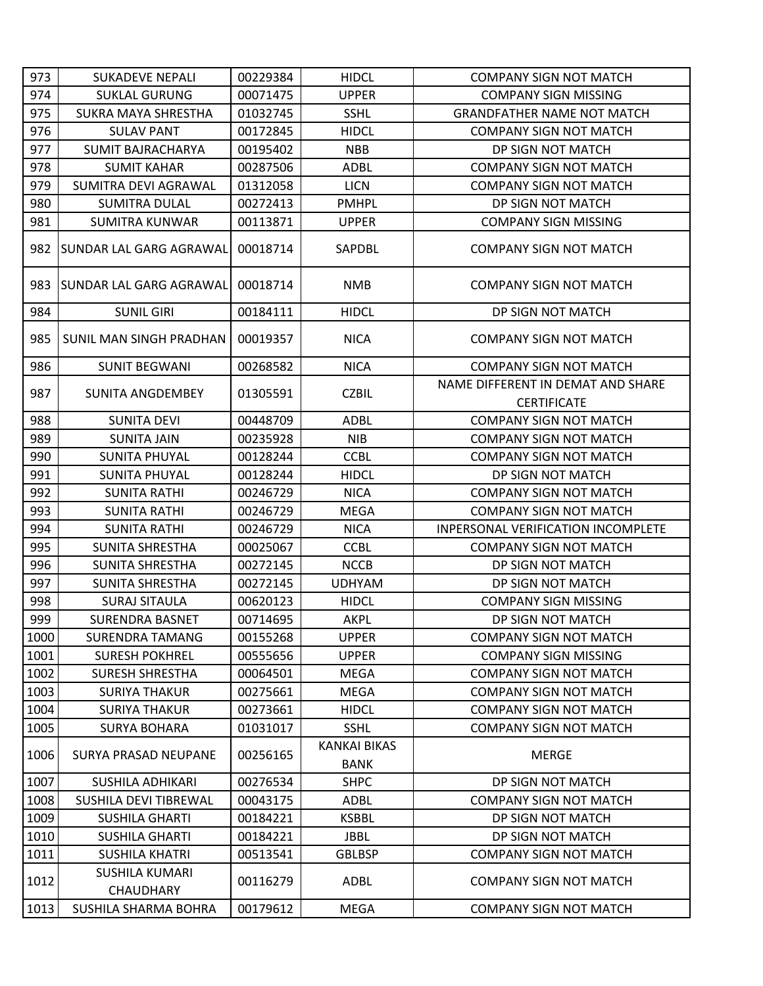| 973  | <b>SUKADEVE NEPALI</b>             | 00229384 | <b>HIDCL</b>                       | <b>COMPANY SIGN NOT MATCH</b>                           |
|------|------------------------------------|----------|------------------------------------|---------------------------------------------------------|
| 974  | <b>SUKLAL GURUNG</b>               | 00071475 | <b>UPPER</b>                       | <b>COMPANY SIGN MISSING</b>                             |
| 975  | SUKRA MAYA SHRESTHA                | 01032745 | <b>SSHL</b>                        | <b>GRANDFATHER NAME NOT MATCH</b>                       |
| 976  | <b>SULAV PANT</b>                  | 00172845 | <b>HIDCL</b>                       | <b>COMPANY SIGN NOT MATCH</b>                           |
| 977  | <b>SUMIT BAJRACHARYA</b>           | 00195402 | <b>NBB</b>                         | DP SIGN NOT MATCH                                       |
| 978  | <b>SUMIT KAHAR</b>                 | 00287506 | <b>ADBL</b>                        | <b>COMPANY SIGN NOT MATCH</b>                           |
| 979  | SUMITRA DEVI AGRAWAL               | 01312058 | <b>LICN</b>                        | <b>COMPANY SIGN NOT MATCH</b>                           |
| 980  | <b>SUMITRA DULAL</b>               | 00272413 | <b>PMHPL</b>                       | DP SIGN NOT MATCH                                       |
| 981  | <b>SUMITRA KUNWAR</b>              | 00113871 | <b>UPPER</b>                       | <b>COMPANY SIGN MISSING</b>                             |
| 982  | <b>SUNDAR LAL GARG AGRAWAL</b>     | 00018714 | SAPDBL                             | <b>COMPANY SIGN NOT MATCH</b>                           |
| 983  | ISUNDAR LAL GARG AGRAWAL           | 00018714 | <b>NMB</b>                         | <b>COMPANY SIGN NOT MATCH</b>                           |
| 984  | <b>SUNIL GIRI</b>                  | 00184111 | <b>HIDCL</b>                       | DP SIGN NOT MATCH                                       |
| 985  | SUNIL MAN SINGH PRADHAN            | 00019357 | <b>NICA</b>                        | <b>COMPANY SIGN NOT MATCH</b>                           |
| 986  | <b>SUNIT BEGWANI</b>               | 00268582 | <b>NICA</b>                        | <b>COMPANY SIGN NOT MATCH</b>                           |
| 987  | SUNITA ANGDEMBEY                   | 01305591 | <b>CZBIL</b>                       | NAME DIFFERENT IN DEMAT AND SHARE<br><b>CERTIFICATE</b> |
| 988  | <b>SUNITA DEVI</b>                 | 00448709 | <b>ADBL</b>                        | <b>COMPANY SIGN NOT MATCH</b>                           |
| 989  | <b>SUNITA JAIN</b>                 | 00235928 | <b>NIB</b>                         | <b>COMPANY SIGN NOT MATCH</b>                           |
| 990  | <b>SUNITA PHUYAL</b>               | 00128244 | <b>CCBL</b>                        | <b>COMPANY SIGN NOT MATCH</b>                           |
| 991  | <b>SUNITA PHUYAL</b>               | 00128244 | <b>HIDCL</b>                       | DP SIGN NOT MATCH                                       |
| 992  | <b>SUNITA RATHI</b>                | 00246729 | <b>NICA</b>                        | <b>COMPANY SIGN NOT MATCH</b>                           |
| 993  | <b>SUNITA RATHI</b>                | 00246729 | <b>MEGA</b>                        | <b>COMPANY SIGN NOT MATCH</b>                           |
| 994  | <b>SUNITA RATHI</b>                | 00246729 | <b>NICA</b>                        | <b>INPERSONAL VERIFICATION INCOMPLETE</b>               |
| 995  | SUNITA SHRESTHA                    | 00025067 | <b>CCBL</b>                        | <b>COMPANY SIGN NOT MATCH</b>                           |
| 996  | <b>SUNITA SHRESTHA</b>             | 00272145 | <b>NCCB</b>                        | DP SIGN NOT MATCH                                       |
| 997  | <b>SUNITA SHRESTHA</b>             | 00272145 | <b>UDHYAM</b>                      | DP SIGN NOT MATCH                                       |
| 998  | <b>SURAJ SITAULA</b>               | 00620123 | <b>HIDCL</b>                       | <b>COMPANY SIGN MISSING</b>                             |
| 999  | <b>SURENDRA BASNET</b>             | 00714695 | <b>AKPL</b>                        | DP SIGN NOT MATCH                                       |
| 1000 | <b>SURENDRA TAMANG</b>             | 00155268 | <b>UPPER</b>                       | <b>COMPANY SIGN NOT MATCH</b>                           |
| 1001 | <b>SURESH POKHREL</b>              | 00555656 | <b>UPPER</b>                       | <b>COMPANY SIGN MISSING</b>                             |
| 1002 | <b>SURESH SHRESTHA</b>             | 00064501 | MEGA                               | <b>COMPANY SIGN NOT MATCH</b>                           |
| 1003 | <b>SURIYA THAKUR</b>               | 00275661 | <b>MEGA</b>                        | <b>COMPANY SIGN NOT MATCH</b>                           |
| 1004 | <b>SURIYA THAKUR</b>               | 00273661 | <b>HIDCL</b>                       | <b>COMPANY SIGN NOT MATCH</b>                           |
| 1005 | <b>SURYA BOHARA</b>                | 01031017 | <b>SSHL</b>                        | <b>COMPANY SIGN NOT MATCH</b>                           |
| 1006 | <b>SURYA PRASAD NEUPANE</b>        | 00256165 | <b>KANKAI BIKAS</b><br><b>BANK</b> | <b>MERGE</b>                                            |
| 1007 | <b>SUSHILA ADHIKARI</b>            | 00276534 | <b>SHPC</b>                        | DP SIGN NOT MATCH                                       |
| 1008 | SUSHILA DEVI TIBREWAL              | 00043175 | <b>ADBL</b>                        | <b>COMPANY SIGN NOT MATCH</b>                           |
| 1009 | <b>SUSHILA GHARTI</b>              | 00184221 | <b>KSBBL</b>                       | DP SIGN NOT MATCH                                       |
| 1010 | <b>SUSHILA GHARTI</b>              | 00184221 | JBBL                               | DP SIGN NOT MATCH                                       |
| 1011 | <b>SUSHILA KHATRI</b>              | 00513541 | <b>GBLBSP</b>                      | <b>COMPANY SIGN NOT MATCH</b>                           |
| 1012 | SUSHILA KUMARI<br><b>CHAUDHARY</b> | 00116279 | ADBL                               | <b>COMPANY SIGN NOT MATCH</b>                           |
| 1013 | SUSHILA SHARMA BOHRA               | 00179612 | <b>MEGA</b>                        | <b>COMPANY SIGN NOT MATCH</b>                           |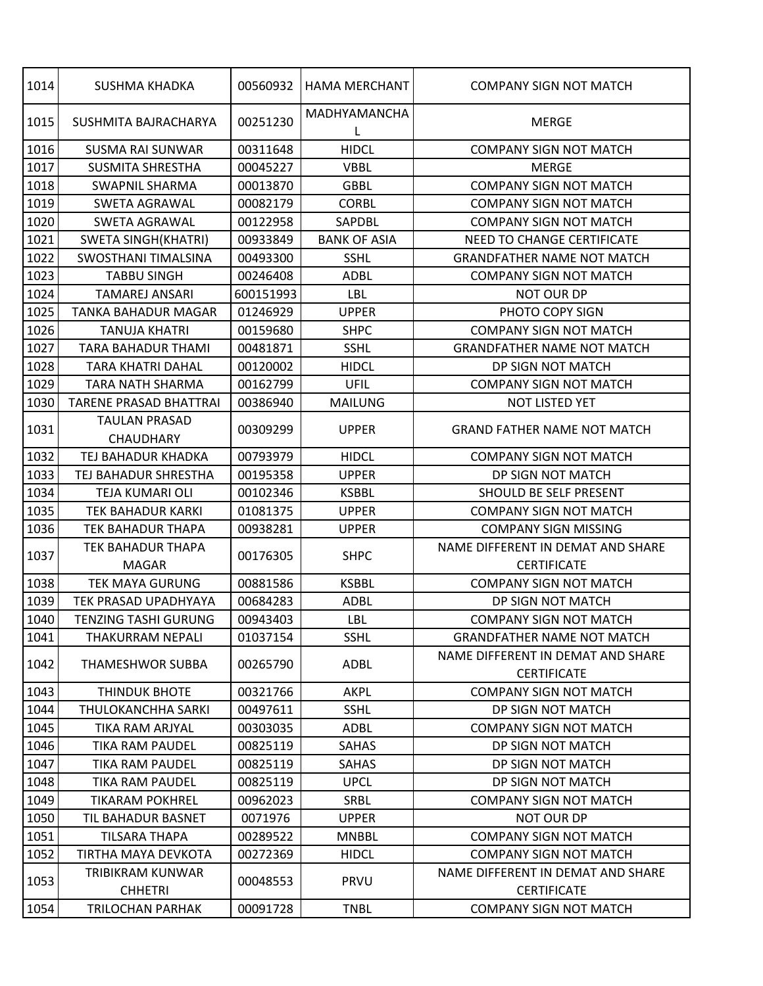| 1014 | SUSHMA KHADKA                 | 00560932  | <b>HAMA MERCHANT</b> | <b>COMPANY SIGN NOT MATCH</b>                           |
|------|-------------------------------|-----------|----------------------|---------------------------------------------------------|
| 1015 | SUSHMITA BAJRACHARYA          | 00251230  | MADHYAMANCHA<br>L    | <b>MERGE</b>                                            |
| 1016 | <b>SUSMA RAI SUNWAR</b>       | 00311648  | <b>HIDCL</b>         | <b>COMPANY SIGN NOT MATCH</b>                           |
| 1017 | <b>SUSMITA SHRESTHA</b>       | 00045227  | <b>VBBL</b>          | <b>MERGE</b>                                            |
| 1018 | <b>SWAPNIL SHARMA</b>         | 00013870  | <b>GBBL</b>          | <b>COMPANY SIGN NOT MATCH</b>                           |
| 1019 | <b>SWETA AGRAWAL</b>          | 00082179  | <b>CORBL</b>         | <b>COMPANY SIGN NOT MATCH</b>                           |
| 1020 | <b>SWETA AGRAWAL</b>          | 00122958  | SAPDBL               | <b>COMPANY SIGN NOT MATCH</b>                           |
| 1021 | SWETA SINGH(KHATRI)           | 00933849  | <b>BANK OF ASIA</b>  | NEED TO CHANGE CERTIFICATE                              |
| 1022 | <b>SWOSTHANI TIMALSINA</b>    | 00493300  | <b>SSHL</b>          | <b>GRANDFATHER NAME NOT MATCH</b>                       |
| 1023 | <b>TABBU SINGH</b>            | 00246408  | <b>ADBL</b>          | <b>COMPANY SIGN NOT MATCH</b>                           |
| 1024 | <b>TAMAREJ ANSARI</b>         | 600151993 | LBL                  | <b>NOT OUR DP</b>                                       |
| 1025 | <b>TANKA BAHADUR MAGAR</b>    | 01246929  | <b>UPPER</b>         | PHOTO COPY SIGN                                         |
| 1026 | <b>TANUJA KHATRI</b>          | 00159680  | <b>SHPC</b>          | <b>COMPANY SIGN NOT MATCH</b>                           |
| 1027 | <b>TARA BAHADUR THAMI</b>     | 00481871  | <b>SSHL</b>          | <b>GRANDFATHER NAME NOT MATCH</b>                       |
| 1028 | TARA KHATRI DAHAL             | 00120002  | <b>HIDCL</b>         | DP SIGN NOT MATCH                                       |
| 1029 | TARA NATH SHARMA              | 00162799  | UFIL                 | <b>COMPANY SIGN NOT MATCH</b>                           |
| 1030 | <b>TARENE PRASAD BHATTRAI</b> | 00386940  | <b>MAILUNG</b>       | NOT LISTED YET                                          |
|      | <b>TAULAN PRASAD</b>          |           | <b>UPPER</b>         | <b>GRAND FATHER NAME NOT MATCH</b>                      |
| 1031 | <b>CHAUDHARY</b>              | 00309299  |                      |                                                         |
| 1032 | TEJ BAHADUR KHADKA            | 00793979  | <b>HIDCL</b>         | <b>COMPANY SIGN NOT MATCH</b>                           |
| 1033 | TEJ BAHADUR SHRESTHA          | 00195358  | <b>UPPER</b>         | DP SIGN NOT MATCH                                       |
| 1034 | TEJA KUMARI OLI               | 00102346  | <b>KSBBL</b>         | SHOULD BE SELF PRESENT                                  |
| 1035 | TEK BAHADUR KARKI             | 01081375  | <b>UPPER</b>         | <b>COMPANY SIGN NOT MATCH</b>                           |
| 1036 | <b>TEK BAHADUR THAPA</b>      | 00938281  | <b>UPPER</b>         | <b>COMPANY SIGN MISSING</b>                             |
|      | TEK BAHADUR THAPA             |           |                      | NAME DIFFERENT IN DEMAT AND SHARE                       |
| 1037 | <b>MAGAR</b>                  | 00176305  | <b>SHPC</b>          | <b>CERTIFICATE</b>                                      |
| 1038 | <b>TEK MAYA GURUNG</b>        | 00881586  | <b>KSBBL</b>         | <b>COMPANY SIGN NOT MATCH</b>                           |
| 1039 | TEK PRASAD UPADHYAYA          | 00684283  | <b>ADBL</b>          | DP SIGN NOT MATCH                                       |
| 1040 | TENZING TASHI GURUNG          | 00943403  | LBL                  | <b>COMPANY SIGN NOT MATCH</b>                           |
| 1041 | THAKURRAM NEPALI              | 01037154  | <b>SSHL</b>          | <b>GRANDFATHER NAME NOT MATCH</b>                       |
| 1042 | THAMESHWOR SUBBA              | 00265790  | <b>ADBL</b>          | NAME DIFFERENT IN DEMAT AND SHARE<br><b>CERTIFICATE</b> |
| 1043 | <b>THINDUK BHOTE</b>          | 00321766  | <b>AKPL</b>          | <b>COMPANY SIGN NOT MATCH</b>                           |
| 1044 | THULOKANCHHA SARKI            | 00497611  | <b>SSHL</b>          | DP SIGN NOT MATCH                                       |
| 1045 | TIKA RAM ARJYAL               | 00303035  | <b>ADBL</b>          | <b>COMPANY SIGN NOT MATCH</b>                           |
| 1046 | TIKA RAM PAUDEL               | 00825119  | SAHAS                | DP SIGN NOT MATCH                                       |
| 1047 | TIKA RAM PAUDEL               | 00825119  | SAHAS                | DP SIGN NOT MATCH                                       |
| 1048 | <b>TIKA RAM PAUDEL</b>        | 00825119  | <b>UPCL</b>          | DP SIGN NOT MATCH                                       |
| 1049 | <b>TIKARAM POKHREL</b>        | 00962023  | SRBL                 | <b>COMPANY SIGN NOT MATCH</b>                           |
| 1050 | TIL BAHADUR BASNET            | 0071976   | <b>UPPER</b>         | <b>NOT OUR DP</b>                                       |
| 1051 | TILSARA THAPA                 | 00289522  | <b>MNBBL</b>         | <b>COMPANY SIGN NOT MATCH</b>                           |
| 1052 | TIRTHA MAYA DEVKOTA           | 00272369  | <b>HIDCL</b>         | <b>COMPANY SIGN NOT MATCH</b>                           |
| 1053 | TRIBIKRAM KUNWAR              |           |                      | NAME DIFFERENT IN DEMAT AND SHARE                       |
|      | <b>CHHETRI</b>                | 00048553  | PRVU                 | <b>CERTIFICATE</b>                                      |
| 1054 | <b>TRILOCHAN PARHAK</b>       | 00091728  | <b>TNBL</b>          | <b>COMPANY SIGN NOT MATCH</b>                           |
|      |                               |           |                      |                                                         |